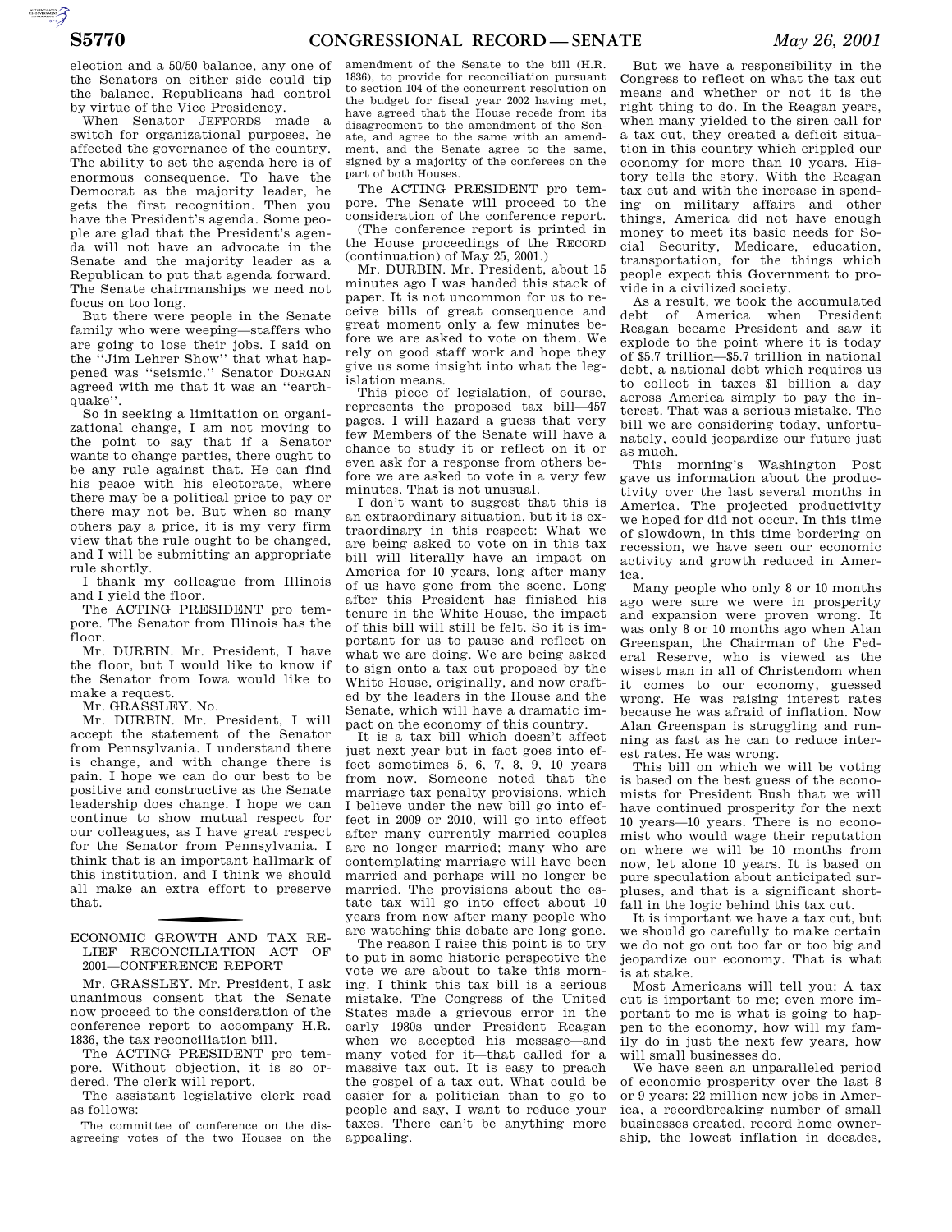AUTOROTOMICALE CONTINUES

election and a 50/50 balance, any one of the Senators on either side could tip the balance. Republicans had control by virtue of the Vice Presidency.

When Senator JEFFORDS made a switch for organizational purposes, he affected the governance of the country. The ability to set the agenda here is of enormous consequence. To have the Democrat as the majority leader, he gets the first recognition. Then you have the President's agenda. Some people are glad that the President's agenda will not have an advocate in the Senate and the majority leader as a Republican to put that agenda forward. The Senate chairmanships we need not focus on too long.

But there were people in the Senate family who were weeping—staffers who are going to lose their jobs. I said on the ''Jim Lehrer Show'' that what happened was ''seismic.'' Senator DORGAN agreed with me that it was an ''earthquake''.

So in seeking a limitation on organizational change, I am not moving to the point to say that if a Senator wants to change parties, there ought to be any rule against that. He can find his peace with his electorate, where there may be a political price to pay or there may not be. But when so many others pay a price, it is my very firm view that the rule ought to be changed, and I will be submitting an appropriate rule shortly.

I thank my colleague from Illinois and I yield the floor.

The ACTING PRESIDENT pro tempore. The Senator from Illinois has the floor.

Mr. DURBIN. Mr. President, I have the floor, but I would like to know if the Senator from Iowa would like to make a request.

Mr. GRASSLEY. No.

Mr. DURBIN. Mr. President, I will accept the statement of the Senator from Pennsylvania. I understand there is change, and with change there is pain. I hope we can do our best to be positive and constructive as the Senate leadership does change. I hope we can continue to show mutual respect for our colleagues, as I have great respect for the Senator from Pennsylvania. I think that is an important hallmark of this institution, and I think we should all make an extra effort to preserve that.

ECONOMIC GROWTH AND TAX RE-LIEF RECONCILIATION ACT OF 2001—CONFERENCE REPORT

Mr. GRASSLEY. Mr. President, I ask unanimous consent that the Senate now proceed to the consideration of the conference report to accompany H.R. 1836, the tax reconciliation bill.

The ACTING PRESIDENT pro tempore. Without objection, it is so ordered. The clerk will report.

The assistant legislative clerk read as follows:

The committee of conference on the disagreeing votes of the two Houses on the

amendment of the Senate to the bill (H.R. 1836), to provide for reconciliation pursuant to section 104 of the concurrent resolution on the budget for fiscal year 2002 having met, have agreed that the House recede from its disagreement to the amendment of the Senate, and agree to the same with an amendment, and the Senate agree to the same, signed by a majority of the conferees on the part of both Houses.

The ACTING PRESIDENT pro tempore. The Senate will proceed to the consideration of the conference report.

(The conference report is printed in the House proceedings of the RECORD (continuation) of May 25, 2001.)

Mr. DURBIN. Mr. President, about 15 minutes ago I was handed this stack of paper. It is not uncommon for us to receive bills of great consequence and great moment only a few minutes before we are asked to vote on them. We rely on good staff work and hope they give us some insight into what the legislation means.

This piece of legislation, of course, represents the proposed tax bill—457 pages. I will hazard a guess that very few Members of the Senate will have a chance to study it or reflect on it or even ask for a response from others before we are asked to vote in a very few minutes. That is not unusual.

I don't want to suggest that this is an extraordinary situation, but it is extraordinary in this respect: What we are being asked to vote on in this tax bill will literally have an impact on America for 10 years, long after many of us have gone from the scene. Long after this President has finished his tenure in the White House, the impact of this bill will still be felt. So it is important for us to pause and reflect on what we are doing. We are being asked to sign onto a tax cut proposed by the White House, originally, and now crafted by the leaders in the House and the Senate, which will have a dramatic impact on the economy of this country.

It is a tax bill which doesn't affect just next year but in fact goes into effect sometimes 5, 6, 7, 8, 9, 10 years from now. Someone noted that the marriage tax penalty provisions, which I believe under the new bill go into effect in 2009 or 2010, will go into effect after many currently married couples are no longer married; many who are contemplating marriage will have been married and perhaps will no longer be married. The provisions about the estate tax will go into effect about 10 years from now after many people who are watching this debate are long gone.

The reason I raise this point is to try to put in some historic perspective the vote we are about to take this morning. I think this tax bill is a serious mistake. The Congress of the United States made a grievous error in the early 1980s under President Reagan when we accepted his message—and many voted for it—that called for a massive tax cut. It is easy to preach the gospel of a tax cut. What could be easier for a politician than to go to people and say, I want to reduce your taxes. There can't be anything more appealing.

But we have a responsibility in the Congress to reflect on what the tax cut means and whether or not it is the right thing to do. In the Reagan years, when many yielded to the siren call for a tax cut, they created a deficit situation in this country which crippled our economy for more than 10 years. History tells the story. With the Reagan tax cut and with the increase in spending on military affairs and other things, America did not have enough money to meet its basic needs for Social Security, Medicare, education, transportation, for the things which people expect this Government to provide in a civilized society.

As a result, we took the accumulated debt of America when President Reagan became President and saw it explode to the point where it is today of \$5.7 trillion—\$5.7 trillion in national debt, a national debt which requires us to collect in taxes \$1 billion a day across America simply to pay the interest. That was a serious mistake. The bill we are considering today, unfortunately, could jeopardize our future just as much.

This morning's Washington Post gave us information about the productivity over the last several months in America. The projected productivity we hoped for did not occur. In this time of slowdown, in this time bordering on recession, we have seen our economic activity and growth reduced in America.

Many people who only 8 or 10 months ago were sure we were in prosperity and expansion were proven wrong. It was only 8 or 10 months ago when Alan Greenspan, the Chairman of the Federal Reserve, who is viewed as the wisest man in all of Christendom when it comes to our economy, guessed wrong. He was raising interest rates because he was afraid of inflation. Now Alan Greenspan is struggling and running as fast as he can to reduce interest rates. He was wrong.

This bill on which we will be voting is based on the best guess of the economists for President Bush that we will have continued prosperity for the next 10 years—10 years. There is no economist who would wage their reputation on where we will be 10 months from now, let alone 10 years. It is based on pure speculation about anticipated surpluses, and that is a significant shortfall in the logic behind this tax cut.

It is important we have a tax cut, but we should go carefully to make certain we do not go out too far or too big and jeopardize our economy. That is what is at stake.

Most Americans will tell you: A tax cut is important to me; even more important to me is what is going to happen to the economy, how will my family do in just the next few years, how will small businesses do.

We have seen an unparalleled period of economic prosperity over the last 8 or 9 years: 22 million new jobs in America, a recordbreaking number of small businesses created, record home ownership, the lowest inflation in decades,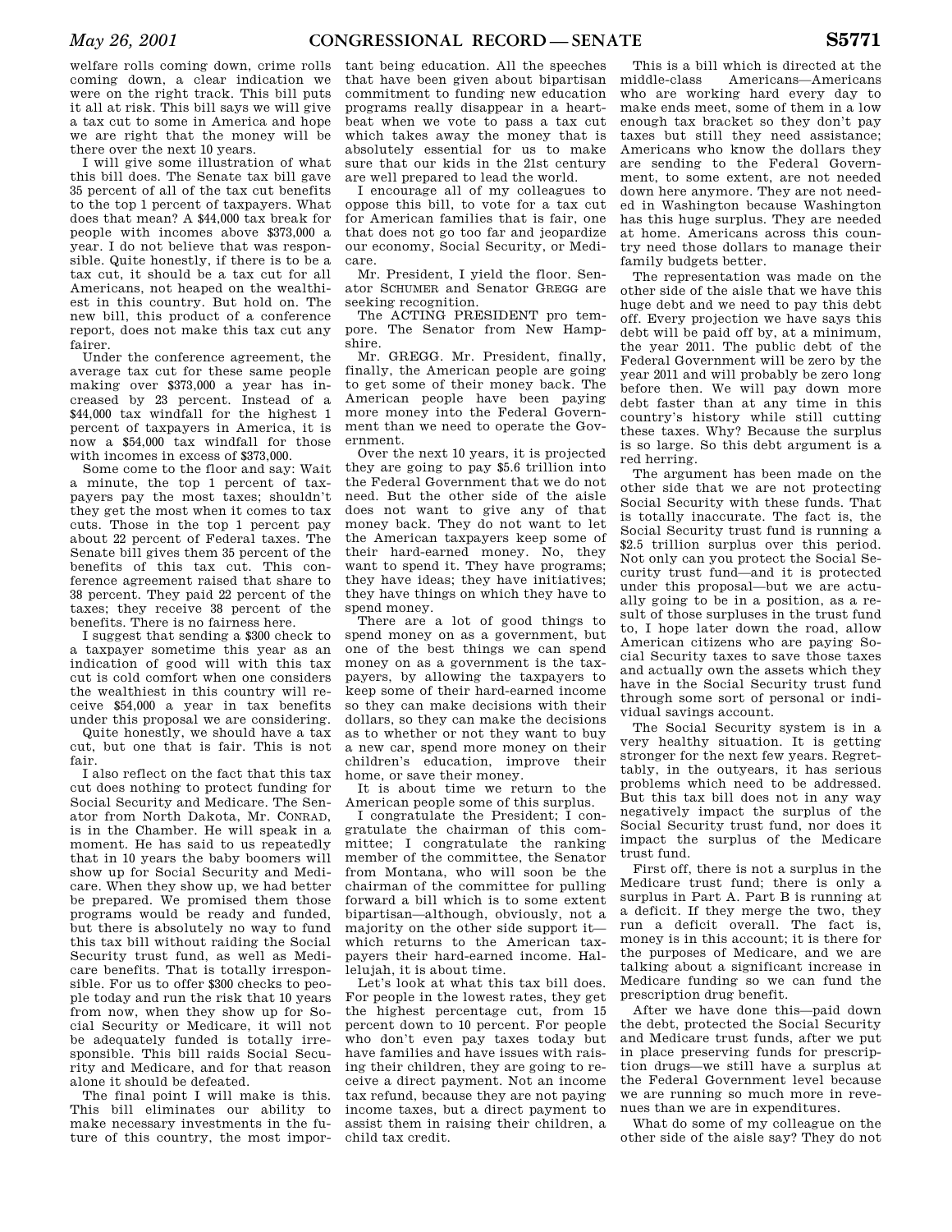welfare rolls coming down, crime rolls coming down, a clear indication we were on the right track. This bill puts it all at risk. This bill says we will give a tax cut to some in America and hope we are right that the money will be there over the next 10 years.

I will give some illustration of what this bill does. The Senate tax bill gave 35 percent of all of the tax cut benefits to the top 1 percent of taxpayers. What does that mean? A \$44,000 tax break for people with incomes above \$373,000 a year. I do not believe that was responsible. Quite honestly, if there is to be a tax cut, it should be a tax cut for all Americans, not heaped on the wealthiest in this country. But hold on. The new bill, this product of a conference report, does not make this tax cut any fairer.

Under the conference agreement, the average tax cut for these same people making over \$373,000 a year has increased by 23 percent. Instead of a \$44,000 tax windfall for the highest 1 percent of taxpayers in America, it is now a \$54,000 tax windfall for those with incomes in excess of \$373,000.

Some come to the floor and say: Wait a minute, the top 1 percent of taxpayers pay the most taxes; shouldn't they get the most when it comes to tax cuts. Those in the top 1 percent pay about 22 percent of Federal taxes. The Senate bill gives them 35 percent of the benefits of this tax cut. This conference agreement raised that share to 38 percent. They paid 22 percent of the taxes; they receive 38 percent of the benefits. There is no fairness here.

I suggest that sending a \$300 check to a taxpayer sometime this year as an indication of good will with this tax cut is cold comfort when one considers the wealthiest in this country will receive \$54,000 a year in tax benefits under this proposal we are considering.

Quite honestly, we should have a tax cut, but one that is fair. This is not fair.

I also reflect on the fact that this tax cut does nothing to protect funding for Social Security and Medicare. The Senator from North Dakota, Mr. CONRAD, is in the Chamber. He will speak in a moment. He has said to us repeatedly that in 10 years the baby boomers will show up for Social Security and Medicare. When they show up, we had better be prepared. We promised them those programs would be ready and funded, but there is absolutely no way to fund this tax bill without raiding the Social Security trust fund, as well as Medicare benefits. That is totally irresponsible. For us to offer \$300 checks to people today and run the risk that 10 years from now, when they show up for Social Security or Medicare, it will not be adequately funded is totally irresponsible. This bill raids Social Security and Medicare, and for that reason alone it should be defeated.

The final point I will make is this. This bill eliminates our ability to make necessary investments in the future of this country, the most impor-

tant being education. All the speeches that have been given about bipartisan commitment to funding new education programs really disappear in a heartbeat when we vote to pass a tax cut which takes away the money that is absolutely essential for us to make sure that our kids in the 21st century are well prepared to lead the world.

I encourage all of my colleagues to oppose this bill, to vote for a tax cut for American families that is fair, one that does not go too far and jeopardize our economy, Social Security, or Medicare.

Mr. President, I yield the floor. Senator SCHUMER and Senator GREGG are seeking recognition.

The ACTING PRESIDENT pro tempore. The Senator from New Hampshire.

Mr. GREGG. Mr. President, finally, finally, the American people are going to get some of their money back. The American people have been paying more money into the Federal Government than we need to operate the Government.

Over the next 10 years, it is projected they are going to pay \$5.6 trillion into the Federal Government that we do not need. But the other side of the aisle does not want to give any of that money back. They do not want to let the American taxpayers keep some of their hard-earned money. No, they want to spend it. They have programs; they have ideas; they have initiatives; they have things on which they have to spend money.

There are a lot of good things to spend money on as a government, but one of the best things we can spend money on as a government is the taxpayers, by allowing the taxpayers to keep some of their hard-earned income so they can make decisions with their dollars, so they can make the decisions as to whether or not they want to buy a new car, spend more money on their children's education, improve their home, or save their money.

It is about time we return to the American people some of this surplus.

I congratulate the President; I congratulate the chairman of this committee; I congratulate the ranking member of the committee, the Senator from Montana, who will soon be the chairman of the committee for pulling forward a bill which is to some extent bipartisan—although, obviously, not a majority on the other side support it which returns to the American taxpayers their hard-earned income. Hallelujah, it is about time.

Let's look at what this tax bill does. For people in the lowest rates, they get the highest percentage cut, from 15 percent down to 10 percent. For people who don't even pay taxes today but have families and have issues with raising their children, they are going to receive a direct payment. Not an income tax refund, because they are not paying income taxes, but a direct payment to assist them in raising their children, a child tax credit.

This is a bill which is directed at the middle-class Americans—Americans who are working hard every day to make ends meet, some of them in a low enough tax bracket so they don't pay taxes but still they need assistance; Americans who know the dollars they are sending to the Federal Government, to some extent, are not needed down here anymore. They are not needed in Washington because Washington has this huge surplus. They are needed at home. Americans across this country need those dollars to manage their family budgets better.

The representation was made on the other side of the aisle that we have this huge debt and we need to pay this debt off. Every projection we have says this debt will be paid off by, at a minimum, the year 2011. The public debt of the Federal Government will be zero by the year 2011 and will probably be zero long before then. We will pay down more debt faster than at any time in this country's history while still cutting these taxes. Why? Because the surplus is so large. So this debt argument is a red herring.

The argument has been made on the other side that we are not protecting Social Security with these funds. That is totally inaccurate. The fact is, the Social Security trust fund is running a \$2.5 trillion surplus over this period. Not only can you protect the Social Security trust fund—and it is protected under this proposal—but we are actually going to be in a position, as a result of those surpluses in the trust fund to, I hope later down the road, allow American citizens who are paying Social Security taxes to save those taxes and actually own the assets which they have in the Social Security trust fund through some sort of personal or individual savings account.

The Social Security system is in a very healthy situation. It is getting stronger for the next few years. Regrettably, in the outyears, it has serious problems which need to be addressed. But this tax bill does not in any way negatively impact the surplus of the Social Security trust fund, nor does it impact the surplus of the Medicare trust fund.

First off, there is not a surplus in the Medicare trust fund; there is only a surplus in Part A. Part B is running at a deficit. If they merge the two, they run a deficit overall. The fact is, money is in this account; it is there for the purposes of Medicare, and we are talking about a significant increase in Medicare funding so we can fund the prescription drug benefit.

After we have done this—paid down the debt, protected the Social Security and Medicare trust funds, after we put in place preserving funds for prescription drugs—we still have a surplus at the Federal Government level because we are running so much more in revenues than we are in expenditures.

What do some of my colleague on the other side of the aisle say? They do not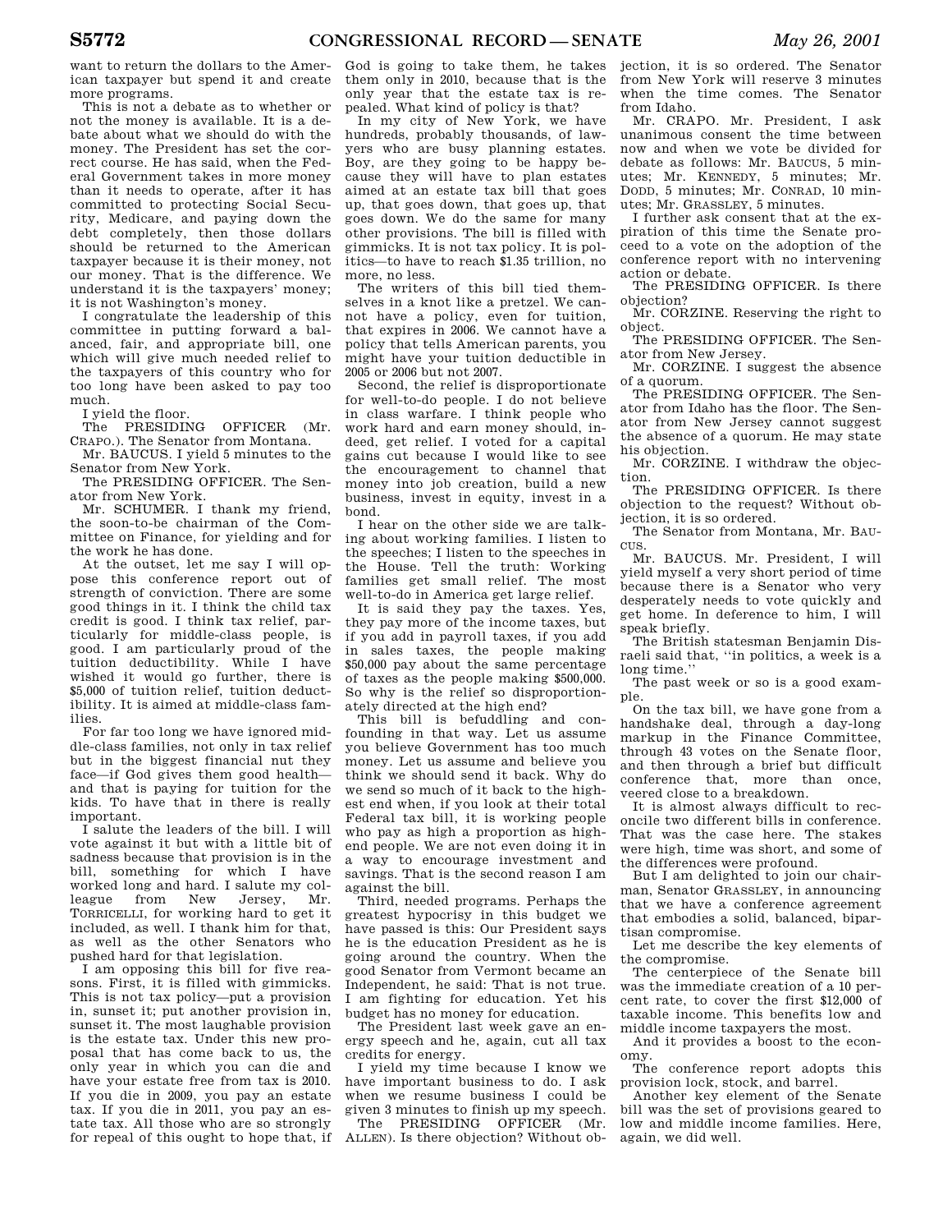want to return the dollars to the American taxpayer but spend it and create more programs.

This is not a debate as to whether or not the money is available. It is a debate about what we should do with the money. The President has set the correct course. He has said, when the Federal Government takes in more money than it needs to operate, after it has committed to protecting Social Security, Medicare, and paying down the debt completely, then those dollars should be returned to the American taxpayer because it is their money, not our money. That is the difference. We understand it is the taxpayers' money; it is not Washington's money.

I congratulate the leadership of this committee in putting forward a balanced, fair, and appropriate bill, one which will give much needed relief to the taxpayers of this country who for too long have been asked to pay too much.

I yield the floor.

The PRESIDING OFFICER (Mr. CRAPO.). The Senator from Montana.

Mr. BAUCUS. I yield 5 minutes to the Senator from New York.

The PRESIDING OFFICER. The Senator from New York.

Mr. SCHUMER. I thank my friend, the soon-to-be chairman of the Committee on Finance, for yielding and for the work he has done.

At the outset, let me say I will oppose this conference report out of strength of conviction. There are some good things in it. I think the child tax credit is good. I think tax relief, particularly for middle-class people, is good. I am particularly proud of the tuition deductibility. While I have wished it would go further, there is \$5,000 of tuition relief, tuition deductibility. It is aimed at middle-class families.

For far too long we have ignored middle-class families, not only in tax relief but in the biggest financial nut they face—if God gives them good health and that is paying for tuition for the kids. To have that in there is really important.

I salute the leaders of the bill. I will vote against it but with a little bit of sadness because that provision is in the bill, something for which I have worked long and hard. I salute my colleague from New Jersey, Mr. TORRICELLI, for working hard to get it included, as well. I thank him for that, as well as the other Senators who pushed hard for that legislation.

I am opposing this bill for five reasons. First, it is filled with gimmicks. This is not tax policy—put a provision in, sunset it; put another provision in, sunset it. The most laughable provision is the estate tax. Under this new proposal that has come back to us, the only year in which you can die and have your estate free from tax is 2010. If you die in 2009, you pay an estate tax. If you die in 2011, you pay an estate tax. All those who are so strongly for repeal of this ought to hope that, if

God is going to take them, he takes them only in 2010, because that is the only year that the estate tax is repealed. What kind of policy is that?

In my city of New York, we have hundreds, probably thousands, of lawyers who are busy planning estates. Boy, are they going to be happy because they will have to plan estates aimed at an estate tax bill that goes up, that goes down, that goes up, that goes down. We do the same for many other provisions. The bill is filled with gimmicks. It is not tax policy. It is politics—to have to reach \$1.35 trillion, no more, no less.

The writers of this bill tied themselves in a knot like a pretzel. We cannot have a policy, even for tuition, that expires in 2006. We cannot have a policy that tells American parents, you might have your tuition deductible in 2005 or 2006 but not 2007.

Second, the relief is disproportionate for well-to-do people. I do not believe in class warfare. I think people who work hard and earn money should, indeed, get relief. I voted for a capital gains cut because I would like to see the encouragement to channel that money into job creation, build a new business, invest in equity, invest in a bond.

I hear on the other side we are talking about working families. I listen to the speeches; I listen to the speeches in the House. Tell the truth: Working families get small relief. The most well-to-do in America get large relief.

It is said they pay the taxes. Yes, they pay more of the income taxes, but if you add in payroll taxes, if you add in sales taxes, the people making \$50,000 pay about the same percentage of taxes as the people making \$500,000. So why is the relief so disproportionately directed at the high end?

This bill is befuddling and confounding in that way. Let us assume you believe Government has too much money. Let us assume and believe you think we should send it back. Why do we send so much of it back to the highest end when, if you look at their total Federal tax bill, it is working people who pay as high a proportion as highend people. We are not even doing it in a way to encourage investment and savings. That is the second reason I am against the bill.

Third, needed programs. Perhaps the greatest hypocrisy in this budget we have passed is this: Our President says he is the education President as he is going around the country. When the good Senator from Vermont became an Independent, he said: That is not true. I am fighting for education. Yet his budget has no money for education.

The President last week gave an energy speech and he, again, cut all tax credits for energy.

I yield my time because I know we have important business to do. I ask when we resume business I could be given 3 minutes to finish up my speech.

The PRESIDING OFFICER (Mr. ALLEN). Is there objection? Without ob-

jection, it is so ordered. The Senator from New York will reserve 3 minutes when the time comes. The Senator from Idaho.

Mr. CRAPO. Mr. President, I ask unanimous consent the time between now and when we vote be divided for debate as follows: Mr. BAUCUS, 5 minutes; Mr. KENNEDY, 5 minutes; Mr. DODD, 5 minutes; Mr. CONRAD, 10 minutes; Mr. GRASSLEY, 5 minutes.

I further ask consent that at the expiration of this time the Senate proceed to a vote on the adoption of the conference report with no intervening action or debate.

The PRESIDING OFFICER. Is there objection?

Mr. CORZINE. Reserving the right to object.

The PRESIDING OFFICER. The Senator from New Jersey.

Mr. CORZINE. I suggest the absence of a quorum.

The PRESIDING OFFICER. The Senator from Idaho has the floor. The Senator from New Jersey cannot suggest the absence of a quorum. He may state his objection.

Mr. CORZINE. I withdraw the objection.

The PRESIDING OFFICER. Is there objection to the request? Without objection, it is so ordered.

The Senator from Montana, Mr. BAU-CUS.

Mr. BAUCUS. Mr. President, I will yield myself a very short period of time because there is a Senator who very desperately needs to vote quickly and get home. In deference to him, I will speak briefly.

The British statesman Benjamin Disraeli said that, ''in politics, a week is a long time.''

The past week or so is a good example.

On the tax bill, we have gone from a handshake deal, through a day-long markup in the Finance Committee, through 43 votes on the Senate floor, and then through a brief but difficult conference that, more than once, veered close to a breakdown.

It is almost always difficult to reconcile two different bills in conference. That was the case here. The stakes were high, time was short, and some of the differences were profound.

But I am delighted to join our chairman, Senator GRASSLEY, in announcing that we have a conference agreement that embodies a solid, balanced, bipartisan compromise.

Let me describe the key elements of the compromise.

The centerpiece of the Senate bill was the immediate creation of a 10 percent rate, to cover the first \$12,000 of taxable income. This benefits low and middle income taxpayers the most.

And it provides a boost to the economy.

The conference report adopts this provision lock, stock, and barrel.

Another key element of the Senate bill was the set of provisions geared to low and middle income families. Here, again, we did well.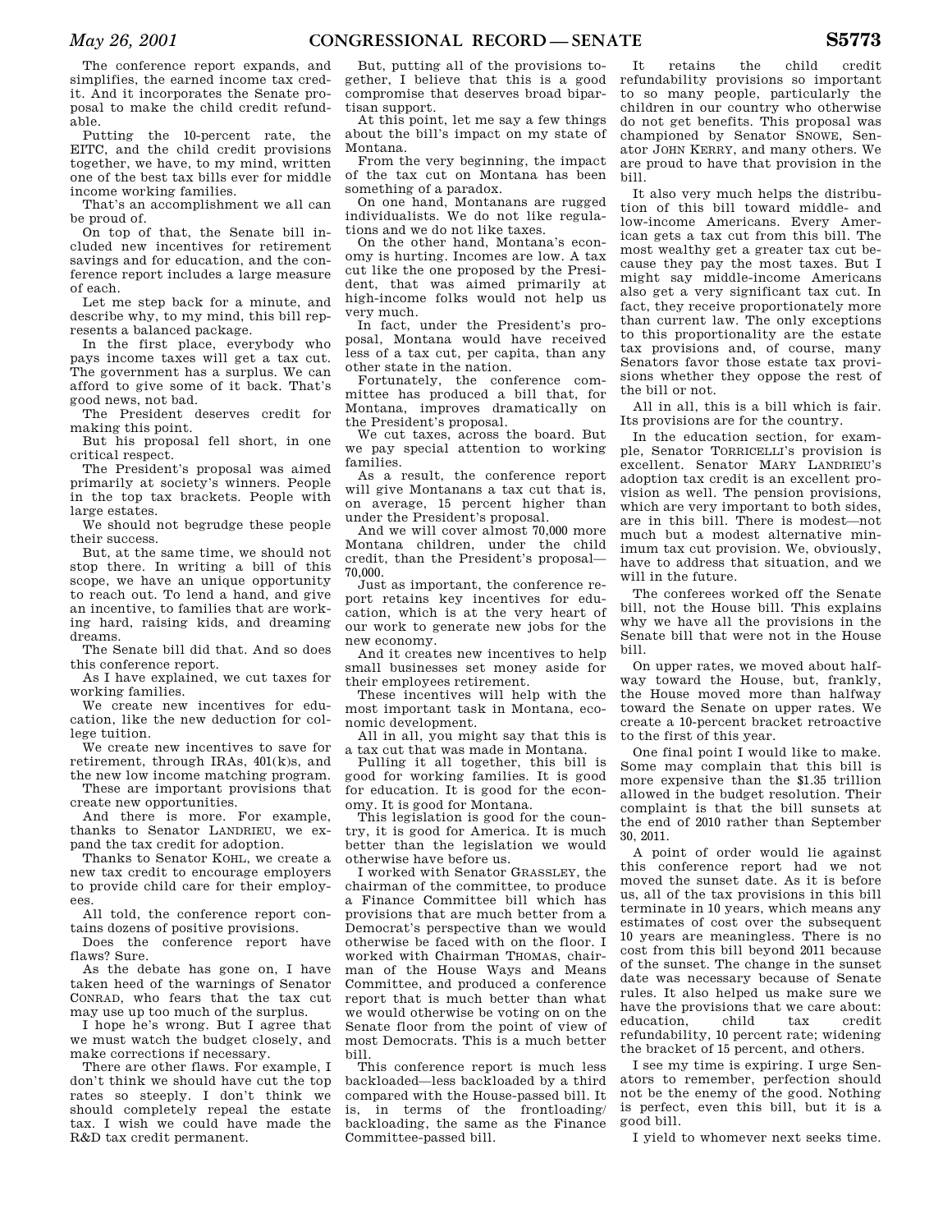The conference report expands, and simplifies, the earned income tax credit. And it incorporates the Senate proposal to make the child credit refundable.

Putting the 10-percent rate, the EITC, and the child credit provisions together, we have, to my mind, written one of the best tax bills ever for middle income working families.

That's an accomplishment we all can be proud of.

On top of that, the Senate bill included new incentives for retirement savings and for education, and the conference report includes a large measure of each.

Let me step back for a minute, and describe why, to my mind, this bill represents a balanced package.

In the first place, everybody who pays income taxes will get a tax cut. The government has a surplus. We can afford to give some of it back. That's good news, not bad.

The President deserves credit for making this point.

But his proposal fell short, in one critical respect.

The President's proposal was aimed primarily at society's winners. People in the top tax brackets. People with large estates.

We should not begrudge these people their success.

But, at the same time, we should not stop there. In writing a bill of this scope, we have an unique opportunity to reach out. To lend a hand, and give an incentive, to families that are working hard, raising kids, and dreaming dreams.

The Senate bill did that. And so does this conference report.

As I have explained, we cut taxes for working families.

We create new incentives for education, like the new deduction for college tuition.

We create new incentives to save for retirement, through IRAs, 401(k)s, and the new low income matching program.

These are important provisions that create new opportunities.

And there is more. For example, thanks to Senator LANDRIEU, we expand the tax credit for adoption.

Thanks to Senator KOHL, we create a new tax credit to encourage employers to provide child care for their employees.

All told, the conference report contains dozens of positive provisions.

Does the conference report have flaws? Sure.

As the debate has gone on, I have taken heed of the warnings of Senator CONRAD, who fears that the tax cut may use up too much of the surplus.

I hope he's wrong. But I agree that we must watch the budget closely, and make corrections if necessary.

There are other flaws. For example, I don't think we should have cut the top rates so steeply. I don't think we should completely repeal the estate tax. I wish we could have made the R&D tax credit permanent.

But, putting all of the provisions together, I believe that this is a good compromise that deserves broad bipartisan support.

At this point, let me say a few things about the bill's impact on my state of Montana.

From the very beginning, the impact of the tax cut on Montana has been something of a paradox.

On one hand, Montanans are rugged individualists. We do not like regulations and we do not like taxes.

On the other hand, Montana's economy is hurting. Incomes are low. A tax cut like the one proposed by the President, that was aimed primarily at high-income folks would not help us very much.

In fact, under the President's proposal, Montana would have received less of a tax cut, per capita, than any other state in the nation.

Fortunately, the conference committee has produced a bill that, for Montana, improves dramatically on the President's proposal.

We cut taxes, across the board. But we pay special attention to working families.

As a result, the conference report will give Montanans a tax cut that is, on average, 15 percent higher than under the President's proposal.

And we will cover almost 70,000 more Montana children, under the child credit, than the President's proposal— 70,000.

Just as important, the conference report retains key incentives for education, which is at the very heart of our work to generate new jobs for the new economy.

And it creates new incentives to help small businesses set money aside for their employees retirement.

These incentives will help with the most important task in Montana, economic development.

All in all, you might say that this is a tax cut that was made in Montana.

Pulling it all together, this bill is good for working families. It is good for education. It is good for the economy. It is good for Montana.

This legislation is good for the country, it is good for America. It is much better than the legislation we would otherwise have before us.

I worked with Senator GRASSLEY, the chairman of the committee, to produce a Finance Committee bill which has provisions that are much better from a Democrat's perspective than we would otherwise be faced with on the floor. I worked with Chairman THOMAS, chairman of the House Ways and Means Committee, and produced a conference report that is much better than what we would otherwise be voting on on the Senate floor from the point of view of most Democrats. This is a much better bill.

This conference report is much less backloaded—less backloaded by a third compared with the House-passed bill. It is, in terms of the frontloading/ backloading, the same as the Finance Committee-passed bill.

It retains the child credit refundability provisions so important to so many people, particularly the children in our country who otherwise do not get benefits. This proposal was championed by Senator SNOWE, Senator JOHN KERRY, and many others. We are proud to have that provision in the bill.

It also very much helps the distribution of this bill toward middle- and low-income Americans. Every American gets a tax cut from this bill. The most wealthy get a greater tax cut because they pay the most taxes. But I might say middle-income Americans also get a very significant tax cut. In fact, they receive proportionately more than current law. The only exceptions to this proportionality are the estate tax provisions and, of course, many Senators favor those estate tax provisions whether they oppose the rest of the bill or not.

All in all, this is a bill which is fair. Its provisions are for the country.

In the education section, for example, Senator TORRICELLI's provision is excellent. Senator MARY LANDRIEU's adoption tax credit is an excellent provision as well. The pension provisions, which are very important to both sides, are in this bill. There is modest—not much but a modest alternative minimum tax cut provision. We, obviously, have to address that situation, and we will in the future.

The conferees worked off the Senate bill, not the House bill. This explains why we have all the provisions in the Senate bill that were not in the House bill.

On upper rates, we moved about halfway toward the House, but, frankly, the House moved more than halfway toward the Senate on upper rates. We create a 10-percent bracket retroactive to the first of this year.

One final point I would like to make. Some may complain that this bill is more expensive than the \$1.35 trillion allowed in the budget resolution. Their complaint is that the bill sunsets at the end of 2010 rather than September 30, 2011.

A point of order would lie against this conference report had we not moved the sunset date. As it is before us, all of the tax provisions in this bill terminate in 10 years, which means any estimates of cost over the subsequent 10 years are meaningless. There is no cost from this bill beyond 2011 because of the sunset. The change in the sunset date was necessary because of Senate rules. It also helped us make sure we have the provisions that we care about: education, child tax credit refundability, 10 percent rate; widening the bracket of 15 percent, and others.

I see my time is expiring. I urge Senators to remember, perfection should not be the enemy of the good. Nothing is perfect, even this bill, but it is a good bill.

I yield to whomever next seeks time.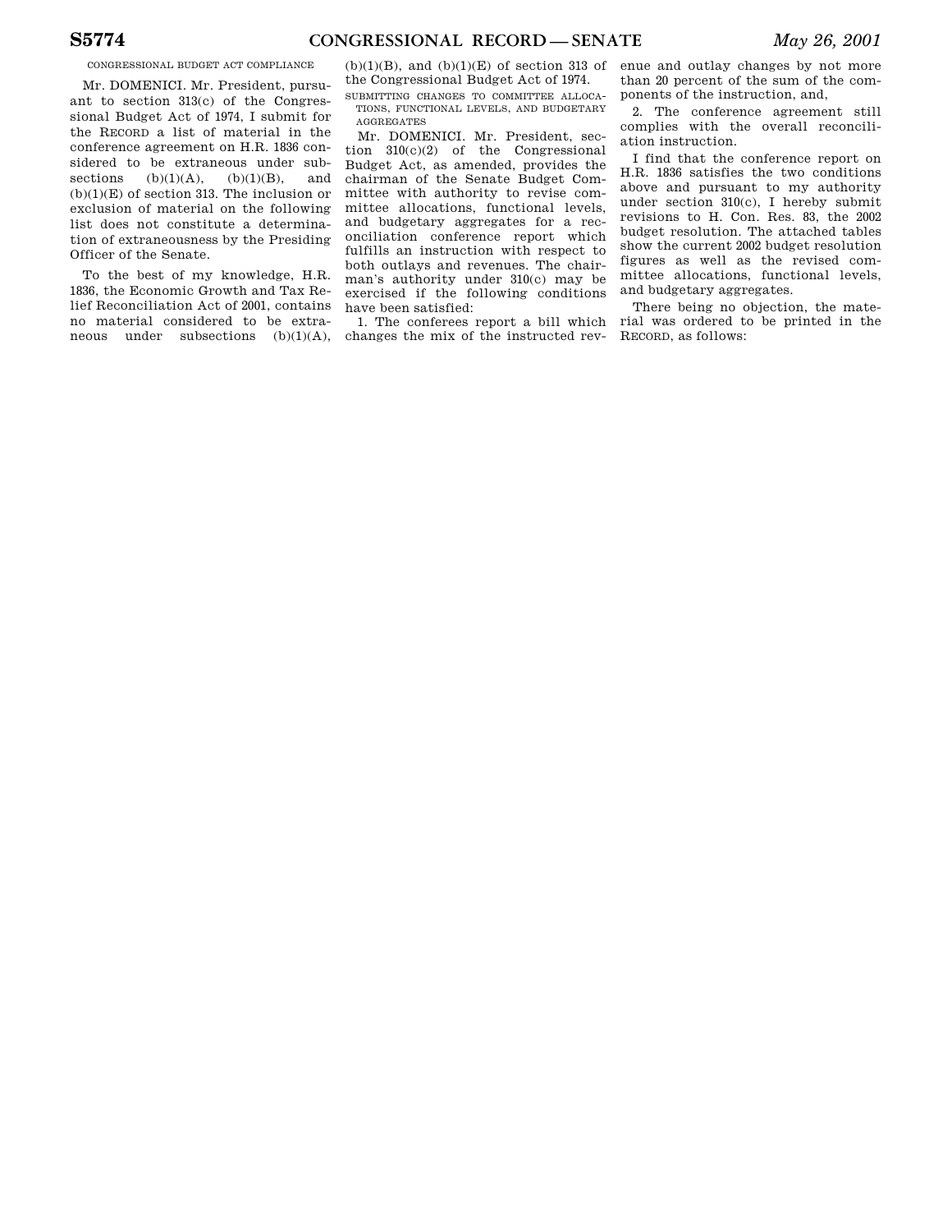CONGRESSIONAL BUDGET ACT COMPLIANCE

Mr. DOMENICI. Mr. President, pursuant to section 313(c) of the Congressional Budget Act of 1974, I submit for the RECORD a list of material in the conference agreement on H.R. 1836 considered to be extraneous under subsections  $(b)(1)(A)$ ,  $(b)(1)(B)$ , and  $(b)(1)(E)$  of section 313. The inclusion or exclusion of material on the following list does not constitute a determination of extraneousness by the Presiding Officer of the Senate.

To the best of my knowledge, H.R. 1836, the Economic Growth and Tax Relief Reconciliation Act of 2001, contains no material considered to be extraneous under subsections  $(b)(1)(A)$ ,  $(b)(1)(B)$ , and  $(b)(1)(E)$  of section 313 of the Congressional Budget Act of 1974.

SUBMITTING CHANGES TO COMMITTEE ALLOCA-TIONS, FUNCTIONAL LEVELS, AND BUDGETARY AGGREGATES

Mr. DOMENICI. Mr. President, section 310(c)(2) of the Congressional Budget Act, as amended, provides the chairman of the Senate Budget Committee with authority to revise committee allocations, functional levels, and budgetary aggregates for a reconciliation conference report which fulfills an instruction with respect to both outlays and revenues. The chairman's authority under 310(c) may be exercised if the following conditions have been satisfied:

1. The conferees report a bill which changes the mix of the instructed rev-

enue and outlay changes by not more than 20 percent of the sum of the components of the instruction, and,

2. The conference agreement still complies with the overall reconciliation instruction.

I find that the conference report on H.R. 1836 satisfies the two conditions above and pursuant to my authority under section 310(c), I hereby submit revisions to H. Con. Res. 83, the 2002 budget resolution. The attached tables show the current 2002 budget resolution figures as well as the revised committee allocations, functional levels, and budgetary aggregates.

There being no objection, the material was ordered to be printed in the RECORD, as follows: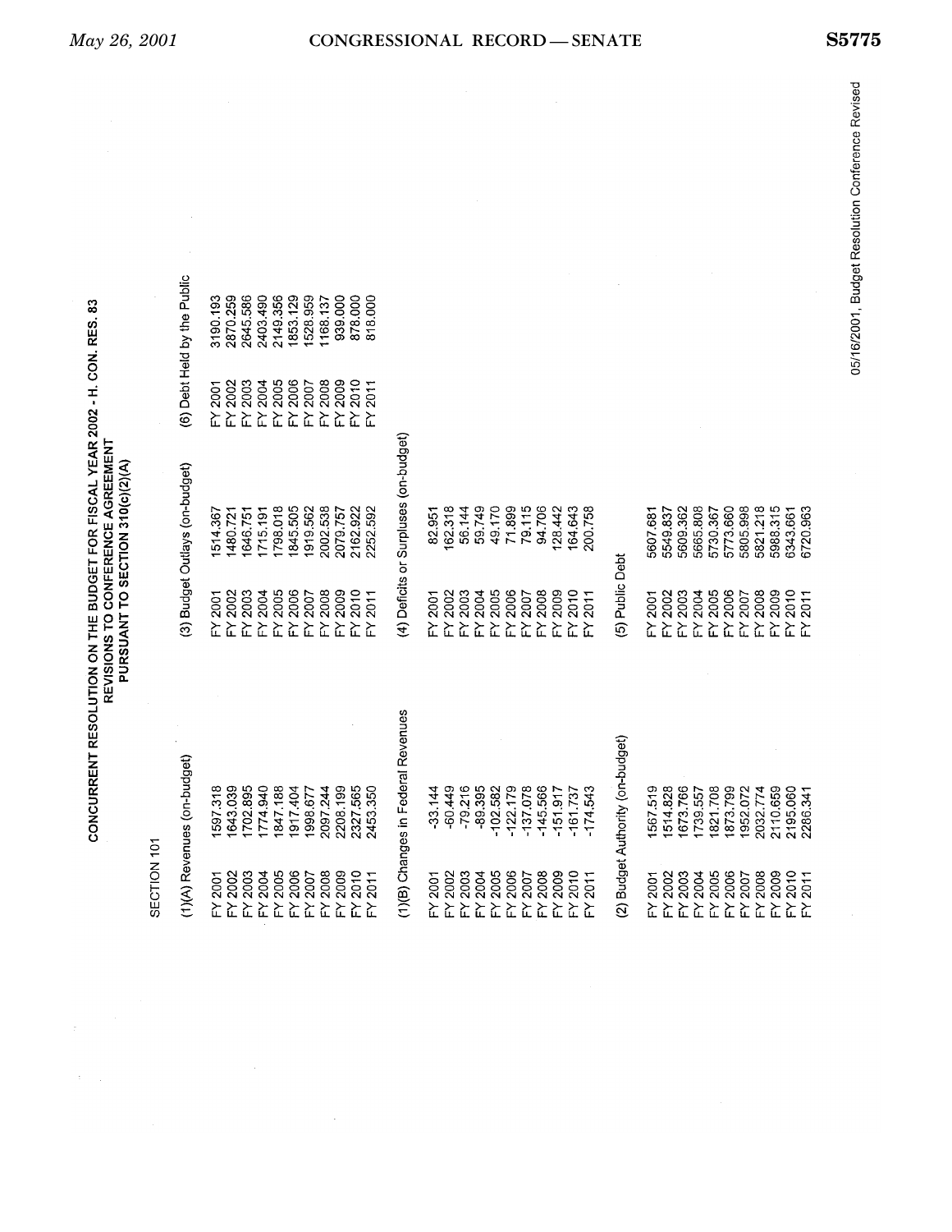| CONCURRENT RESOLUTION ON THE BUDGET FOR FISCAL YEAR 2002 - H. CON. RES. 83<br>REVISIONS TO CONFERENCE AGREEMENT | PURSUANT TO SECTION 310(c)(2)(A) |
|-----------------------------------------------------------------------------------------------------------------|----------------------------------|
|-----------------------------------------------------------------------------------------------------------------|----------------------------------|

|  | ì<br>î |
|--|--------|
|  |        |
|  |        |
|  |        |
|  |        |
|  |        |
|  |        |
|  |        |
|  |        |

 $\mathbb{C}^{\mathbb{C}^n}$  .

| SECTION 101              |                                    |                    |                                       |                     |                          |
|--------------------------|------------------------------------|--------------------|---------------------------------------|---------------------|--------------------------|
|                          | (1)(A) Revenues (on-budget)        |                    | (3) Budget Outlays (on-budget)        |                     | (6) Debt Held by the Pub |
| FY 2001                  | 1597.318                           | Y2001              | 514.367                               | $\mathsf{F}$ Y 2001 | 3190.193                 |
| FY 2002                  | 1643.039                           | $-Y 2002$          | 1480.721                              | $-Y 2002$           | 2870.259                 |
| FY 2003                  | 1702.895                           | $-Y 2003$          | 1646.751                              | FY 2003             | 2645.586                 |
| FY 2004                  | 1774.940                           | $=$ Y 2004         | 1715.191                              | FY 2004             | 2403.490                 |
| FY 2005                  | 1847.188                           | FY 2005            | 1798.018                              | FY 2005             | 2149.356                 |
| FY 2006                  | 1917.404                           | FY 2006            | 1845.505                              | FY 2006             | 1853.129                 |
| FY 2007                  | 1998.677                           | FY 2007            | 1919.562                              | FY 2007             | 1528.959                 |
| FY 2008                  | 2097.244                           | $-4.2008$          | 2002.538                              | FY 2008             | 1168.137                 |
| FY 2009                  | 2208.199                           | $=$ Y 2009         | 2079.757                              | FY 2009             | 939.000                  |
| FY 2010                  | 2327.565                           | $-Y 2010$          | 2162.922                              | $-Y 2010$           | 878.000                  |
| FY 2011                  | 2453.350                           | $=$ $Y$ 2011       | 2252.592                              | 2011<br>놊           | 818.000                  |
|                          | (1)(B) Changes in Federal Revenues |                    | (4) Deficits or Surpluses (on-budget) |                     |                          |
| FY 2001                  | $-33.144$                          | FY 2001            | 82,951                                |                     |                          |
| FY 2002                  | $-60.449$                          | FY 2002            | 162.318                               |                     |                          |
| FY 2003                  | $-79.216$                          | FY 2003            | 56.144                                |                     |                          |
| FY 2004                  | $-89.395$                          | FY 2004            | 59.749                                |                     |                          |
| FY 2005                  | $-102.582$                         | FY 2005            | 49.170                                |                     |                          |
| FY 2006                  | $-122.179$                         | FY 2006            | 71.899                                |                     |                          |
| FY 2007                  | $-137.078$                         | FY 2007            | 79.115                                |                     |                          |
| FY 2008                  | $-145.566$                         | FY 2008            | 94.706                                |                     |                          |
| FY 2009                  | $-151.917$                         | FY 2009            | 128.442                               |                     |                          |
| FY 2010                  | $-161.737$                         | FY 2010            | 164.643                               |                     |                          |
| 2011<br>$\sum_{i=1}^{n}$ | $-174.543$                         | 2011<br>뉴          | 200.758                               |                     |                          |
|                          | (2) Budget Authority (on-budget)   | (5) Public Debt    |                                       |                     |                          |
| FY 2001                  | 1567.519                           | $FY$ 2001          | 5607.681                              |                     |                          |
| FY 2002                  | 1514.828                           | FY 2002            | 5549.837                              |                     |                          |
| FY 2003                  | 1673.766                           | FY 2003            | 5609.362                              |                     |                          |
| FY 2004                  | 1739.557                           | FY 2004            | 5665.808                              |                     |                          |
| FY 2005                  | 1821.708                           | FY 2005            | 5730.367                              |                     |                          |
| FY 2006                  | 1873.799                           | FY 2006            | 5773.660                              |                     |                          |
| FY 2007                  | 1952.072                           | FY 2007            | 5805.998                              |                     |                          |
| FY 2008                  | 2032.774                           | FY 2008            | 5821.218                              |                     |                          |
| FY 2009                  | 2110.659                           | FY 2009            | 5988.315                              |                     |                          |
| FY 2010<br>FY 2011       | 2195.060                           | FY 2010<br>FY 2011 | 6343.661                              |                     |                          |
|                          | 2286.341                           |                    | 5720.963                              |                     |                          |

the Public  $\hat{\boldsymbol{\epsilon}}$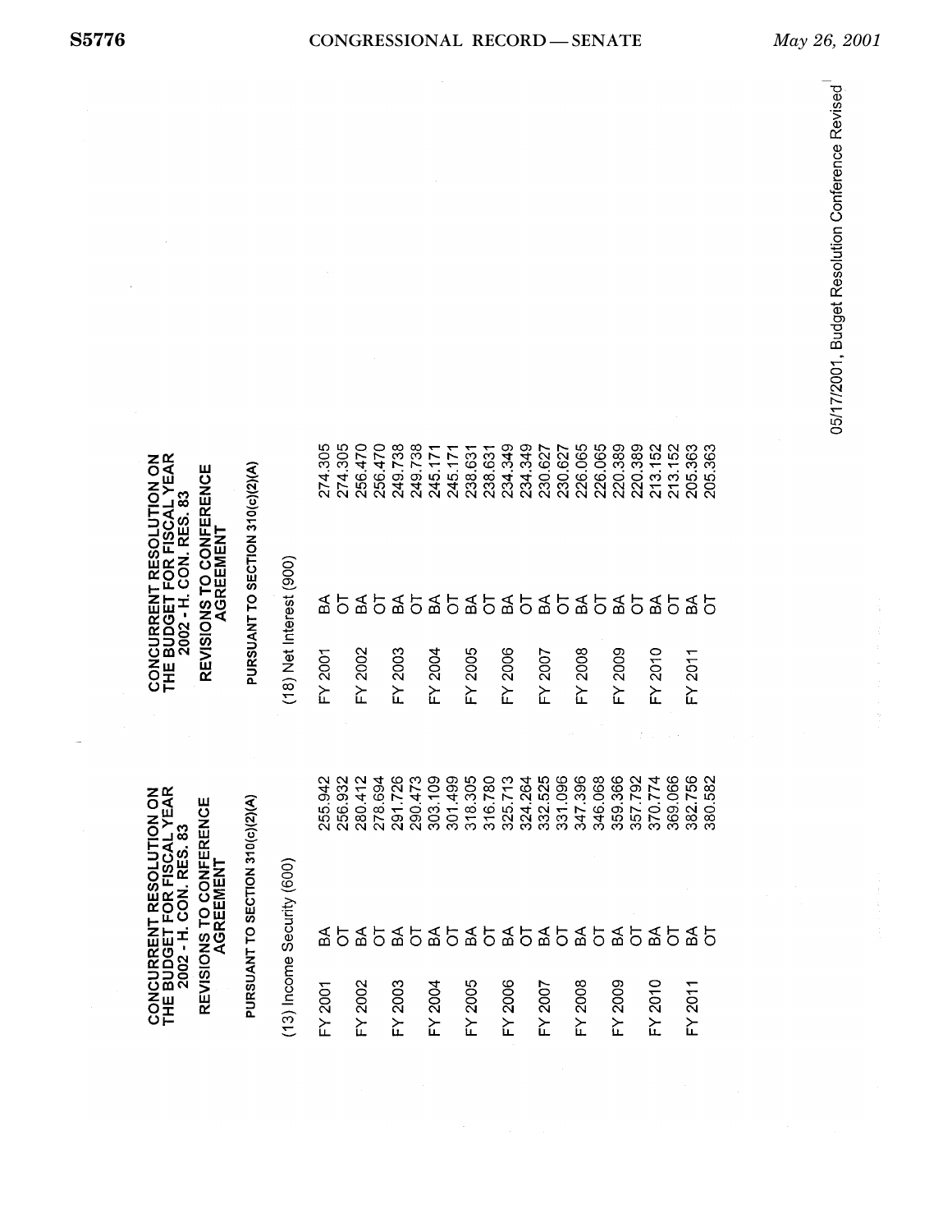| FY 2005<br>FY 2002<br><b>FY 2003</b><br>FY 2004<br>FY 2001 | PURSUANT TO SECTION 310(c)(2)(A)<br><b>REVISIONS TO CONFERENCE</b><br>2002 - H. CON. RES. 83<br>(13) Income Security (600)<br>$\mathbb A$<br>€<br>a€<br>a€<br>5<br>₹€<br>능<br>5<br>5 | 318.305<br>291.726<br>303.109<br>301.499<br>255.942<br>256.932<br>280.412<br>278.694<br>290.473<br>CONCURRENT RESOLUTION ON<br>THE BUDGET FOR FISCAL YEAR | FY 2002<br><b>FY 2003</b><br>FY 2004<br>FY 2005<br>FY 2001 | <b>CONCURRENT RESOLUTION ON<br/>THE BUDGET FOR FISCAL YEAR</b><br>PURSUANT TO SECTION 310(c)(2)(A)<br>REVISIONS TO CONFERENCE<br>2002 - H. CON. RES. 83<br>AGREEMENT<br>$(18)$ Net Interest $(900)$<br>35<br>$\mathbb{A}$<br>꽃 오<br>æ<br>$\overline{5}$<br>5 | 274.305<br>274.305<br>256.470<br>256.470<br>249.738<br>249.738<br>245.17<br>245.17<br>238.631 |
|------------------------------------------------------------|--------------------------------------------------------------------------------------------------------------------------------------------------------------------------------------|-----------------------------------------------------------------------------------------------------------------------------------------------------------|------------------------------------------------------------|--------------------------------------------------------------------------------------------------------------------------------------------------------------------------------------------------------------------------------------------------------------|-----------------------------------------------------------------------------------------------|
|                                                            | $\mathbb A$<br>$\mathbbm{B}$<br>능<br>$\overline{5}$<br>5                                                                                                                             | 331.096<br>316.780<br>324.264<br>332.525<br>325.713                                                                                                       | FY 2006<br>FY 2007                                         | 5 % 5 % 5 % 5 %                                                                                                                                                                                                                                              | 234.349<br>234.349<br>230.627<br>230.627<br>238.631                                           |
|                                                            | $\mathbb{S}^\mathsf{A}$<br>$\overline{5}$<br>$\mathfrak{F}$<br>đ                                                                                                                     | 347.396<br>359.366<br>346.068<br>357.792                                                                                                                  | FY 2009<br>FY 2008                                         |                                                                                                                                                                                                                                                              | 220.389<br>226.065<br>226.065<br>220.389                                                      |
|                                                            | ୫<br>ธี<br>ㅎ<br>5                                                                                                                                                                    | 369.066<br>382.756<br>370.774<br>380,582                                                                                                                  | FY 2010<br>FY 2011                                         | 555<br>$\mathbf{B}^{\mathbf{A}}$<br>5                                                                                                                                                                                                                        | 213.152<br>213.152<br>205.363<br>205.363                                                      |

05/17/2001, Budget Resolution Conference Revised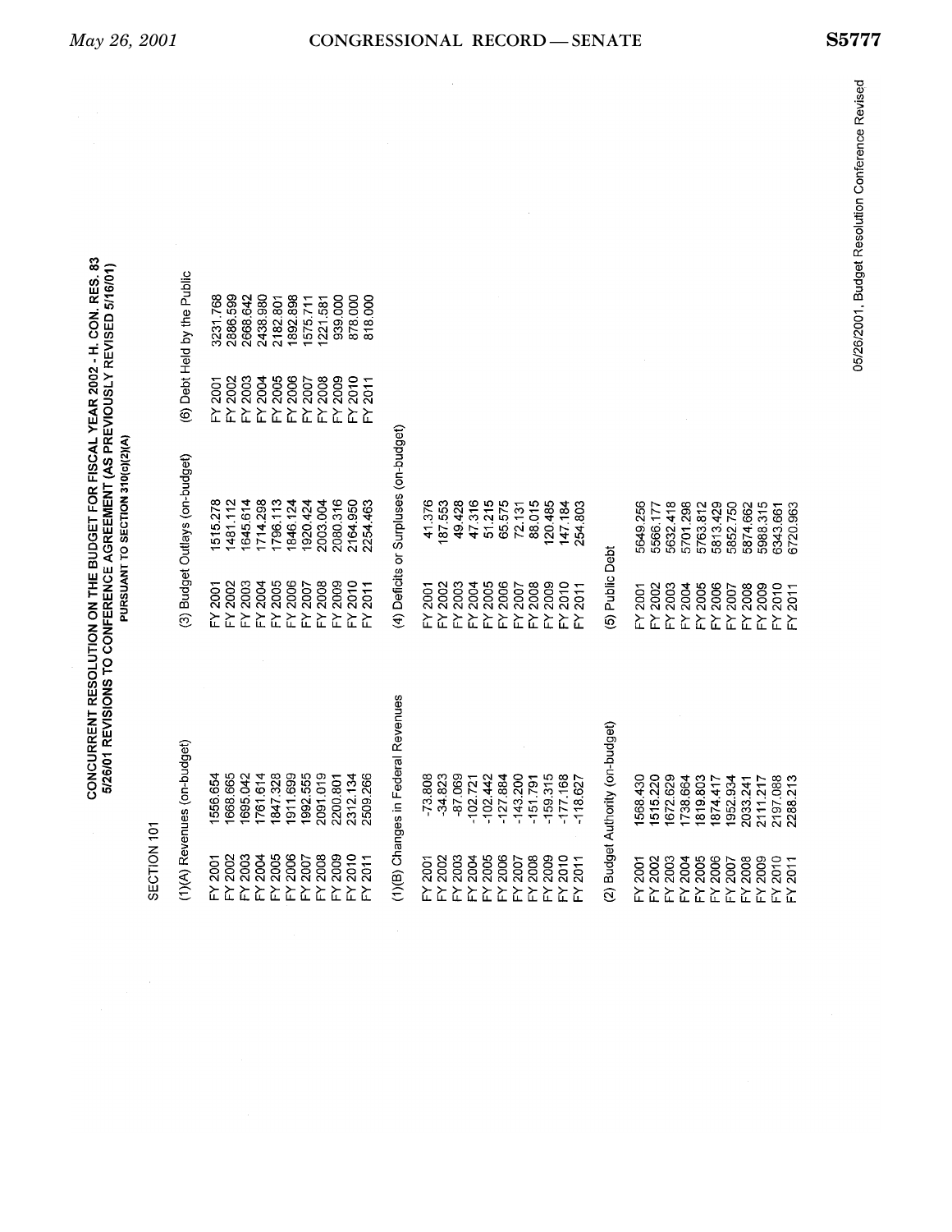|                          |                                    |                    | PURSUANT TO SECTION 310(c)(2)(A)      |                          |                             |
|--------------------------|------------------------------------|--------------------|---------------------------------------|--------------------------|-----------------------------|
| SECTION 101              |                                    |                    |                                       |                          |                             |
|                          | (1)(A) Revenues (on-budget)        |                    | (3) Budget Outlays (on-budget)        |                          | (6) Debt Held by the Public |
| FY 2001                  | 1556.654                           | FY 2001            | 1515.278                              | 2001<br>$\sum_{i=1}^{n}$ | 3231.768                    |
| FY 2002                  | 1668.665                           | FY 2002            | 1481.112                              | <b>FY 2002</b>           | 2886.599                    |
| FY 2003                  | 1695.042                           | <b>FY 2003</b>     | 1645.614                              | FY 2003                  | 2668.642                    |
| FY 2004                  | 1761.614                           | FY 2004            | 1714.298                              | <b>2004</b><br>도는        | 2438.980                    |
| FY 2005                  | 1847.328                           | FY 2005            | 1796.113                              | 2005                     | 2182.801                    |
| FY 2006                  | 1911.699                           | FY 2006            | 1846.124                              | FY 2006                  | 1892.898                    |
| FY 2007                  | 1992.555                           | FY 2007            | 1920.424                              | 2007<br>도도               | 1575.711                    |
| FY 2008                  | 2091.019                           | FY 2008            | 2003.004                              | 2008                     | 1221.581                    |
| FY 2009                  | 2200.801                           | FY 2009            | 2080.316                              | FY 2009                  | 939.000                     |
| FY 2010                  | 2312.134                           | $FY$ 2010          | 2164.950                              | 2010<br>と                | 878.000                     |
| 2011<br>놊                | 2509.266                           | 2011<br>$\geq$     | 2254.463                              | 2011<br>$\sum_{i=1}^{n}$ | 818.000                     |
|                          | (1)(B) Changes in Federal Revenues |                    | (4) Deficits or Surpluses (on-budget) |                          |                             |
| $\geq$ 2001              | $-73.808$                          | FY 2001            | 41.376                                |                          |                             |
| FY 2002                  | $-34.823$                          | FY 2002            | 187.553                               |                          |                             |
| FY 2003                  | -87.069                            | FY 2003            | 49.428                                |                          |                             |
| FY 2004                  | $-102.721$                         | FY 2004            | 47316                                 |                          |                             |
| FY 2005                  | $-102.442$                         | FY 2005            | 51.215                                |                          |                             |
| FY 2006                  | $-127884$                          | FY 2006            | 65.575                                |                          |                             |
| FY 2007                  | $-143.200$                         | 2007<br>$\sum$     | 72.131                                |                          |                             |
| FY 2008                  | $-151.791$                         | FY 2008            | 88.015                                |                          |                             |
| FY 2009                  | $-159.315$                         | FY 2009            | 120.485                               |                          |                             |
| 2010<br>.<br>ک           | $-177.168$                         | 2010<br>혼          | 147.184                               |                          |                             |
| 2011<br>と                | $-118.627$                         | 2011<br>놊          | 254.803                               |                          |                             |
| $\widehat{\mathfrak{D}}$ | Budget Authority (on-budget)       | (5) Public Debt    |                                       |                          |                             |
| FY 2001                  | 1568.430                           | FY 2001            | 5649.256                              |                          |                             |
|                          | 1515.220                           | FY 2002            | 5566.177                              |                          |                             |
| FY 2002<br>FY 2003       | 1672.629                           | FY 2003            | 5632.418                              |                          |                             |
| FY 2004                  | 1738.664                           | FY 2004            | 5701298                               |                          |                             |
| FY 2005                  | 1819.803                           | FY 2005            | 5763.812                              |                          |                             |
| FY 2006                  | 1874.417                           | FY 2006            | 5813.429                              |                          |                             |
| 2007<br>눈                | 1952.934                           | FY 2007            | 5852.750                              |                          |                             |
| FY 2008                  | 2033.241                           | FY 2008            | 5874.662                              |                          |                             |
| FY 2009                  | 2111.217                           | FY 2009            | 5988.315                              |                          |                             |
| FY 2010<br>FY 2011       | 2197.088                           | FY 2011<br>FY 2011 | 6343.661                              |                          |                             |
|                          | 2288.213                           | 2011               | 6720.963                              |                          |                             |

CONCURRENT RESOLUTION ON THE BUDGET FOR FISCAL YEAR 2002 - H. CON. RES. 83<br>5/26/01 REVISIONS TO CONFERENCE AGREEMENT (AS PREVIOUSLY REVISED 5/16/01)

 $\hat{\mathcal{A}}$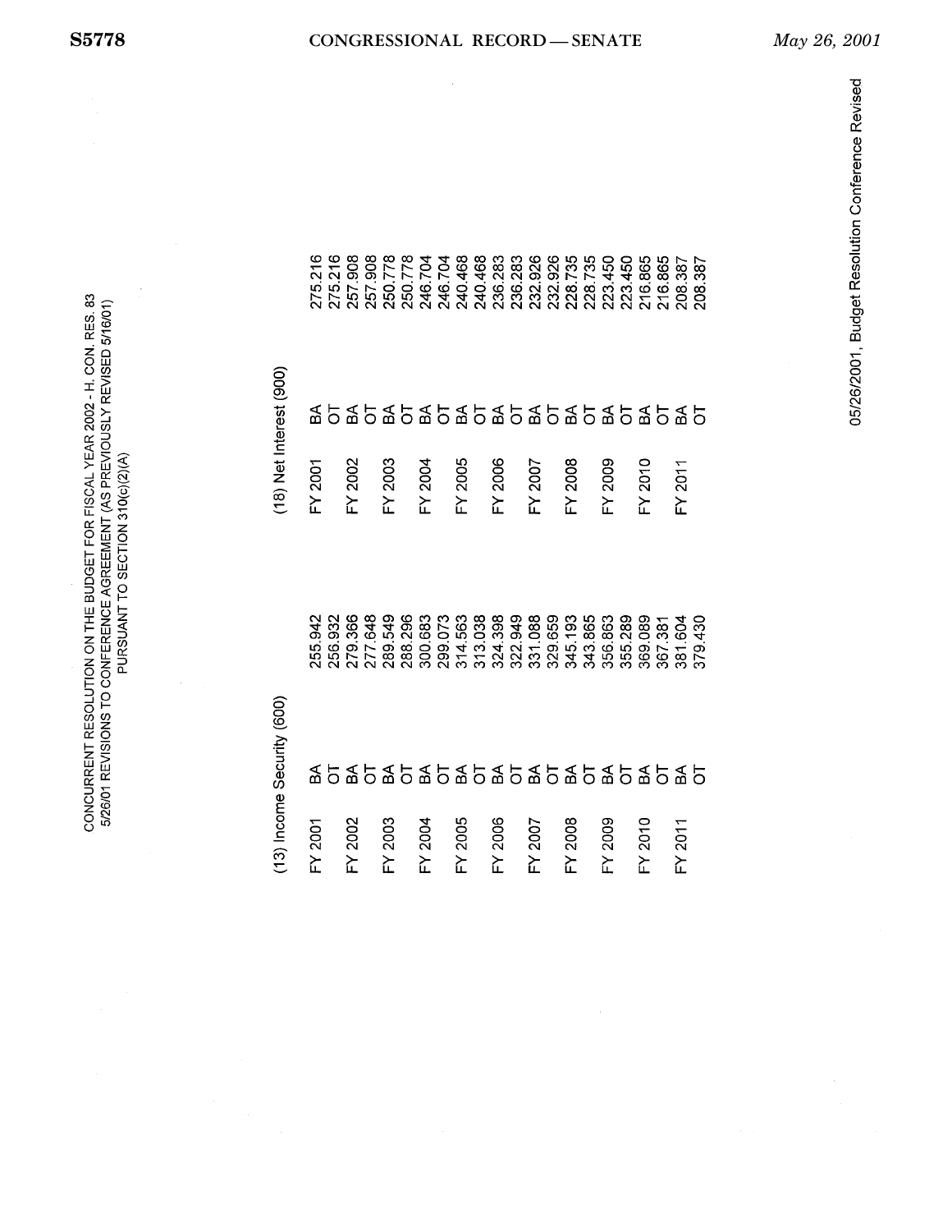CONCURRENT RESOLUTION ON THE BUDGET FOR FISCAL YEAR 2002 - H. CON. RES. 83 5/26/01 REVISIONS TO CONFERENCE AGREEMENT (AS PREVIOUSLY REVISED 5/16/01) PURSUANT TO SECTION 310(c)(2)(A)

257.908 250.778<br>250.778<br>246.704 246.704<br>240.468 240.468<br>236.283 232.926<br>228.735<br>228.735 216.865<br>216.865 236.283 232.926 223.450 223.450 275.216 257.908 208.387 275.216  $(18)$  Net Interest  $(900)$  $\frac{4}{5}$ FY 2003 FY 2005 FY 2006 FY 2008 FY 2009 FY 2010 FY 2001 FY 2002 FY 2004 FY 2007 FY 2011 277.648 289.549<br>288.296<br>300.683 299.073 314.563<br>313.038<br>324.398 322.949 331.088<br>329.659 345.193 343.865 367.381 381.604 379.430 255.942 279.366 356.863 355.289 369.089 256.932 (13) Income Security (600)  $\frac{4}{5}$ FY 2004 FY 2003 FY 2005 FY 2006 FY 2008 FY 2009 FY 2010 FY 2011 FY 2002 FY 2001 FY 2007

## **S5778 CONGRESSIONAL RECORD — SENATE** *May 26, 2001*

208.387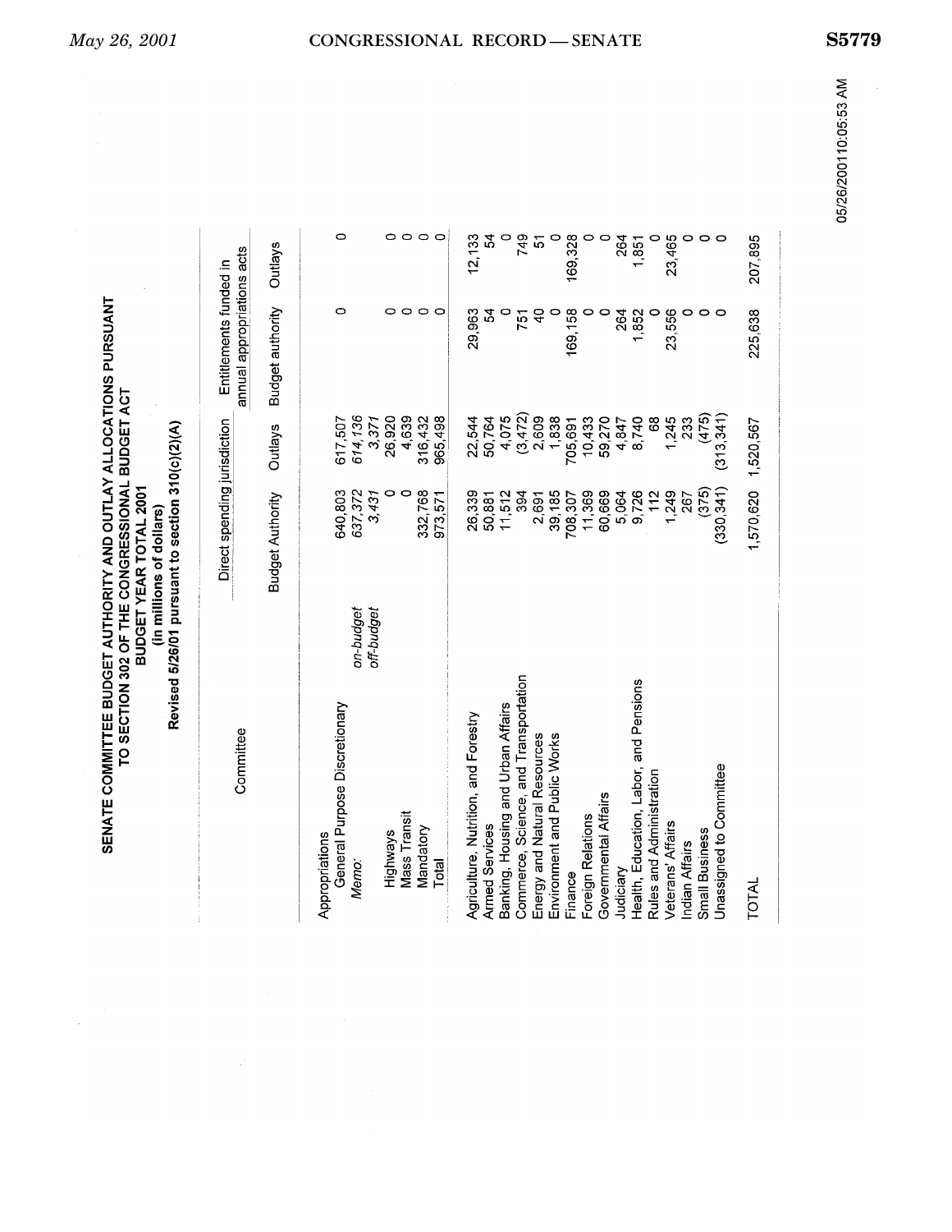| Committee                              | Direct spending jurisdiction |                | Entitlements funded in     |                     |
|----------------------------------------|------------------------------|----------------|----------------------------|---------------------|
|                                        |                              |                | annual appropriations acts |                     |
|                                        | <b>Budget Authority</b>      | <b>Outlays</b> | <b>Budget authority</b>    | Outlays             |
| Appropriations                         |                              |                |                            |                     |
| General Purpose Discretionary          | 640,803                      | 617,507        | 0                          | Ō                   |
| on-budget<br>Memo:                     | 637,372                      | 614,136        |                            |                     |
| off-budget                             | 3,431                        | 3,371          |                            |                     |
| Highways                               | 0                            | 26,920         |                            | $\circ$             |
| Mass Transit                           | 0                            | 4,639          | 0                          |                     |
| Mandatory                              | 332,768                      | 316,432        | ٥                          | $\circ \circ \circ$ |
| Total                                  | 973.571                      | 965.498        | c                          |                     |
| Agriculture, Nutrition, and Forestry   | 26,339                       | 22,544         | 29,963                     | 12, 133             |
| <b>Armed Services</b>                  | 50,881                       | 50,764         | 24                         | 54                  |
| Banking, Housing and Urban Affairs     | 11,512                       | 4,075          |                            |                     |
| Commerce, Science, and Transportation  | 394                          | (3,472)        | 751                        | 749                 |
| Energy and Natural Resources           | 2,691                        | 2,609          | 9                          | <u>ა</u>            |
| Environment and Public Works           | 39,185                       | 1,838          |                            |                     |
| Finance                                | 708,307                      | 705,691        | 169,158                    | 169,328             |
| Foreign Relations                      | 11,369                       | 10,433         |                            |                     |
| Governmental Affairs                   | 60,669                       | 59,270         |                            |                     |
| Judiciary                              | 5,064                        | 4,847          | 264                        | 264                 |
| Health, Education, Labor, and Pensions | 9,726                        | 8,740          | 1,852                      | 1,851               |
| Rules and Administration               | 112                          | 68             |                            |                     |
| Veterans' Affairs                      | 1,249                        | 1,245          | 23,556                     | 23,465              |
| Indian Affairs                         | 267                          | 233            |                            |                     |
| <b>Small Business</b>                  | (375)                        | (475)          |                            |                     |
| Unassigned to Committee                | (330, 341)                   | (313, 341)     |                            |                     |
| TOTAL                                  | 1,570,620 1,520,567          |                | 225,638                    | 207,895             |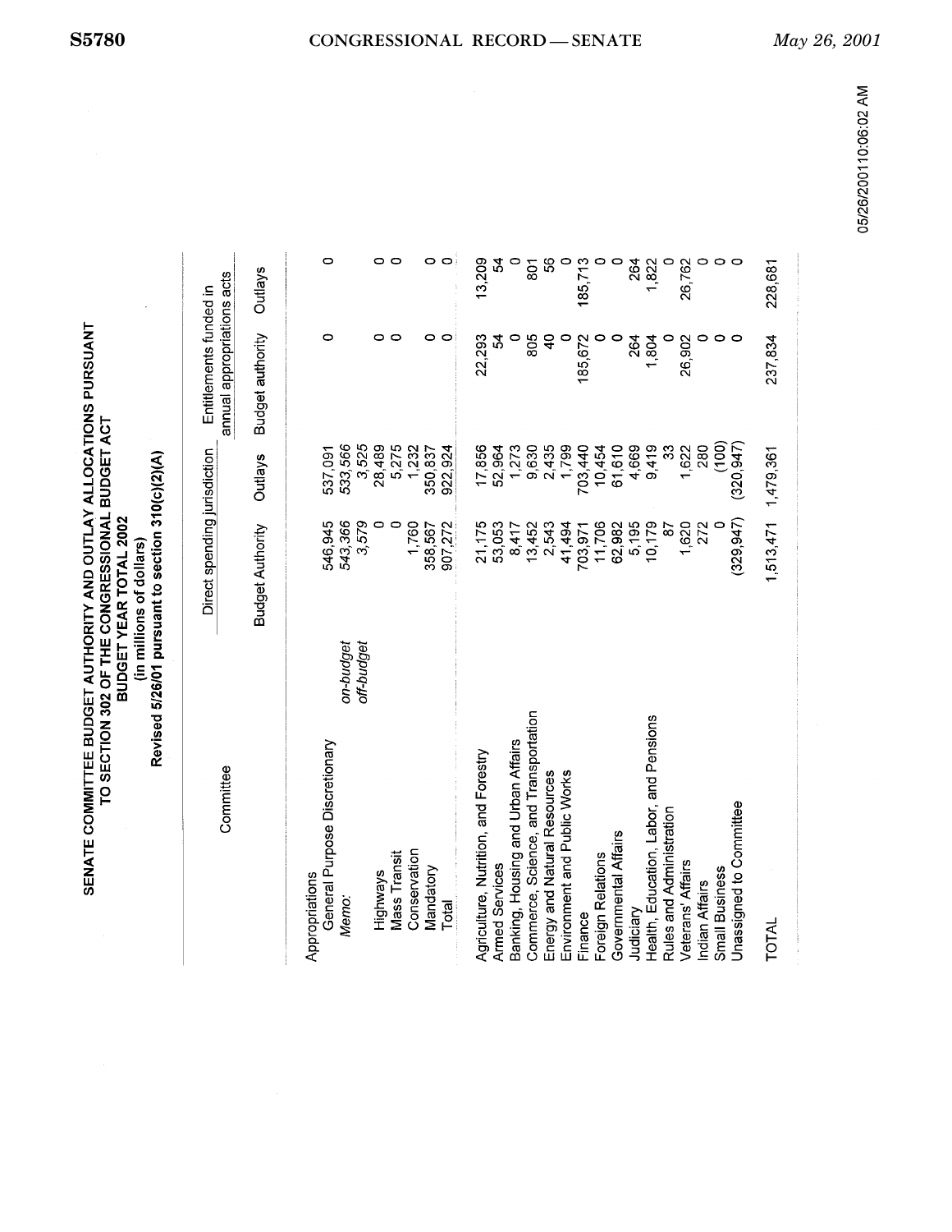| SENATE COMMITTEE BUDGET AUTHORITY AND OUTLAY ALLOCATIONS PURSUANT<br>TO SECTION 302 OF THE CONGRESSIONAL BUDGET ACT | BUDGET YEAR TOTAL 2002 | (in millions of dollars) |
|---------------------------------------------------------------------------------------------------------------------|------------------------|--------------------------|
|---------------------------------------------------------------------------------------------------------------------|------------------------|--------------------------|

Revised 5/26/01 pursuant to section 310(c)(2)(A)

|                                        |            | Direct spending jurisdiction |                    | Entitlements funded in     |                |
|----------------------------------------|------------|------------------------------|--------------------|----------------------------|----------------|
| Committee                              |            |                              |                    | annual appropriations acts |                |
|                                        |            | <b>Budget Authority</b>      | <b>Outlays</b>     | <b>Budget authority</b>    | <b>Outlays</b> |
|                                        |            |                              |                    |                            |                |
| Appropriations                         |            |                              |                    |                            |                |
| General Purpose Discretionary<br>Memo: | on-budget  | 543,366<br>546,945           | 533,566<br>537,091 | ٥                          | $\circ$        |
|                                        | off-budget | 3,579                        | 3,525              |                            |                |
| Highways                               |            | 0                            | 28,489             | 0                          | 0              |
| <b>Mass Transit</b>                    |            | $\circ$                      | 5,275              | 0                          | $\circ$        |
| Conservation                           |            | 1,760                        | 1,232              |                            |                |
| Mandatory                              |            | 358,567                      | 350,837            | 0                          | 0              |
| Total                                  |            | 907,272                      | 922,924            | O                          | 0              |
| Agriculture, Nutrition, and Forestry   |            | 21,175                       | 17,856             | 22,293                     | 13,209         |
| Armed Services                         |            | 53,053                       | 52,964             | 24                         | 24             |
| Banking, Housing and Urban Affairs     |            | 8,417                        | 1,273              |                            |                |
| Commerce, Science, and Transportation  |            | 13,452                       | 9,630              | 805                        | 801            |
| Energy and Natural Resources           |            | 2,543                        | 2,435              | ဒု                         | \$             |
| Environment and Public Works           |            | 41,494                       | 1,799              |                            |                |
| Finance                                |            | 703,971                      | 703,440            | 185,672                    | 185,713        |
| Foreign Relations                      |            | 11,706                       | 10,454             |                            |                |
| Governmental Affairs                   |            | 62,982                       | 61,610             |                            |                |
| Judiciary                              |            | 5,195                        | 4,669              | 264                        | 264            |
| Health, Education, Labor, and Pensions |            | 10,179                       | 9,419              | 1,804                      | 1,822          |
| Rules and Administration               |            | 67                           | 33                 |                            |                |
| Veterans' Affairs                      |            | 1,620                        | 1,622              | 26,902                     | 26,762         |
| <b>Indian Affairs</b>                  |            | 272                          | 280                |                            |                |
| <b>Small Business</b>                  |            |                              | (100)              |                            |                |
| Unassigned to Committee                |            | (329, 947)                   | (320, 947)         |                            |                |
| TOTAL                                  |            | 1,513,471                    | 1,479,361          | 237,834                    | 228,681        |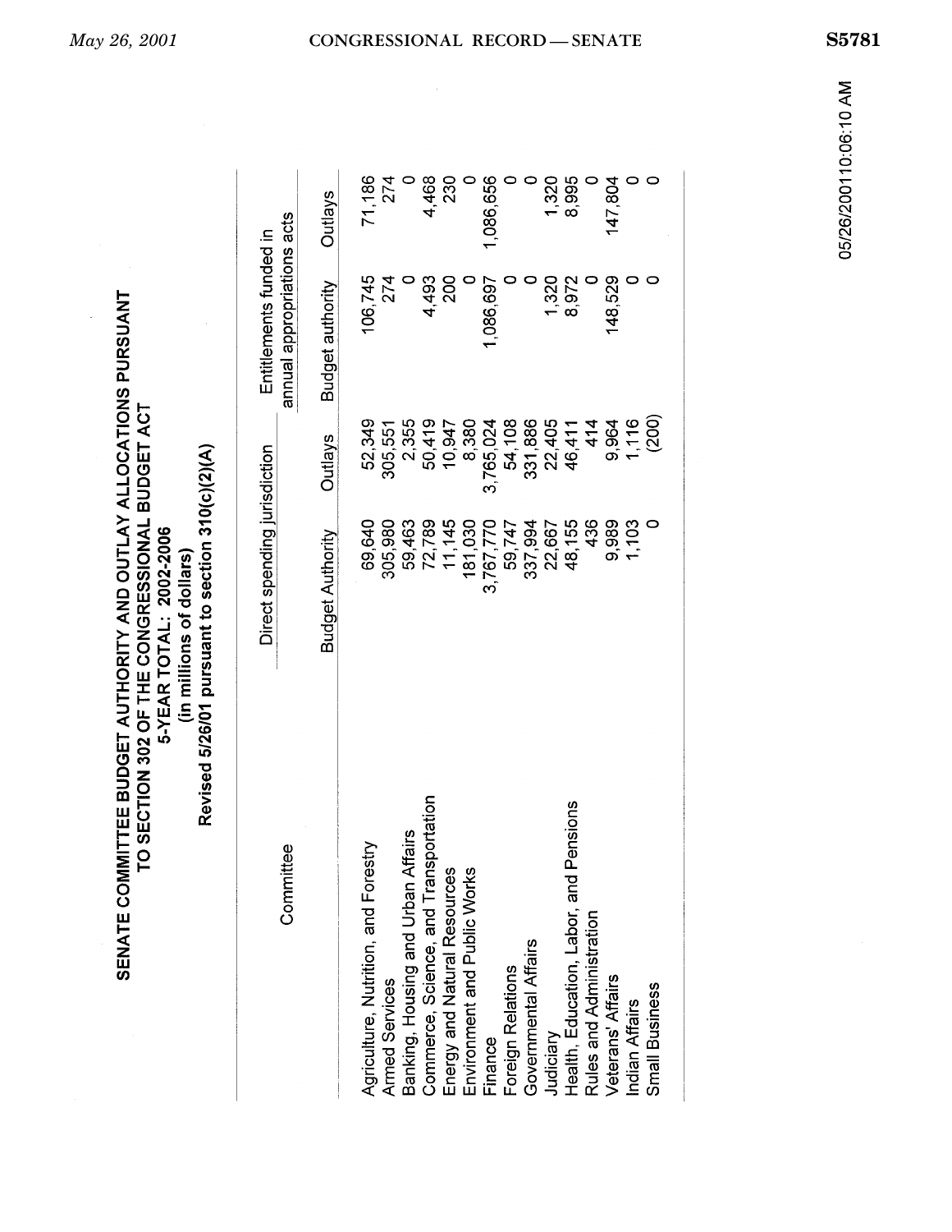| SENATE COMMITTEE BUDGET AUTHORITY AND OUTLAY ALLOCATIONS PURSUANT<br>TO SECTION 302 OF THE CONGRESSIONAL BUDGET ACT<br>5-YEAR TOTAL: 2002-2006 | Revised 5/26/01 pursuant to section 310(c)(2)(A)<br>(in millions of dollars) |
|------------------------------------------------------------------------------------------------------------------------------------------------|------------------------------------------------------------------------------|
|------------------------------------------------------------------------------------------------------------------------------------------------|------------------------------------------------------------------------------|

| Committee                              | Direct spending jurisdiction |                | annual appropriations acts<br>Entitlements funded in |                |
|----------------------------------------|------------------------------|----------------|------------------------------------------------------|----------------|
|                                        | <b>Budget Authority</b>      | <b>Outlays</b> | <b>Budget authority</b>                              | <b>Outlays</b> |
| Agriculture, Nutrition, and Forestry   | 69,640                       | 52,349         | 106,745                                              | 71,186         |
| Armed Services                         | 305,980                      | 305,551        | 274                                                  | 274            |
| Banking, Housing and Urban Affairs     | 59,463                       | 2,355          |                                                      |                |
| Commerce, Science, and Transportation  | 72,789                       | 50,419         | 4,493                                                | 4,468          |
| Energy and Natural Resources           | 11,145                       | 10,947         | 200                                                  | 230            |
| Environment and Public Works           | 181,030                      | 8,380          |                                                      |                |
| Finance                                | 3,767,770                    | 3,765,024      | 1,086,697                                            | ,086,656       |
| Foreign Relations                      | 59,747                       | 54,108         |                                                      |                |
| Governmental Affairs                   | 337,994                      | 331,886        |                                                      |                |
| Judiciary                              | 22,667                       | 22,405         | 1,320                                                | 1,320          |
| Health, Education, Labor, and Pensions | 48,155                       | 46,411         | 8,972                                                | 8,995          |
| Rules and Administration               | 436                          | $\frac{4}{1}$  |                                                      |                |
| Veterans' Affairs                      | 9,989                        | 9,964          | 148,529                                              | 147,804        |
| Indian Affairs                         | 1,103                        | 1,116          |                                                      |                |
| Small Business                         |                              | (200)          |                                                      |                |
|                                        |                              |                |                                                      |                |

 $\mathbf{r}$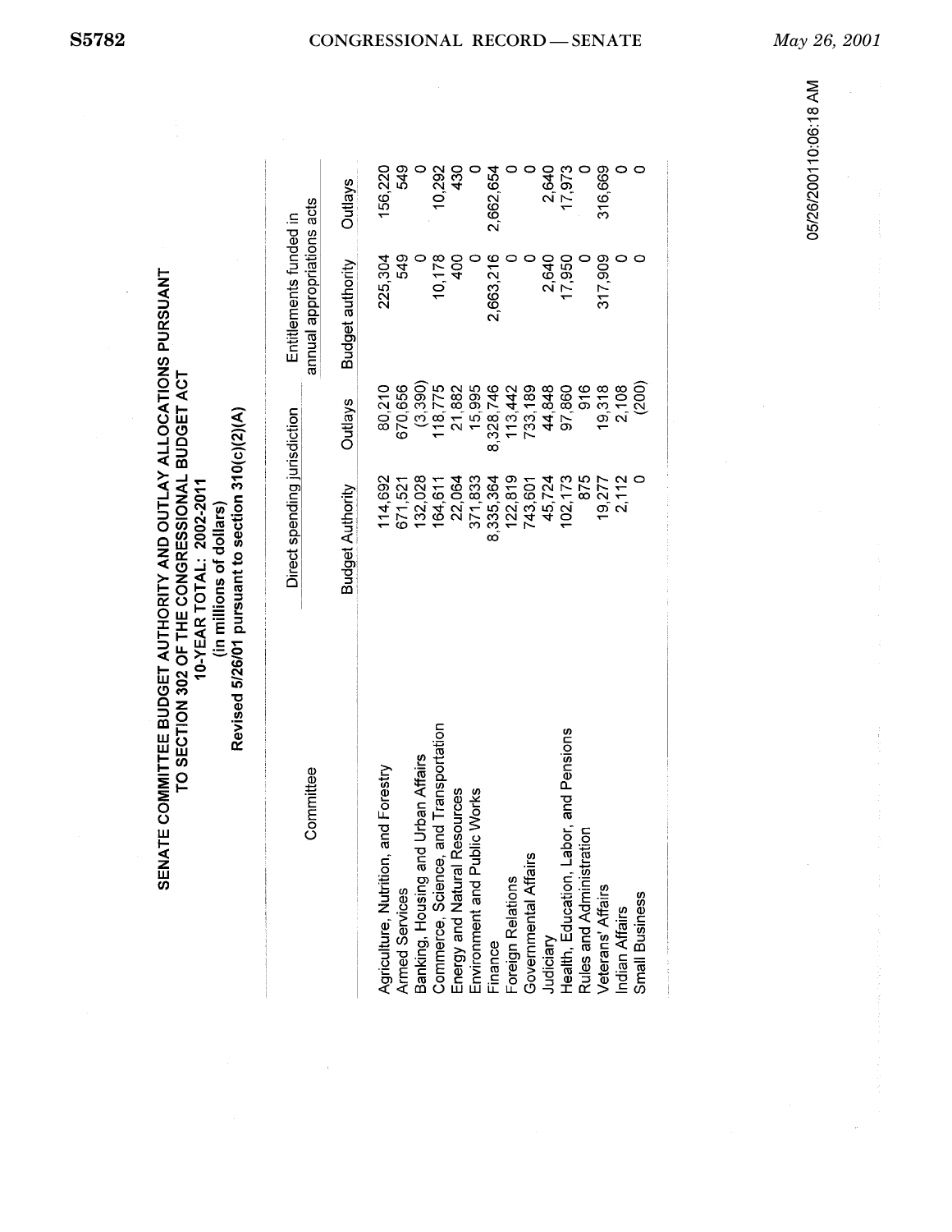|                        | (2)(2)                       |
|------------------------|------------------------------|
| un millions or dollars | 15/26/01 pursuant to section |
|                        | Revised                      |

| Committee                                | Direct spending jurisdiction |                | annual appropriations acts<br>Entitlements funded in |                |
|------------------------------------------|------------------------------|----------------|------------------------------------------------------|----------------|
|                                          | <b>Budget Authority</b>      | <b>Outlays</b> | <b>Budget authority</b>                              | <b>Outlays</b> |
| and Forestry<br>Agriculture, Nutrition,  | 114,692                      | 80,210         | 225,304                                              | 156,220        |
| Armed Services                           | 671,521                      | 670,656        | 549                                                  | 549            |
| Banking, Housing and Urban Affairs       | 132,028                      | (3,390)        |                                                      |                |
| and Transportation<br>Commerce, Science, | 164,611                      | 18,775         | 10,178                                               | 10,292         |
| Energy and Natural Resources             | 22,064                       | 21,882         | 400                                                  | 430            |
| Environment and Public Works             | 371,833                      | 15,995         |                                                      |                |
| Finance                                  | 8,335,364                    | 8,328,746      | 2,663,216                                            | 2,662,654      |
| Foreign Relations                        | 122,819                      | 13,442         |                                                      |                |
| Governmental Affairs                     | 743,601                      | 733,189        |                                                      |                |
| Judiciary                                | 45,724                       | 44,848         | 2,640                                                | 2,640          |
| Health, Education, Labor, and Pensions   | 102,173                      | 97,860         | 17,950                                               | 17,973         |
| Rules and Administration                 | 875                          | 916            |                                                      |                |
| Veterans' Affairs                        | 19,277                       | 19,318         | 317,909                                              | 316,669        |
| Indian Affairs                           | 2,112                        | 2,108          |                                                      |                |
| Small Business                           |                              | (200)          |                                                      |                |

**S5782 CONGRESSIONAL RECORD — SENATE** *May 26, 2001*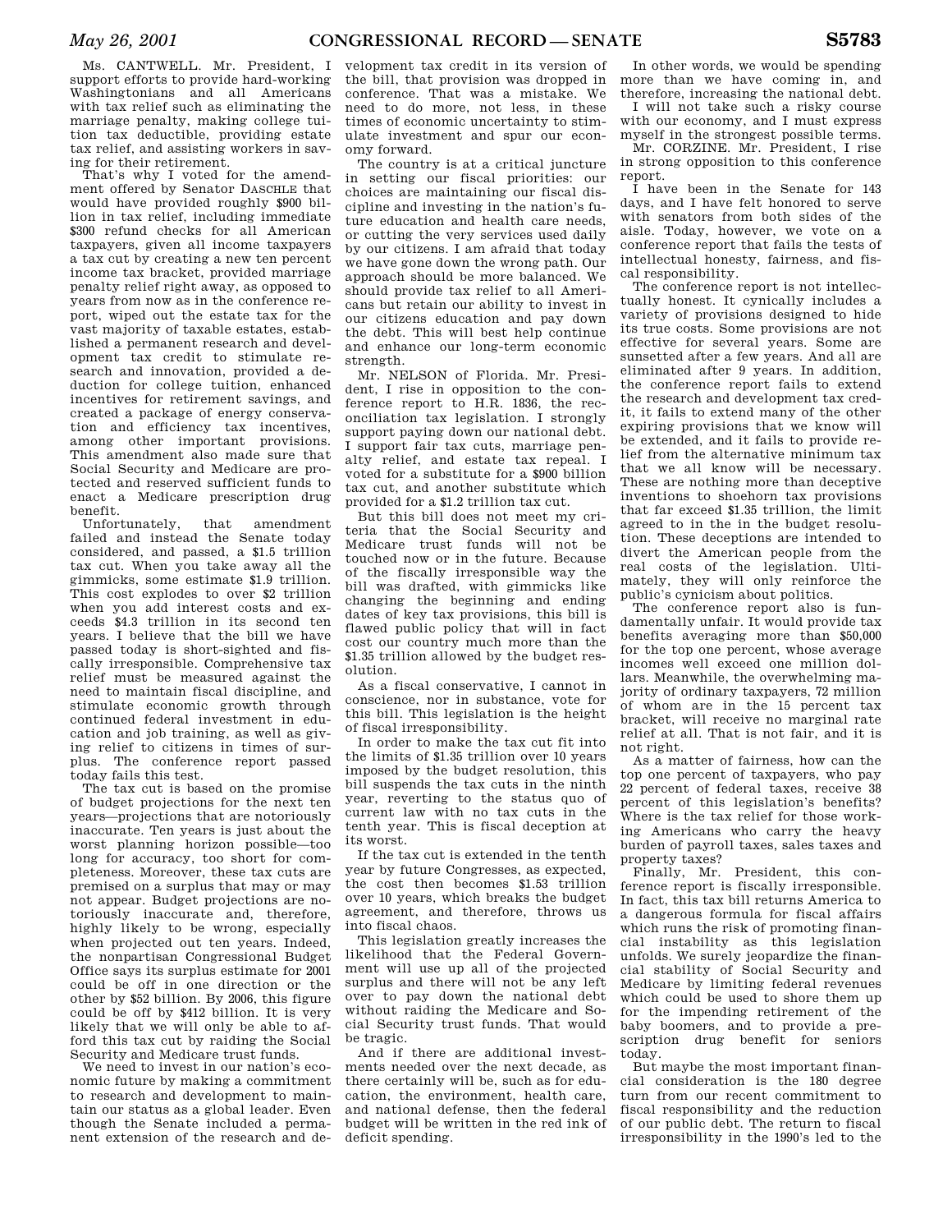Ms. CANTWELL. Mr. President, I support efforts to provide hard-working Washingtonians and all Americans with tax relief such as eliminating the marriage penalty, making college tuition tax deductible, providing estate tax relief, and assisting workers in saving for their retirement.

That's why I voted for the amendment offered by Senator DASCHLE that would have provided roughly \$900 billion in tax relief, including immediate \$300 refund checks for all American taxpayers, given all income taxpayers a tax cut by creating a new ten percent income tax bracket, provided marriage penalty relief right away, as opposed to years from now as in the conference report, wiped out the estate tax for the vast majority of taxable estates, established a permanent research and development tax credit to stimulate research and innovation, provided a deduction for college tuition, enhanced incentives for retirement savings, and created a package of energy conservation and efficiency tax incentives, among other important provisions. This amendment also made sure that Social Security and Medicare are protected and reserved sufficient funds to enact a Medicare prescription drug benefit.

Unfortunately, that amendment failed and instead the Senate today considered, and passed, a \$1.5 trillion tax cut. When you take away all the gimmicks, some estimate \$1.9 trillion. This cost explodes to over \$2 trillion when you add interest costs and exceeds \$4.3 trillion in its second ten years. I believe that the bill we have passed today is short-sighted and fiscally irresponsible. Comprehensive tax relief must be measured against the need to maintain fiscal discipline, and stimulate economic growth through continued federal investment in education and job training, as well as giving relief to citizens in times of surplus. The conference report passed today fails this test.

The tax cut is based on the promise of budget projections for the next ten years—projections that are notoriously inaccurate. Ten years is just about the worst planning horizon possible—too long for accuracy, too short for completeness. Moreover, these tax cuts are premised on a surplus that may or may not appear. Budget projections are notoriously inaccurate and, therefore, highly likely to be wrong, especially when projected out ten years. Indeed, the nonpartisan Congressional Budget Office says its surplus estimate for 2001 could be off in one direction or the other by \$52 billion. By 2006, this figure could be off by \$412 billion. It is very likely that we will only be able to afford this tax cut by raiding the Social Security and Medicare trust funds.

We need to invest in our nation's economic future by making a commitment to research and development to maintain our status as a global leader. Even though the Senate included a permanent extension of the research and development tax credit in its version of the bill, that provision was dropped in conference. That was a mistake. We need to do more, not less, in these times of economic uncertainty to stimulate investment and spur our economy forward.

The country is at a critical juncture in setting our fiscal priorities: our choices are maintaining our fiscal discipline and investing in the nation's future education and health care needs, or cutting the very services used daily by our citizens. I am afraid that today we have gone down the wrong path. Our approach should be more balanced. We should provide tax relief to all Americans but retain our ability to invest in our citizens education and pay down the debt. This will best help continue and enhance our long-term economic strength.

Mr. NELSON of Florida. Mr. President, I rise in opposition to the conference report to H.R. 1836, the reconciliation tax legislation. I strongly support paying down our national debt. I support fair tax cuts, marriage penalty relief, and estate tax repeal. I voted for a substitute for a \$900 billion tax cut, and another substitute which provided for a \$1.2 trillion tax cut.

But this bill does not meet my criteria that the Social Security and Medicare trust funds will not be touched now or in the future. Because of the fiscally irresponsible way the bill was drafted, with gimmicks like changing the beginning and ending dates of key tax provisions, this bill is flawed public policy that will in fact cost our country much more than the \$1.35 trillion allowed by the budget resolution.

As a fiscal conservative, I cannot in conscience, nor in substance, vote for this bill. This legislation is the height of fiscal irresponsibility.

In order to make the tax cut fit into the limits of \$1.35 trillion over 10 years imposed by the budget resolution, this bill suspends the tax cuts in the ninth year, reverting to the status quo of current law with no tax cuts in the tenth year. This is fiscal deception at its worst.

If the tax cut is extended in the tenth year by future Congresses, as expected, the cost then becomes \$1.53 trillion over 10 years, which breaks the budget agreement, and therefore, throws us into fiscal chaos.

This legislation greatly increases the likelihood that the Federal Government will use up all of the projected surplus and there will not be any left over to pay down the national debt without raiding the Medicare and Social Security trust funds. That would be tragic.

And if there are additional investments needed over the next decade, as there certainly will be, such as for education, the environment, health care, and national defense, then the federal budget will be written in the red ink of deficit spending.

In other words, we would be spending more than we have coming in, and therefore, increasing the national debt.

I will not take such a risky course with our economy, and I must express myself in the strongest possible terms.

Mr. CORZINE. Mr. President, I rise in strong opposition to this conference report.

I have been in the Senate for 143 days, and I have felt honored to serve with senators from both sides of the aisle. Today, however, we vote on a conference report that fails the tests of intellectual honesty, fairness, and fiscal responsibility.

The conference report is not intellectually honest. It cynically includes a variety of provisions designed to hide its true costs. Some provisions are not effective for several years. Some are sunsetted after a few years. And all are eliminated after 9 years. In addition, the conference report fails to extend the research and development tax credit, it fails to extend many of the other expiring provisions that we know will be extended, and it fails to provide relief from the alternative minimum tax that we all know will be necessary. These are nothing more than deceptive inventions to shoehorn tax provisions that far exceed \$1.35 trillion, the limit agreed to in the in the budget resolution. These deceptions are intended to divert the American people from the real costs of the legislation. Ultimately, they will only reinforce the public's cynicism about politics.

The conference report also is fundamentally unfair. It would provide tax benefits averaging more than \$50,000 for the top one percent, whose average incomes well exceed one million dollars. Meanwhile, the overwhelming majority of ordinary taxpayers, 72 million of whom are in the 15 percent tax bracket, will receive no marginal rate relief at all. That is not fair, and it is not right.

As a matter of fairness, how can the top one percent of taxpayers, who pay 22 percent of federal taxes, receive 38 percent of this legislation's benefits? Where is the tax relief for those working Americans who carry the heavy burden of payroll taxes, sales taxes and property taxes?

Finally, Mr. President, this conference report is fiscally irresponsible. In fact, this tax bill returns America to a dangerous formula for fiscal affairs which runs the risk of promoting financial instability as this legislation unfolds. We surely jeopardize the financial stability of Social Security and Medicare by limiting federal revenues which could be used to shore them up for the impending retirement of the baby boomers, and to provide a prescription drug benefit for seniors today.

But maybe the most important financial consideration is the 180 degree turn from our recent commitment to fiscal responsibility and the reduction of our public debt. The return to fiscal irresponsibility in the 1990's led to the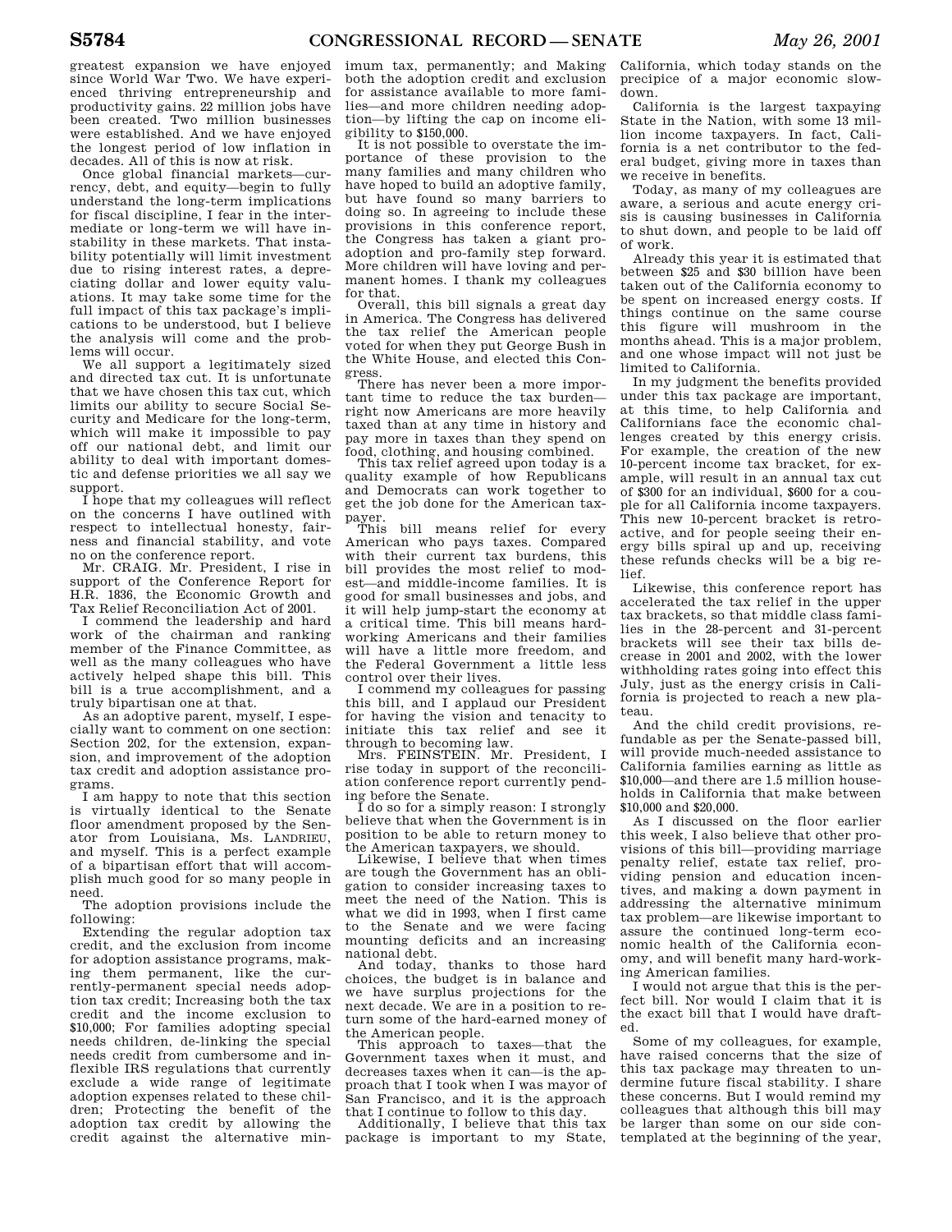greatest expansion we have enjoyed since World War Two. We have experienced thriving entrepreneurship and productivity gains. 22 million jobs have been created. Two million businesses were established. And we have enjoyed the longest period of low inflation in decades. All of this is now at risk.

Once global financial markets—currency, debt, and equity—begin to fully understand the long-term implications for fiscal discipline, I fear in the intermediate or long-term we will have instability in these markets. That instability potentially will limit investment due to rising interest rates, a depreciating dollar and lower equity valuations. It may take some time for the full impact of this tax package's implications to be understood, but I believe the analysis will come and the problems will occur.

We all support a legitimately sized and directed tax cut. It is unfortunate that we have chosen this tax cut, which limits our ability to secure Social Security and Medicare for the long-term, which will make it impossible to pay off our national debt, and limit our ability to deal with important domestic and defense priorities we all say we support.

I hope that my colleagues will reflect on the concerns I have outlined with respect to intellectual honesty, fairness and financial stability, and vote no on the conference report.

Mr. CRAIG. Mr. President, I rise in support of the Conference Report for H.R. 1836, the Economic Growth and Tax Relief Reconciliation Act of 2001.

I commend the leadership and hard work of the chairman and ranking member of the Finance Committee, as well as the many colleagues who have actively helped shape this bill. This bill is a true accomplishment, and a truly bipartisan one at that.

As an adoptive parent, myself, I especially want to comment on one section: Section 202, for the extension, expansion, and improvement of the adoption tax credit and adoption assistance programs.

I am happy to note that this section is virtually identical to the Senate floor amendment proposed by the Senator from Louisiana, Ms. LANDRIEU, and myself. This is a perfect example of a bipartisan effort that will accomplish much good for so many people in need.

The adoption provisions include the following:

Extending the regular adoption tax credit, and the exclusion from income for adoption assistance programs, making them permanent, like the currently-permanent special needs adoption tax credit; Increasing both the tax credit and the income exclusion to \$10,000; For families adopting special needs children, de-linking the special needs credit from cumbersome and inflexible IRS regulations that currently exclude a wide range of legitimate adoption expenses related to these children; Protecting the benefit of the adoption tax credit by allowing the credit against the alternative min-

imum tax, permanently; and Making both the adoption credit and exclusion for assistance available to more families—and more children needing adoption—by lifting the cap on income eligibility to \$150,000.

It is not possible to overstate the importance of these provision to the many families and many children who have hoped to build an adoptive family, but have found so many barriers to doing so. In agreeing to include these provisions in this conference report, the Congress has taken a giant proadoption and pro-family step forward. More children will have loving and permanent homes. I thank my colleagues for that.

Overall, this bill signals a great day in America. The Congress has delivered the tax relief the American people voted for when they put George Bush in the White House, and elected this Congress.

There has never been a more important time to reduce the tax burden right now Americans are more heavily taxed than at any time in history and pay more in taxes than they spend on food, clothing, and housing combined.

This tax relief agreed upon today is a quality example of how Republicans and Democrats can work together to get the job done for the American taxpayer.

This bill means relief for every American who pays taxes. Compared with their current tax burdens, this bill provides the most relief to modest—and middle-income families. It is good for small businesses and jobs, and it will help jump-start the economy at a critical time. This bill means hardworking Americans and their families will have a little more freedom, and the Federal Government a little less control over their lives.

I commend my colleagues for passing this bill, and I applaud our President for having the vision and tenacity to initiate this tax relief and see it

through to becoming law. Mrs. FEINSTEIN. Mr. President, I rise today in support of the reconciliation conference report currently pending before the Senate.

I do so for a simply reason: I strongly believe that when the Government is in position to be able to return money to the American taxpayers, we should.

Likewise. I believe that when times are tough the Government has an obligation to consider increasing taxes to meet the need of the Nation. This is what we did in 1993, when I first came to the Senate and we were facing mounting deficits and an increasing national debt.

And today, thanks to those hard choices, the budget is in balance and we have surplus projections for the next decade. We are in a position to return some of the hard-earned money of the American people.

This approach to taxes—that the Government taxes when it must, and decreases taxes when it can—is the approach that I took when I was mayor of San Francisco, and it is the approach that I continue to follow to this day.

Additionally, I believe that this tax package is important to my State, California, which today stands on the precipice of a major economic slowdown.

California is the largest taxpaying State in the Nation, with some 13 million income taxpayers. In fact, California is a net contributor to the federal budget, giving more in taxes than we receive in benefits.

Today, as many of my colleagues are aware, a serious and acute energy crisis is causing businesses in California to shut down, and people to be laid off of work.

Already this year it is estimated that between \$25 and \$30 billion have been taken out of the California economy to be spent on increased energy costs. If things continue on the same course this figure will mushroom in the months ahead. This is a major problem, and one whose impact will not just be limited to California.

In my judgment the benefits provided under this tax package are important, at this time, to help California and Californians face the economic challenges created by this energy crisis. For example, the creation of the new 10-percent income tax bracket, for example, will result in an annual tax cut of \$300 for an individual, \$600 for a couple for all California income taxpayers. This new 10-percent bracket is retroactive, and for people seeing their energy bills spiral up and up, receiving these refunds checks will be a big relief.

Likewise, this conference report has accelerated the tax relief in the upper tax brackets, so that middle class families in the 28-percent and 31-percent brackets will see their tax bills decrease in 2001 and 2002, with the lower withholding rates going into effect this July, just as the energy crisis in California is projected to reach a new plateau.

And the child credit provisions, refundable as per the Senate-passed bill, will provide much-needed assistance to California families earning as little as \$10,000—and there are 1.5 million households in California that make between \$10,000 and \$20,000.

As I discussed on the floor earlier this week, I also believe that other provisions of this bill—providing marriage penalty relief, estate tax relief, providing pension and education incentives, and making a down payment in addressing the alternative minimum tax problem—are likewise important to assure the continued long-term economic health of the California economy, and will benefit many hard-working American families.

I would not argue that this is the perfect bill. Nor would I claim that it is the exact bill that I would have drafted.

Some of my colleagues, for example, have raised concerns that the size of this tax package may threaten to undermine future fiscal stability. I share these concerns. But I would remind my colleagues that although this bill may be larger than some on our side contemplated at the beginning of the year,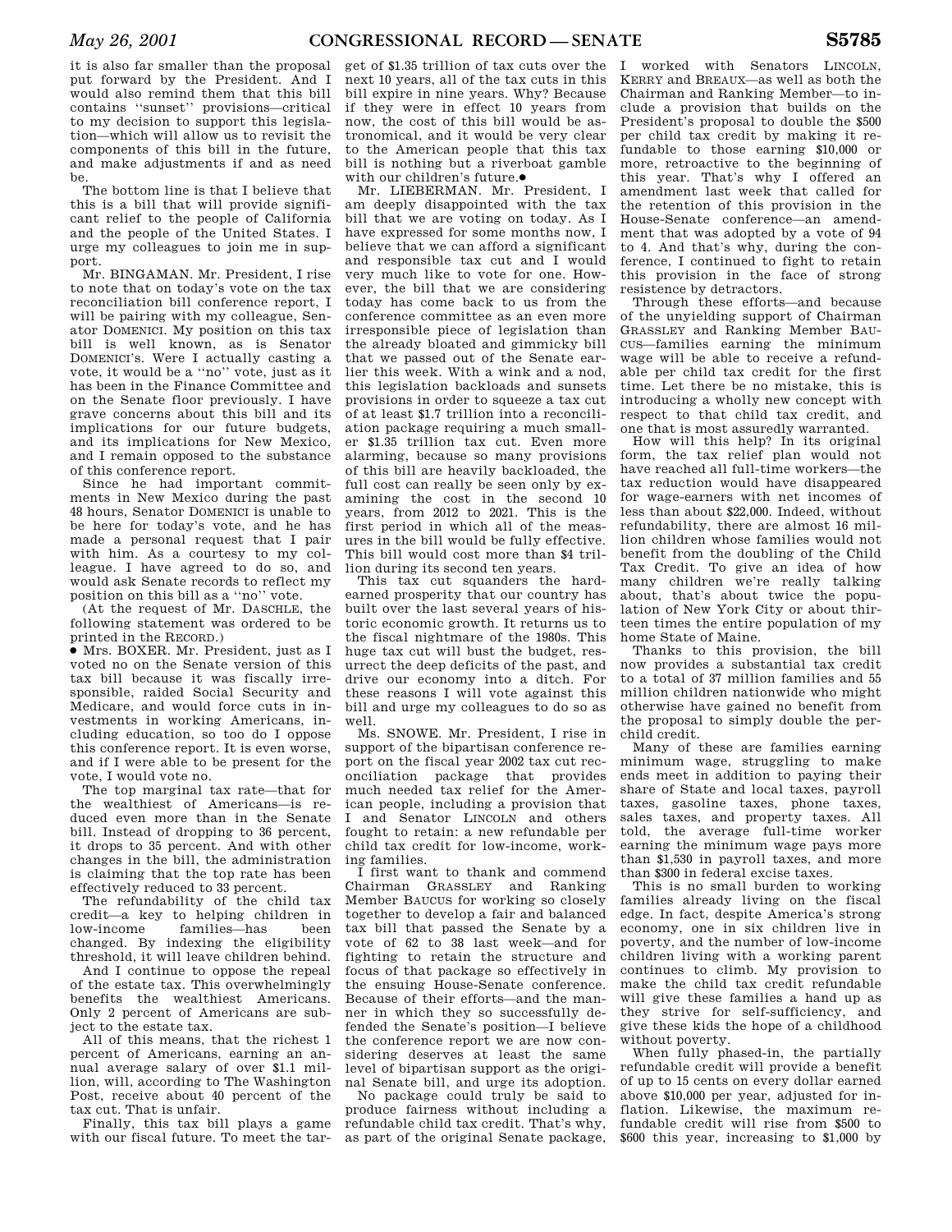it is also far smaller than the proposal put forward by the President. And I would also remind them that this bill contains ''sunset'' provisions—critical to my decision to support this legislation—which will allow us to revisit the components of this bill in the future, and make adjustments if and as need be.

The bottom line is that I believe that this is a bill that will provide significant relief to the people of California and the people of the United States. I urge my colleagues to join me in support.

Mr. BINGAMAN. Mr. President, I rise to note that on today's vote on the tax reconciliation bill conference report, I will be pairing with my colleague, Senator DOMENICI. My position on this tax bill is well known, as is Senator DOMENICI's. Were I actually casting a vote, it would be a ''no'' vote, just as it has been in the Finance Committee and on the Senate floor previously. I have grave concerns about this bill and its implications for our future budgets, and its implications for New Mexico, and I remain opposed to the substance of this conference report.

Since he had important commitments in New Mexico during the past 48 hours, Senator DOMENICI is unable to be here for today's vote, and he has made a personal request that I pair with him. As a courtesy to my colleague. I have agreed to do so, and would ask Senate records to reflect my position on this bill as a ''no'' vote.

(At the request of Mr. DASCHLE, the following statement was ordered to be printed in the RECORD.)

∑ Mrs. BOXER. Mr. President, just as I voted no on the Senate version of this tax bill because it was fiscally irresponsible, raided Social Security and Medicare, and would force cuts in investments in working Americans, including education, so too do I oppose this conference report. It is even worse, and if I were able to be present for the vote, I would vote no.

The top marginal tax rate—that for the wealthiest of Americans—is reduced even more than in the Senate bill. Instead of dropping to 36 percent, it drops to 35 percent. And with other changes in the bill, the administration is claiming that the top rate has been effectively reduced to 33 percent.

The refundability of the child tax credit—a key to helping children in low-income families—has changed. By indexing the eligibility threshold, it will leave children behind.

And I continue to oppose the repeal of the estate tax. This overwhelmingly benefits the wealthiest Americans. Only 2 percent of Americans are subject to the estate tax.

All of this means, that the richest 1 percent of Americans, earning an annual average salary of over \$1.1 million, will, according to The Washington Post, receive about 40 percent of the tax cut. That is unfair.

Finally, this tax bill plays a game with our fiscal future. To meet the tar-

get of \$1.35 trillion of tax cuts over the next 10 years, all of the tax cuts in this bill expire in nine years. Why? Because if they were in effect 10 years from now, the cost of this bill would be astronomical, and it would be very clear to the American people that this tax bill is nothing but a riverboat gamble with our children's future.●

Mr. LIEBERMAN. Mr. President, I am deeply disappointed with the tax bill that we are voting on today. As I have expressed for some months now, I believe that we can afford a significant and responsible tax cut and I would very much like to vote for one. However, the bill that we are considering today has come back to us from the conference committee as an even more irresponsible piece of legislation than the already bloated and gimmicky bill that we passed out of the Senate earlier this week. With a wink and a nod, this legislation backloads and sunsets provisions in order to squeeze a tax cut of at least \$1.7 trillion into a reconciliation package requiring a much smaller \$1.35 trillion tax cut. Even more alarming, because so many provisions of this bill are heavily backloaded, the full cost can really be seen only by examining the cost in the second 10 years, from 2012 to 2021. This is the first period in which all of the measures in the bill would be fully effective. This bill would cost more than \$4 trillion during its second ten years.

This tax cut squanders the hardearned prosperity that our country has built over the last several years of historic economic growth. It returns us to the fiscal nightmare of the 1980s. This huge tax cut will bust the budget, resurrect the deep deficits of the past, and drive our economy into a ditch. For these reasons I will vote against this bill and urge my colleagues to do so as well.

Ms. SNOWE. Mr. President, I rise in support of the bipartisan conference report on the fiscal year 2002 tax cut reconciliation package that provides much needed tax relief for the American people, including a provision that I and Senator LINCOLN and others fought to retain: a new refundable per child tax credit for low-income, working families.

I first want to thank and commend Chairman GRASSLEY and Ranking Member BAUCUS for working so closely together to develop a fair and balanced tax bill that passed the Senate by a vote of 62 to 38 last week—and for fighting to retain the structure and focus of that package so effectively in the ensuing House-Senate conference. Because of their efforts—and the manner in which they so successfully defended the Senate's position—I believe the conference report we are now considering deserves at least the same level of bipartisan support as the original Senate bill, and urge its adoption.

No package could truly be said to produce fairness without including a refundable child tax credit. That's why, as part of the original Senate package,

worked with Senators LINCOLN, KERRY and BREAUX—as well as both the Chairman and Ranking Member—to include a provision that builds on the President's proposal to double the \$500 per child tax credit by making it refundable to those earning \$10,000 or more, retroactive to the beginning of this year. That's why I offered an amendment last week that called for the retention of this provision in the House-Senate conference—an amendment that was adopted by a vote of 94 to 4. And that's why, during the conference, I continued to fight to retain this provision in the face of strong resistence by detractors.

Through these efforts—and because of the unyielding support of Chairman GRASSLEY and Ranking Member BAU-CUS—families earning the minimum wage will be able to receive a refundable per child tax credit for the first time. Let there be no mistake, this is introducing a wholly new concept with respect to that child tax credit, and one that is most assuredly warranted.

How will this help? In its original form, the tax relief plan would not have reached all full-time workers—the tax reduction would have disappeared for wage-earners with net incomes of less than about \$22,000. Indeed, without refundability, there are almost 16 million children whose families would not benefit from the doubling of the Child Tax Credit. To give an idea of how many children we're really talking about, that's about twice the population of New York City or about thirteen times the entire population of my home State of Maine.

Thanks to this provision, the bill now provides a substantial tax credit to a total of 37 million families and 55 million children nationwide who might otherwise have gained no benefit from the proposal to simply double the perchild credit.

Many of these are families earning minimum wage, struggling to make ends meet in addition to paying their share of State and local taxes, payroll taxes, gasoline taxes, phone taxes, sales taxes, and property taxes. All told, the average full-time worker earning the minimum wage pays more than \$1,530 in payroll taxes, and more than \$300 in federal excise taxes.

This is no small burden to working families already living on the fiscal edge. In fact, despite America's strong economy, one in six children live in poverty, and the number of low-income children living with a working parent continues to climb. My provision to make the child tax credit refundable will give these families a hand up as they strive for self-sufficiency, and give these kids the hope of a childhood without poverty.

When fully phased-in, the partially refundable credit will provide a benefit of up to 15 cents on every dollar earned above \$10,000 per year, adjusted for inflation. Likewise, the maximum refundable credit will rise from \$500 to \$600 this year, increasing to \$1,000 by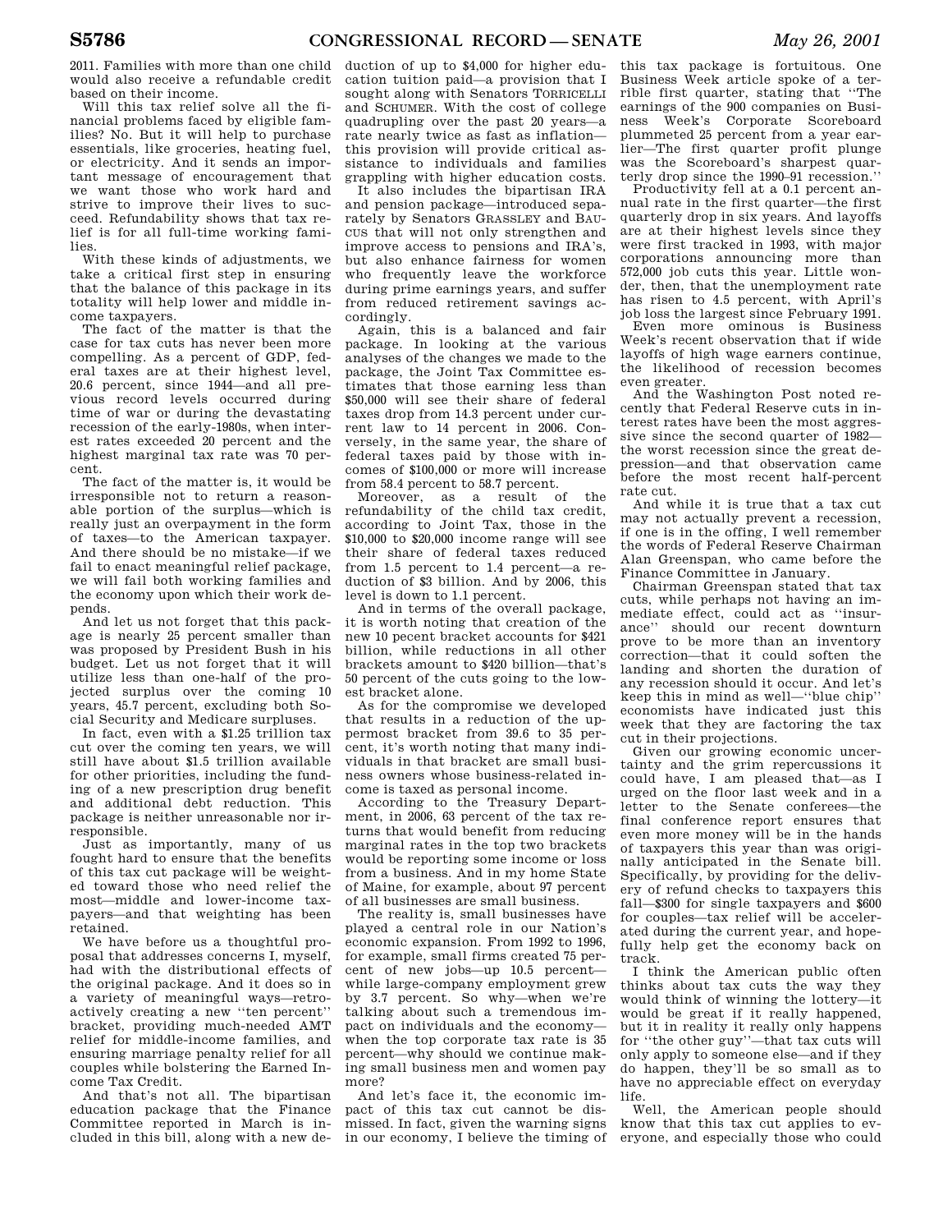2011. Families with more than one child would also receive a refundable credit based on their income.

Will this tax relief solve all the financial problems faced by eligible families? No. But it will help to purchase essentials, like groceries, heating fuel, or electricity. And it sends an important message of encouragement that we want those who work hard and strive to improve their lives to succeed. Refundability shows that tax relief is for all full-time working families.

With these kinds of adjustments, we take a critical first step in ensuring that the balance of this package in its totality will help lower and middle income taxpayers.

The fact of the matter is that the case for tax cuts has never been more compelling. As a percent of GDP, federal taxes are at their highest level, 20.6 percent, since 1944—and all previous record levels occurred during time of war or during the devastating recession of the early-1980s, when interest rates exceeded 20 percent and the highest marginal tax rate was 70 percent.

The fact of the matter is, it would be irresponsible not to return a reasonable portion of the surplus—which is really just an overpayment in the form of taxes—to the American taxpayer. And there should be no mistake—if we fail to enact meaningful relief package, we will fail both working families and the economy upon which their work depends.

And let us not forget that this package is nearly 25 percent smaller than was proposed by President Bush in his budget. Let us not forget that it will utilize less than one-half of the projected surplus over the coming 10 years, 45.7 percent, excluding both Social Security and Medicare surpluses.

In fact, even with a \$1.25 trillion tax cut over the coming ten years, we will still have about \$1.5 trillion available for other priorities, including the funding of a new prescription drug benefit and additional debt reduction. This package is neither unreasonable nor irresponsible.

Just as importantly, many of us fought hard to ensure that the benefits of this tax cut package will be weighted toward those who need relief the most—middle and lower-income taxpayers—and that weighting has been retained.

We have before us a thoughtful proposal that addresses concerns I, myself, had with the distributional effects of the original package. And it does so in a variety of meaningful ways—retroactively creating a new ''ten percent'' bracket, providing much-needed AMT relief for middle-income families, and ensuring marriage penalty relief for all couples while bolstering the Earned Income Tax Credit.

And that's not all. The bipartisan education package that the Finance Committee reported in March is included in this bill, along with a new de-

duction of up to \$4,000 for higher education tuition paid—a provision that I sought along with Senators TORRICELLI and SCHUMER. With the cost of college quadrupling over the past 20 years—a rate nearly twice as fast as inflation this provision will provide critical assistance to individuals and families grappling with higher education costs.

It also includes the bipartisan IRA and pension package—introduced separately by Senators GRASSLEY and BAU-CUS that will not only strengthen and improve access to pensions and IRA's, but also enhance fairness for women who frequently leave the workforce during prime earnings years, and suffer from reduced retirement savings accordingly.

Again, this is a balanced and fair package. In looking at the various analyses of the changes we made to the package, the Joint Tax Committee estimates that those earning less than \$50,000 will see their share of federal taxes drop from 14.3 percent under current law to 14 percent in 2006. Conversely, in the same year, the share of federal taxes paid by those with incomes of \$100,000 or more will increase from 58.4 percent to 58.7 percent.

Moreover, as a result of the refundability of the child tax credit, according to Joint Tax, those in the \$10,000 to \$20,000 income range will see their share of federal taxes reduced from 1.5 percent to 1.4 percent—a reduction of \$3 billion. And by 2006, this level is down to 1.1 percent.

And in terms of the overall package, it is worth noting that creation of the new 10 pecent bracket accounts for \$421 billion, while reductions in all other brackets amount to \$420 billion—that's 50 percent of the cuts going to the lowest bracket alone.

As for the compromise we developed that results in a reduction of the uppermost bracket from 39.6 to 35 percent, it's worth noting that many individuals in that bracket are small business owners whose business-related income is taxed as personal income.

According to the Treasury Department, in 2006, 63 percent of the tax returns that would benefit from reducing marginal rates in the top two brackets would be reporting some income or loss from a business. And in my home State of Maine, for example, about 97 percent of all businesses are small business.

The reality is, small businesses have played a central role in our Nation's economic expansion. From 1992 to 1996, for example, small firms created 75 percent of new jobs—up 10.5 percent while large-company employment grew by 3.7 percent. So why—when we're talking about such a tremendous impact on individuals and the economy when the top corporate tax rate is 35 percent—why should we continue making small business men and women pay more?

And let's face it, the economic impact of this tax cut cannot be dismissed. In fact, given the warning signs in our economy, I believe the timing of

this tax package is fortuitous. One Business Week article spoke of a terrible first quarter, stating that ''The earnings of the 900 companies on Business Week's Corporate Scoreboard plummeted 25 percent from a year earlier—The first quarter profit plunge was the Scoreboard's sharpest quarterly drop since the 1990–91 recession.''

Productivity fell at a 0.1 percent annual rate in the first quarter—the first quarterly drop in six years. And layoffs are at their highest levels since they were first tracked in 1993, with major corporations announcing more than 572,000 job cuts this year. Little wonder, then, that the unemployment rate has risen to 4.5 percent, with April's job loss the largest since February 1991.

Even more ominous is Business Week's recent observation that if wide layoffs of high wage earners continue, the likelihood of recession becomes even greater.

And the Washington Post noted recently that Federal Reserve cuts in interest rates have been the most aggressive since the second quarter of 1982 the worst recession since the great depression—and that observation came before the most recent half-percent rate cut.

And while it is true that a tax cut may not actually prevent a recession, if one is in the offing, I well remember the words of Federal Reserve Chairman Alan Greenspan, who came before the Finance Committee in January.

Chairman Greenspan stated that tax cuts, while perhaps not having an immediate effect, could act as ''insurance'' should our recent downturn prove to be more than an inventory correction—that it could soften the landing and shorten the duration of any recession should it occur. And let's keep this in mind as well—''blue chip'' economists have indicated just this week that they are factoring the tax cut in their projections.

Given our growing economic uncertainty and the grim repercussions it could have, I am pleased that—as I urged on the floor last week and in a letter to the Senate conferees—the final conference report ensures that even more money will be in the hands of taxpayers this year than was originally anticipated in the Senate bill. Specifically, by providing for the delivery of refund checks to taxpayers this fall—\$300 for single taxpayers and \$600 for couples—tax relief will be accelerated during the current year, and hopefully help get the economy back on track.

I think the American public often thinks about tax cuts the way they would think of winning the lottery—it would be great if it really happened, but it in reality it really only happens for ''the other guy''—that tax cuts will only apply to someone else—and if they do happen, they'll be so small as to have no appreciable effect on everyday life.

Well, the American people should know that this tax cut applies to everyone, and especially those who could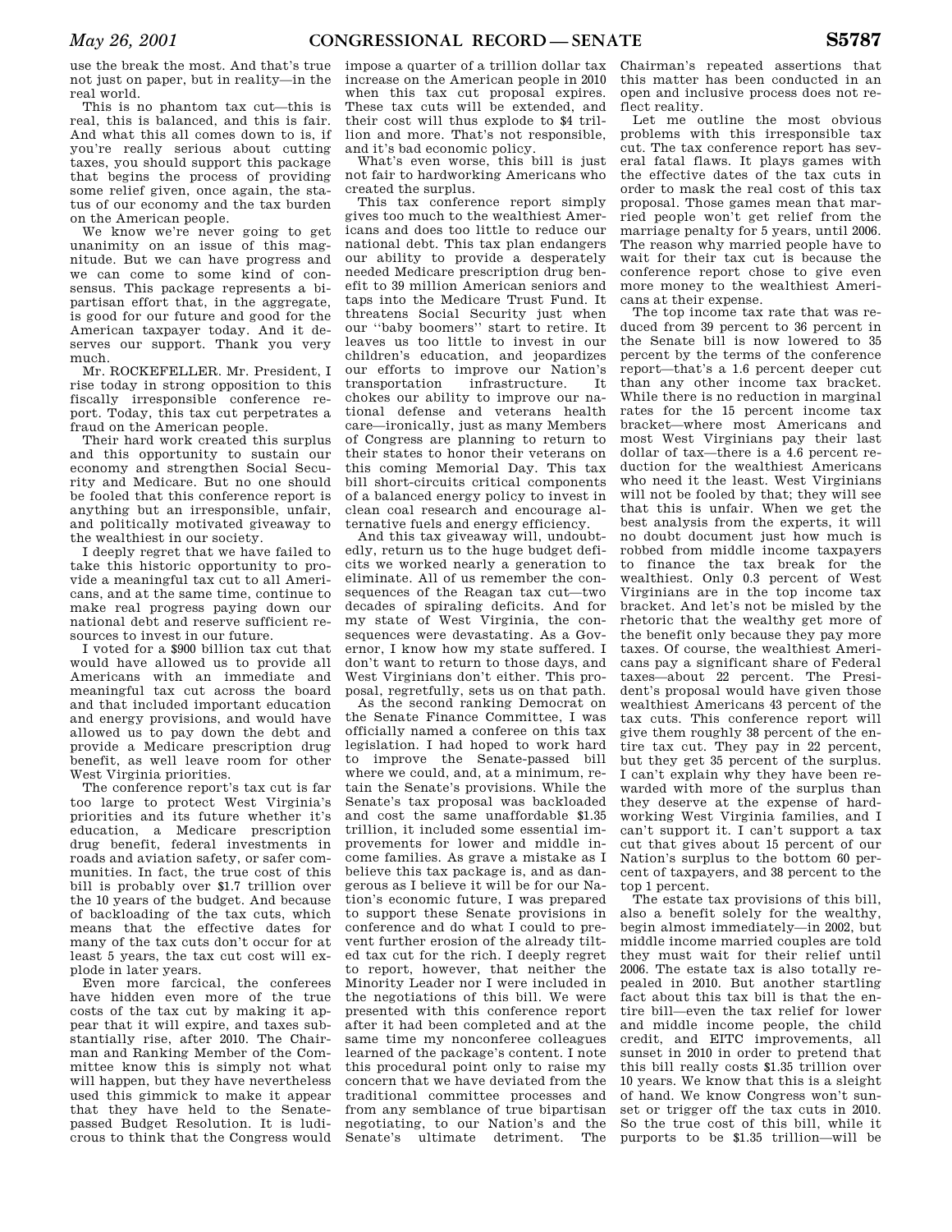use the break the most. And that's true not just on paper, but in reality—in the real world.

This is no phantom tax cut—this is real, this is balanced, and this is fair. And what this all comes down to is, if you're really serious about cutting taxes, you should support this package that begins the process of providing some relief given, once again, the status of our economy and the tax burden on the American people.

We know we're never going to get unanimity on an issue of this magnitude. But we can have progress and we can come to some kind of consensus. This package represents a bipartisan effort that, in the aggregate, is good for our future and good for the American taxpayer today. And it deserves our support. Thank you very much.

Mr. ROCKEFELLER. Mr. President, I rise today in strong opposition to this fiscally irresponsible conference report. Today, this tax cut perpetrates a fraud on the American people.

Their hard work created this surplus and this opportunity to sustain our economy and strengthen Social Security and Medicare. But no one should be fooled that this conference report is anything but an irresponsible, unfair and politically motivated giveaway to the wealthiest in our society.

I deeply regret that we have failed to take this historic opportunity to provide a meaningful tax cut to all Americans, and at the same time, continue to make real progress paying down our national debt and reserve sufficient resources to invest in our future.

I voted for a \$900 billion tax cut that would have allowed us to provide all Americans with an immediate and meaningful tax cut across the board and that included important education and energy provisions, and would have allowed us to pay down the debt and provide a Medicare prescription drug benefit, as well leave room for other West Virginia priorities.

The conference report's tax cut is far too large to protect West Virginia's priorities and its future whether it's education, a Medicare prescription drug benefit, federal investments in roads and aviation safety, or safer communities. In fact, the true cost of this bill is probably over \$1.7 trillion over the 10 years of the budget. And because of backloading of the tax cuts, which means that the effective dates for many of the tax cuts don't occur for at least 5 years, the tax cut cost will explode in later years.

Even more farcical, the conferees have hidden even more of the true costs of the tax cut by making it appear that it will expire, and taxes substantially rise, after 2010. The Chairman and Ranking Member of the Committee know this is simply not what will happen, but they have nevertheless used this gimmick to make it appear that they have held to the Senatepassed Budget Resolution. It is ludicrous to think that the Congress would

impose a quarter of a trillion dollar tax increase on the American people in 2010 when this tax cut proposal expires. These tax cuts will be extended, and their cost will thus explode to \$4 trillion and more. That's not responsible, and it's bad economic policy.

What's even worse, this bill is just not fair to hardworking Americans who created the surplus.

This tax conference report simply gives too much to the wealthiest Americans and does too little to reduce our national debt. This tax plan endangers our ability to provide a desperately needed Medicare prescription drug benefit to 39 million American seniors and taps into the Medicare Trust Fund. It threatens Social Security just when our ''baby boomers'' start to retire. It leaves us too little to invest in our children's education, and jeopardizes our efforts to improve our Nation's transportation infrastructure. It chokes our ability to improve our national defense and veterans health care—ironically, just as many Members of Congress are planning to return to their states to honor their veterans on this coming Memorial Day. This tax bill short-circuits critical components of a balanced energy policy to invest in clean coal research and encourage alternative fuels and energy efficiency.

And this tax giveaway will, undoubtedly, return us to the huge budget deficits we worked nearly a generation to eliminate. All of us remember the consequences of the Reagan tax cut—two decades of spiraling deficits. And for my state of West Virginia, the consequences were devastating. As a Governor, I know how my state suffered. I don't want to return to those days, and West Virginians don't either. This proposal, regretfully, sets us on that path.

As the second ranking Democrat on the Senate Finance Committee, I was officially named a conferee on this tax legislation. I had hoped to work hard to improve the Senate-passed bill where we could, and, at a minimum, retain the Senate's provisions. While the Senate's tax proposal was backloaded and cost the same unaffordable \$1.35 trillion, it included some essential improvements for lower and middle income families. As grave a mistake as I believe this tax package is, and as dangerous as I believe it will be for our Nation's economic future, I was prepared to support these Senate provisions in conference and do what I could to prevent further erosion of the already tilted tax cut for the rich. I deeply regret to report, however, that neither the Minority Leader nor I were included in the negotiations of this bill. We were presented with this conference report after it had been completed and at the same time my nonconferee colleagues learned of the package's content. I note this procedural point only to raise my concern that we have deviated from the traditional committee processes and from any semblance of true bipartisan negotiating, to our Nation's and the Senate's ultimate detriment. The

Chairman's repeated assertions that this matter has been conducted in an open and inclusive process does not reflect reality.

Let me outline the most obvious problems with this irresponsible tax cut. The tax conference report has several fatal flaws. It plays games with the effective dates of the tax cuts in order to mask the real cost of this tax proposal. Those games mean that married people won't get relief from the marriage penalty for 5 years, until 2006. The reason why married people have to wait for their tax cut is because the conference report chose to give even more money to the wealthiest Americans at their expense.

The top income tax rate that was reduced from 39 percent to 36 percent in the Senate bill is now lowered to 35 percent by the terms of the conference report—that's a 1.6 percent deeper cut than any other income tax bracket. While there is no reduction in marginal rates for the 15 percent income tax bracket—where most Americans and most West Virginians pay their last dollar of tax—there is a 4.6 percent reduction for the wealthiest Americans who need it the least. West Virginians will not be fooled by that; they will see that this is unfair. When we get the best analysis from the experts, it will no doubt document just how much is robbed from middle income taxpayers to finance the tax break for the wealthiest. Only 0.3 percent of West Virginians are in the top income tax bracket. And let's not be misled by the rhetoric that the wealthy get more of the benefit only because they pay more taxes. Of course, the wealthiest Americans pay a significant share of Federal taxes—about 22 percent. The President's proposal would have given those wealthiest Americans 43 percent of the tax cuts. This conference report will give them roughly 38 percent of the entire tax cut. They pay in 22 percent, but they get 35 percent of the surplus. I can't explain why they have been rewarded with more of the surplus than they deserve at the expense of hardworking West Virginia families, and I can't support it. I can't support a tax cut that gives about 15 percent of our Nation's surplus to the bottom 60 percent of taxpayers, and 38 percent to the top 1 percent.

The estate tax provisions of this bill, also a benefit solely for the wealthy, begin almost immediately—in 2002, but middle income married couples are told they must wait for their relief until 2006. The estate tax is also totally repealed in 2010. But another startling fact about this tax bill is that the entire bill—even the tax relief for lower and middle income people, the child credit, and EITC improvements, all sunset in 2010 in order to pretend that this bill really costs \$1.35 trillion over 10 years. We know that this is a sleight of hand. We know Congress won't sunset or trigger off the tax cuts in 2010. So the true cost of this bill, while it purports to be \$1.35 trillion—will be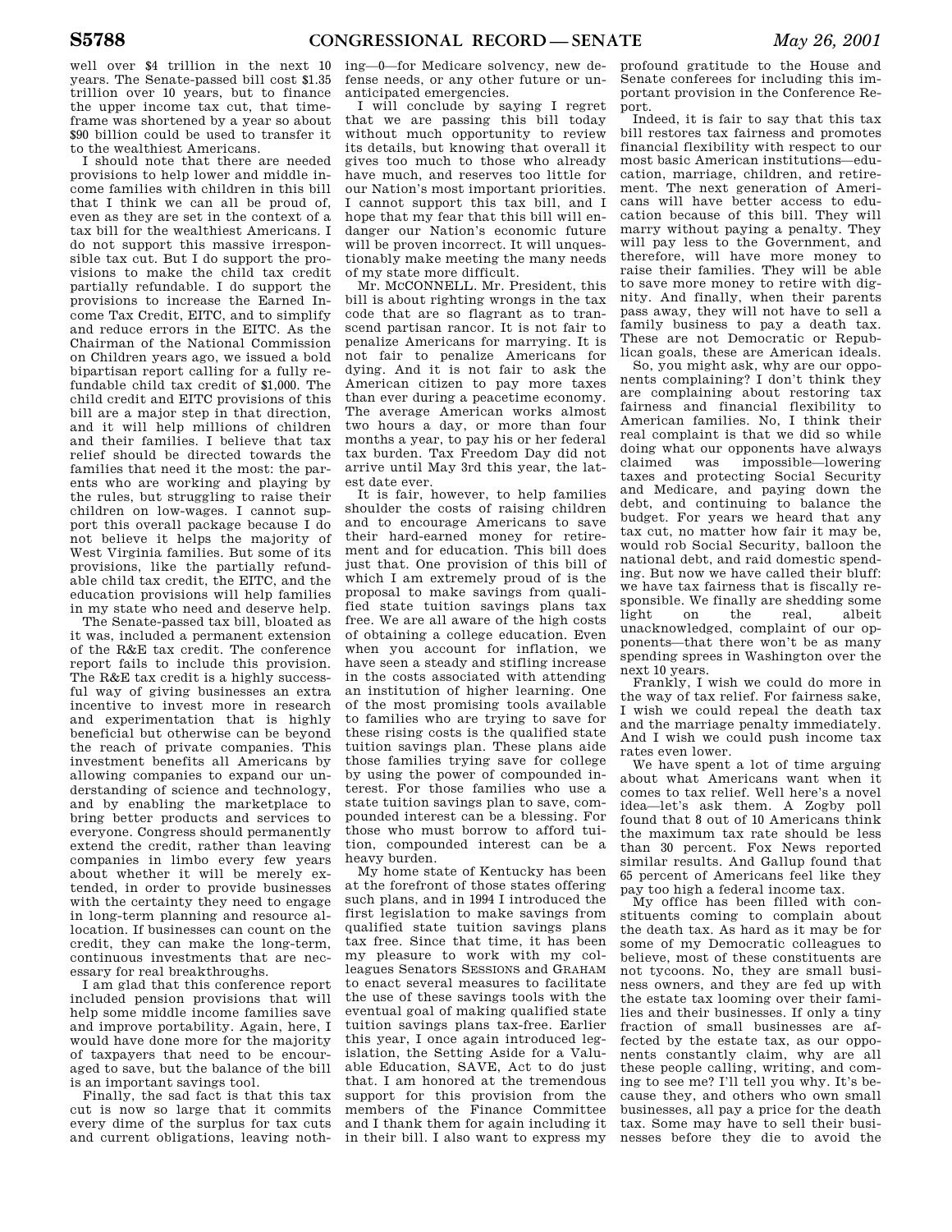well over \$4 trillion in the next 10 years. The Senate-passed bill cost \$1.35 trillion over 10 years, but to finance the upper income tax cut, that timeframe was shortened by a year so about \$90 billion could be used to transfer it to the wealthiest Americans.

I should note that there are needed provisions to help lower and middle income families with children in this bill that I think we can all be proud of, even as they are set in the context of a tax bill for the wealthiest Americans. I do not support this massive irresponsible tax cut. But I do support the provisions to make the child tax credit partially refundable. I do support the provisions to increase the Earned Income Tax Credit, EITC, and to simplify and reduce errors in the EITC. As the Chairman of the National Commission on Children years ago, we issued a bold bipartisan report calling for a fully refundable child tax credit of \$1,000. The child credit and EITC provisions of this bill are a major step in that direction, and it will help millions of children and their families. I believe that tax relief should be directed towards the families that need it the most: the parents who are working and playing by the rules, but struggling to raise their children on low-wages. I cannot support this overall package because I do not believe it helps the majority of West Virginia families. But some of its provisions, like the partially refundable child tax credit, the EITC, and the education provisions will help families in my state who need and deserve help.

The Senate-passed tax bill, bloated as it was, included a permanent extension of the R&E tax credit. The conference report fails to include this provision. The R&E tax credit is a highly successful way of giving businesses an extra incentive to invest more in research and experimentation that is highly beneficial but otherwise can be beyond the reach of private companies. This investment benefits all Americans by allowing companies to expand our understanding of science and technology, and by enabling the marketplace to bring better products and services to everyone. Congress should permanently extend the credit, rather than leaving companies in limbo every few years about whether it will be merely extended, in order to provide businesses with the certainty they need to engage in long-term planning and resource allocation. If businesses can count on the credit, they can make the long-term, continuous investments that are necessary for real breakthroughs.

I am glad that this conference report included pension provisions that will help some middle income families save and improve portability. Again, here, I would have done more for the majority of taxpayers that need to be encouraged to save, but the balance of the bill is an important savings tool.

Finally, the sad fact is that this tax cut is now so large that it commits every dime of the surplus for tax cuts and current obligations, leaving noth-

ing—0—for Medicare solvency, new defense needs, or any other future or unanticipated emergencies.

I will conclude by saying I regret that we are passing this bill today without much opportunity to review its details, but knowing that overall it gives too much to those who already have much, and reserves too little for our Nation's most important priorities. I cannot support this tax bill, and I hope that my fear that this bill will endanger our Nation's economic future will be proven incorrect. It will unquestionably make meeting the many needs of my state more difficult.

Mr. MCCONNELL. Mr. President, this bill is about righting wrongs in the tax code that are so flagrant as to transcend partisan rancor. It is not fair to penalize Americans for marrying. It is not fair to penalize Americans for dying. And it is not fair to ask the American citizen to pay more taxes than ever during a peacetime economy. The average American works almost two hours a day, or more than four months a year, to pay his or her federal tax burden. Tax Freedom Day did not arrive until May 3rd this year, the latest date ever.

It is fair, however, to help families shoulder the costs of raising children and to encourage Americans to save their hard-earned money for retirement and for education. This bill does just that. One provision of this bill of which I am extremely proud of is the proposal to make savings from qualified state tuition savings plans tax free. We are all aware of the high costs of obtaining a college education. Even when you account for inflation, we have seen a steady and stifling increase in the costs associated with attending an institution of higher learning. One of the most promising tools available to families who are trying to save for these rising costs is the qualified state tuition savings plan. These plans aide those families trying save for college by using the power of compounded interest. For those families who use a state tuition savings plan to save, compounded interest can be a blessing. For those who must borrow to afford tuition, compounded interest can be a heavy burden.

My home state of Kentucky has been at the forefront of those states offering such plans, and in 1994 I introduced the first legislation to make savings from qualified state tuition savings plans tax free. Since that time, it has been my pleasure to work with my colleagues Senators SESSIONS and GRAHAM to enact several measures to facilitate the use of these savings tools with the eventual goal of making qualified state tuition savings plans tax-free. Earlier this year, I once again introduced legislation, the Setting Aside for a Valuable Education, SAVE, Act to do just that. I am honored at the tremendous support for this provision from the members of the Finance Committee and I thank them for again including it in their bill. I also want to express my

profound gratitude to the House and Senate conferees for including this important provision in the Conference Report.

Indeed, it is fair to say that this tax bill restores tax fairness and promotes financial flexibility with respect to our most basic American institutions—education, marriage, children, and retirement. The next generation of Americans will have better access to education because of this bill. They will marry without paying a penalty. They will pay less to the Government, and therefore, will have more money to raise their families. They will be able to save more money to retire with dignity. And finally, when their parents pass away, they will not have to sell a family business to pay a death tax. These are not Democratic or Republican goals, these are American ideals.

So, you might ask, why are our opponents complaining? I don't think they are complaining about restoring tax fairness and financial flexibility to American families. No, I think their real complaint is that we did so while doing what our opponents have always claimed was impossible—lowering taxes and protecting Social Security and Medicare, and paying down the debt, and continuing to balance the budget. For years we heard that any tax cut, no matter how fair it may be, would rob Social Security, balloon the national debt, and raid domestic spending. But now we have called their bluff: we have tax fairness that is fiscally responsible. We finally are shedding some light on the real, albeit unacknowledged, complaint of our opponents—that there won't be as many spending sprees in Washington over the next 10 years.

Frankly, I wish we could do more in the way of tax relief. For fairness sake, I wish we could repeal the death tax and the marriage penalty immediately. And I wish we could push income tax rates even lower.

We have spent a lot of time arguing about what Americans want when it comes to tax relief. Well here's a novel idea—let's ask them. A Zogby poll found that 8 out of 10 Americans think the maximum tax rate should be less than 30 percent. Fox News reported similar results. And Gallup found that 65 percent of Americans feel like they pay too high a federal income tax.

My office has been filled with constituents coming to complain about the death tax. As hard as it may be for some of my Democratic colleagues to believe, most of these constituents are not tycoons. No, they are small business owners, and they are fed up with the estate tax looming over their families and their businesses. If only a tiny fraction of small businesses are affected by the estate tax, as our opponents constantly claim, why are all these people calling, writing, and coming to see me? I'll tell you why. It's because they, and others who own small businesses, all pay a price for the death tax. Some may have to sell their businesses before they die to avoid the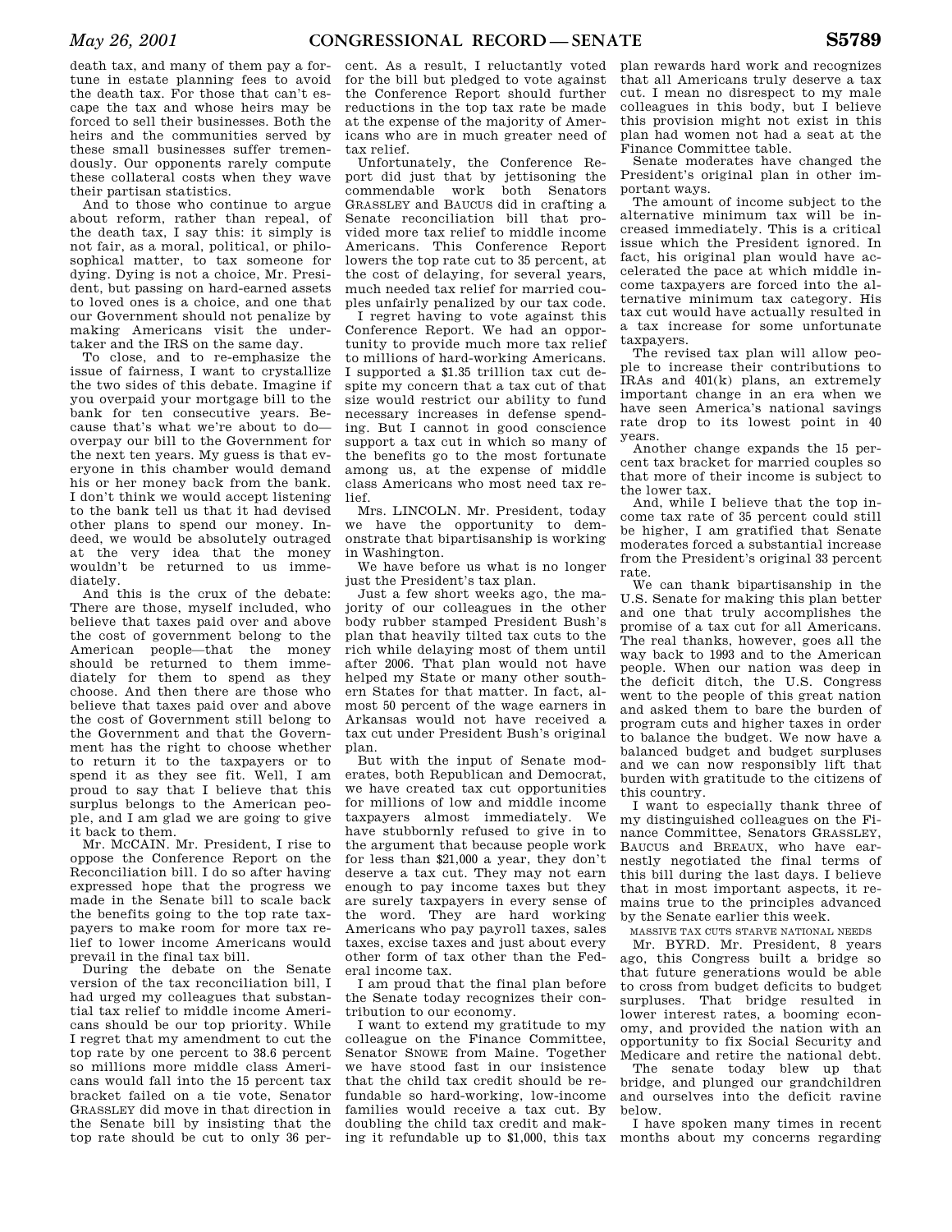death tax, and many of them pay a fortune in estate planning fees to avoid the death tax. For those that can't escape the tax and whose heirs may be forced to sell their businesses. Both the heirs and the communities served by these small businesses suffer tremendously. Our opponents rarely compute these collateral costs when they wave their partisan statistics.

And to those who continue to argue about reform, rather than repeal, of the death tax, I say this: it simply is not fair, as a moral, political, or philosophical matter, to tax someone for dying. Dying is not a choice, Mr. President, but passing on hard-earned assets to loved ones is a choice, and one that our Government should not penalize by making Americans visit the undertaker and the IRS on the same day.

To close, and to re-emphasize the issue of fairness, I want to crystallize the two sides of this debate. Imagine if you overpaid your mortgage bill to the bank for ten consecutive years. Because that's what we're about to do overpay our bill to the Government for the next ten years. My guess is that everyone in this chamber would demand his or her money back from the bank. I don't think we would accept listening to the bank tell us that it had devised other plans to spend our money. Indeed, we would be absolutely outraged at the very idea that the money wouldn't be returned to us immediately.

And this is the crux of the debate: There are those, myself included, who believe that taxes paid over and above the cost of government belong to the American people—that the money should be returned to them immediately for them to spend as they choose. And then there are those who believe that taxes paid over and above the cost of Government still belong to the Government and that the Government has the right to choose whether to return it to the taxpayers or to spend it as they see fit. Well, I am proud to say that I believe that this surplus belongs to the American people, and I am glad we are going to give it back to them.

Mr. MCCAIN. Mr. President, I rise to oppose the Conference Report on the Reconciliation bill. I do so after having expressed hope that the progress we made in the Senate bill to scale back the benefits going to the top rate taxpayers to make room for more tax relief to lower income Americans would prevail in the final tax bill.

During the debate on the Senate version of the tax reconciliation bill, I had urged my colleagues that substantial tax relief to middle income Americans should be our top priority. While I regret that my amendment to cut the top rate by one percent to 38.6 percent so millions more middle class Americans would fall into the 15 percent tax bracket failed on a tie vote, Senator GRASSLEY did move in that direction in the Senate bill by insisting that the top rate should be cut to only 36 per-

cent. As a result, I reluctantly voted for the bill but pledged to vote against the Conference Report should further reductions in the top tax rate be made at the expense of the majority of Americans who are in much greater need of tax relief.

Unfortunately, the Conference Report did just that by jettisoning the commendable work both Senators GRASSLEY and BAUCUS did in crafting a Senate reconciliation bill that provided more tax relief to middle income Americans. This Conference Report lowers the top rate cut to 35 percent, at the cost of delaying, for several years, much needed tax relief for married couples unfairly penalized by our tax code.

I regret having to vote against this Conference Report. We had an opportunity to provide much more tax relief to millions of hard-working Americans. I supported a \$1.35 trillion tax cut despite my concern that a tax cut of that size would restrict our ability to fund necessary increases in defense spending. But I cannot in good conscience support a tax cut in which so many of the benefits go to the most fortunate among us, at the expense of middle class Americans who most need tax relief.

Mrs. LINCOLN. Mr. President, today we have the opportunity to demonstrate that bipartisanship is working in Washington.

We have before us what is no longer just the President's tax plan.

Just a few short weeks ago, the majority of our colleagues in the other body rubber stamped President Bush's plan that heavily tilted tax cuts to the rich while delaying most of them until after 2006. That plan would not have helped my State or many other southern States for that matter. In fact, almost 50 percent of the wage earners in Arkansas would not have received a tax cut under President Bush's original plan.

But with the input of Senate moderates, both Republican and Democrat, we have created tax cut opportunities for millions of low and middle income taxpayers almost immediately. We have stubbornly refused to give in to the argument that because people work for less than \$21,000 a year, they don't deserve a tax cut. They may not earn enough to pay income taxes but they are surely taxpayers in every sense of the word. They are hard working Americans who pay payroll taxes, sales taxes, excise taxes and just about every other form of tax other than the Federal income tax.

I am proud that the final plan before the Senate today recognizes their contribution to our economy.

I want to extend my gratitude to my colleague on the Finance Committee, Senator SNOWE from Maine. Together we have stood fast in our insistence that the child tax credit should be refundable so hard-working, low-income families would receive a tax cut. By doubling the child tax credit and making it refundable up to \$1,000, this tax

plan rewards hard work and recognizes that all Americans truly deserve a tax cut. I mean no disrespect to my male colleagues in this body, but I believe this provision might not exist in this plan had women not had a seat at the Finance Committee table.

Senate moderates have changed the President's original plan in other important ways.

The amount of income subject to the alternative minimum tax will be increased immediately. This is a critical issue which the President ignored. In fact, his original plan would have accelerated the pace at which middle income taxpayers are forced into the alternative minimum tax category. His tax cut would have actually resulted in a tax increase for some unfortunate taxpayers.

The revised tax plan will allow people to increase their contributions to IRAs and 401(k) plans, an extremely important change in an era when we have seen America's national savings rate drop to its lowest point in 40 years.

Another change expands the 15 percent tax bracket for married couples so that more of their income is subject to the lower tax.

And, while I believe that the top income tax rate of 35 percent could still be higher, I am gratified that Senate moderates forced a substantial increase from the President's original 33 percent rate.

We can thank bipartisanship in the U.S. Senate for making this plan better and one that truly accomplishes the promise of a tax cut for all Americans. The real thanks, however, goes all the way back to 1993 and to the American people. When our nation was deep in the deficit ditch, the U.S. Congress went to the people of this great nation and asked them to bare the burden of program cuts and higher taxes in order to balance the budget. We now have a balanced budget and budget surpluses and we can now responsibly lift that burden with gratitude to the citizens of this country.

I want to especially thank three of my distinguished colleagues on the Finance Committee, Senators GRASSLEY, BAUCUS and BREAUX, who have earnestly negotiated the final terms of this bill during the last days. I believe that in most important aspects, it remains true to the principles advanced by the Senate earlier this week.

MASSIVE TAX CUTS STARVE NATIONAL NEEDS

Mr. BYRD. Mr. President, 8 years ago, this Congress built a bridge so that future generations would be able to cross from budget deficits to budget surpluses. That bridge resulted in lower interest rates, a booming economy, and provided the nation with an opportunity to fix Social Security and Medicare and retire the national debt.

The senate today blew up that bridge, and plunged our grandchildren and ourselves into the deficit ravine below.

I have spoken many times in recent months about my concerns regarding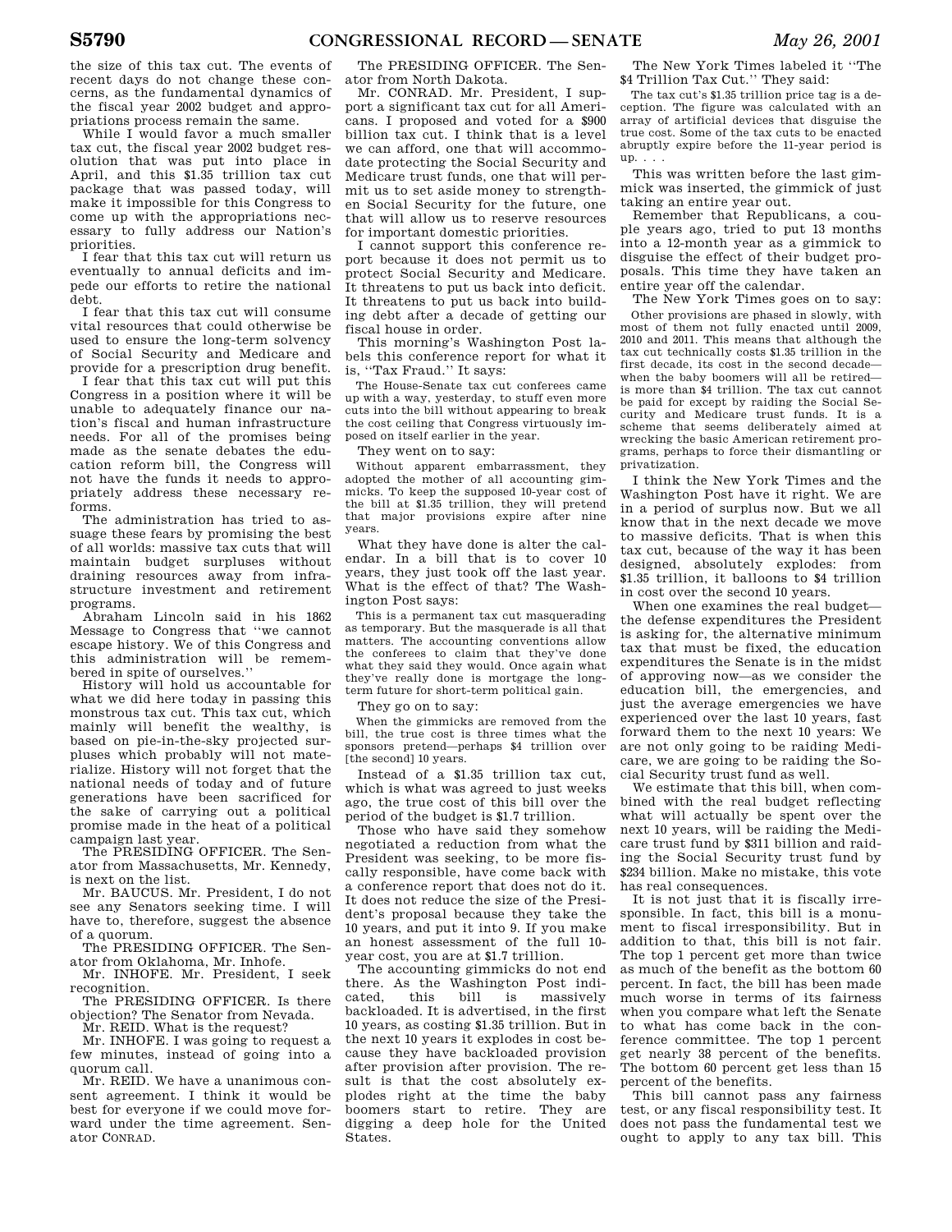the size of this tax cut. The events of recent days do not change these concerns, as the fundamental dynamics of the fiscal year 2002 budget and appropriations process remain the same.

While I would favor a much smaller tax cut, the fiscal year 2002 budget resolution that was put into place in April, and this \$1.35 trillion tax cut package that was passed today, will make it impossible for this Congress to come up with the appropriations necessary to fully address our Nation's priorities.

I fear that this tax cut will return us eventually to annual deficits and impede our efforts to retire the national debt.

I fear that this tax cut will consume vital resources that could otherwise be used to ensure the long-term solvency of Social Security and Medicare and provide for a prescription drug benefit.

I fear that this tax cut will put this Congress in a position where it will be unable to adequately finance our nation's fiscal and human infrastructure needs. For all of the promises being made as the senate debates the education reform bill, the Congress will not have the funds it needs to appropriately address these necessary reforms.

The administration has tried to assuage these fears by promising the best of all worlds: massive tax cuts that will maintain budget surpluses without draining resources away from infrastructure investment and retirement programs.

Abraham Lincoln said in his 1862 Message to Congress that ''we cannot escape history. We of this Congress and this administration will be remembered in spite of ourselves.''

History will hold us accountable for what we did here today in passing this monstrous tax cut. This tax cut, which mainly will benefit the wealthy, is based on pie-in-the-sky projected surpluses which probably will not materialize. History will not forget that the national needs of today and of future generations have been sacrificed for the sake of carrying out a political promise made in the heat of a political campaign last year.

The PRESIDING OFFICER. The Senator from Massachusetts, Mr. Kennedy, is next on the list.

Mr. BAUCUS. Mr. President, I do not see any Senators seeking time. I will have to, therefore, suggest the absence of a quorum.

The PRESIDING OFFICER. The Senator from Oklahoma, Mr. Inhofe.

Mr. INHOFE. Mr. President, I seek recognition.

The PRESIDING OFFICER. Is there objection? The Senator from Nevada.

Mr. REID. What is the request?

Mr. INHOFE. I was going to request a few minutes, instead of going into a quorum call.

Mr. REID. We have a unanimous consent agreement. I think it would be best for everyone if we could move forward under the time agreement. Senator CONRAD.

The PRESIDING OFFICER. The Senator from North Dakota.

Mr. CONRAD. Mr. President, I support a significant tax cut for all Americans. I proposed and voted for a \$900 billion tax cut. I think that is a level we can afford, one that will accommodate protecting the Social Security and Medicare trust funds, one that will permit us to set aside money to strengthen Social Security for the future, one that will allow us to reserve resources for important domestic priorities.

I cannot support this conference report because it does not permit us to protect Social Security and Medicare. It threatens to put us back into deficit. It threatens to put us back into building debt after a decade of getting our fiscal house in order.

This morning's Washington Post labels this conference report for what it is, ''Tax Fraud.'' It says:

The House-Senate tax cut conferees came up with a way, yesterday, to stuff even more cuts into the bill without appearing to break the cost ceiling that Congress virtuously imposed on itself earlier in the year.

They went on to say:

Without apparent embarrassment, they adopted the mother of all accounting gimmicks. To keep the supposed 10-year cost of the bill at \$1.35 trillion, they will pretend that major provisions expire after nine years.

What they have done is alter the calendar. In a bill that is to cover 10 years, they just took off the last year. What is the effect of that? The Washington Post says:

This is a permanent tax cut masquerading as temporary. But the masquerade is all that matters. The accounting conventions allow the conferees to claim that they've done what they said they would. Once again what they've really done is mortgage the longterm future for short-term political gain.

They go on to say:

When the gimmicks are removed from the bill, the true cost is three times what the sponsors pretend—perhaps \$4 trillion over [the second] 10 years.

Instead of a \$1.35 trillion tax cut, which is what was agreed to just weeks ago, the true cost of this bill over the period of the budget is \$1.7 trillion.

Those who have said they somehow negotiated a reduction from what the President was seeking, to be more fiscally responsible, have come back with a conference report that does not do it. It does not reduce the size of the President's proposal because they take the 10 years, and put it into 9. If you make an honest assessment of the full 10 year cost, you are at \$1.7 trillion.

The accounting gimmicks do not end there. As the Washington Post indicated, this bill is massively backloaded. It is advertised, in the first 10 years, as costing \$1.35 trillion. But in the next 10 years it explodes in cost because they have backloaded provision after provision after provision. The result is that the cost absolutely explodes right at the time the baby boomers start to retire. They are digging a deep hole for the United States.

The New York Times labeled it ''The \$4 Trillion Tax Cut.'' They said:

The tax cut's \$1.35 trillion price tag is a deception. The figure was calculated with an array of artificial devices that disguise the true cost. Some of the tax cuts to be enacted abruptly expire before the 11-year period is up. . . .

This was written before the last gimmick was inserted, the gimmick of just taking an entire year out.

Remember that Republicans, a couple years ago, tried to put 13 months into a 12-month year as a gimmick to disguise the effect of their budget proposals. This time they have taken an entire year off the calendar.

The New York Times goes on to say: Other provisions are phased in slowly, with most of them not fully enacted until 2009, 2010 and 2011. This means that although the tax cut technically costs \$1.35 trillion in the first decade, its cost in the second decade when the baby boomers will all be retired is more than \$4 trillion. The tax cut cannot be paid for except by raiding the Social Security and Medicare trust funds. It is a scheme that seems deliberately aimed at wrecking the basic American retirement programs, perhaps to force their dismantling or privatization.

I think the New York Times and the Washington Post have it right. We are in a period of surplus now. But we all know that in the next decade we move to massive deficits. That is when this tax cut, because of the way it has been designed, absolutely explodes: from \$1.35 trillion, it balloons to \$4 trillion in cost over the second 10 years.

When one examines the real budget the defense expenditures the President is asking for, the alternative minimum tax that must be fixed, the education expenditures the Senate is in the midst of approving now—as we consider the education bill, the emergencies, and just the average emergencies we have experienced over the last 10 years, fast forward them to the next 10 years: We are not only going to be raiding Medicare, we are going to be raiding the Social Security trust fund as well.

We estimate that this bill, when combined with the real budget reflecting what will actually be spent over the next 10 years, will be raiding the Medicare trust fund by \$311 billion and raiding the Social Security trust fund by \$234 billion. Make no mistake, this vote has real consequences.

It is not just that it is fiscally irresponsible. In fact, this bill is a monument to fiscal irresponsibility. But in addition to that, this bill is not fair. The top 1 percent get more than twice as much of the benefit as the bottom 60 percent. In fact, the bill has been made much worse in terms of its fairness when you compare what left the Senate to what has come back in the conference committee. The top 1 percent get nearly 38 percent of the benefits. The bottom 60 percent get less than 15 percent of the benefits.

This bill cannot pass any fairness test, or any fiscal responsibility test. It does not pass the fundamental test we ought to apply to any tax bill. This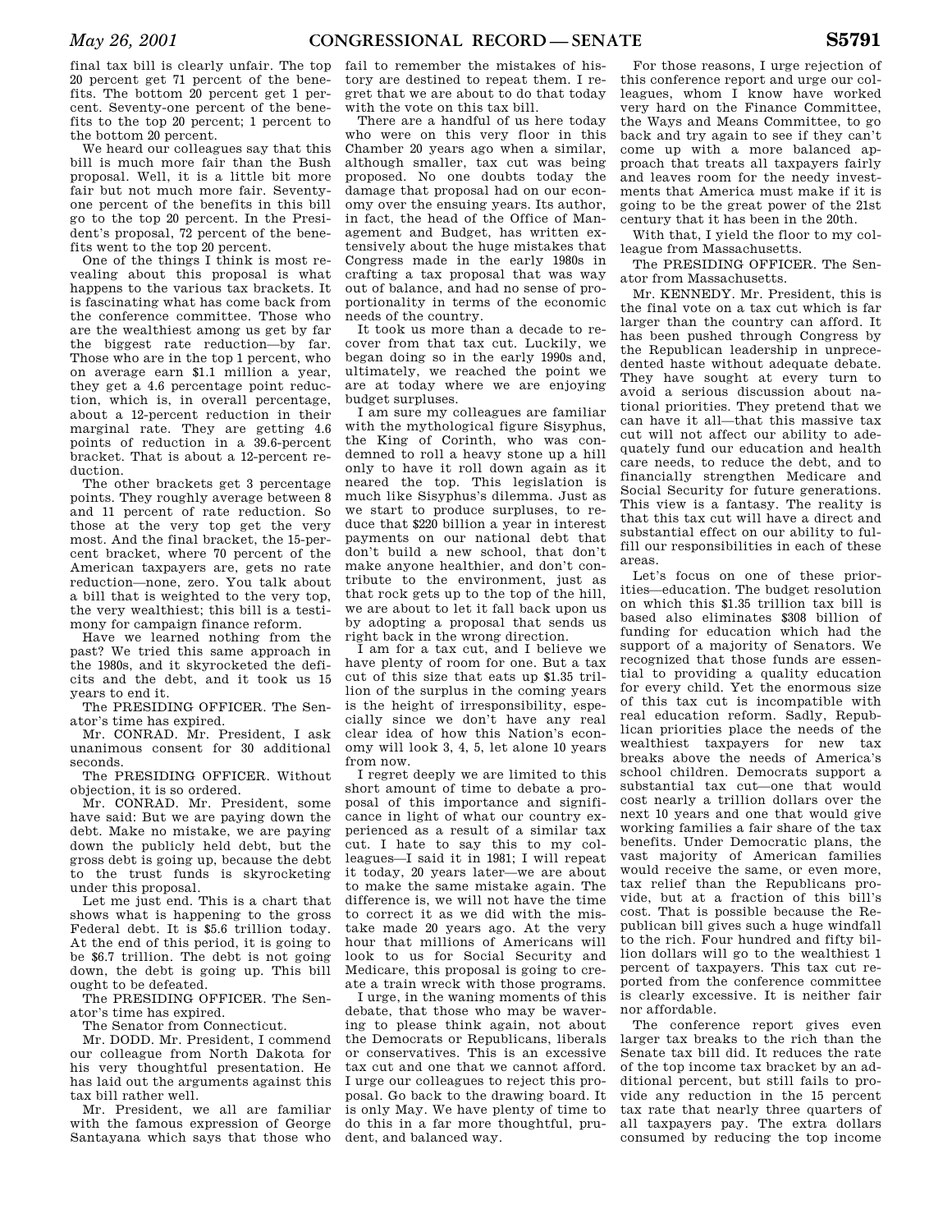final tax bill is clearly unfair. The top 20 percent get 71 percent of the benefits. The bottom 20 percent get 1 percent. Seventy-one percent of the benefits to the top 20 percent; 1 percent to the bottom 20 percent.

We heard our colleagues say that this bill is much more fair than the Bush proposal. Well, it is a little bit more fair but not much more fair. Seventyone percent of the benefits in this bill go to the top 20 percent. In the President's proposal, 72 percent of the benefits went to the top 20 percent.

One of the things I think is most revealing about this proposal is what happens to the various tax brackets. It is fascinating what has come back from the conference committee. Those who are the wealthiest among us get by far the biggest rate reduction—by far. Those who are in the top 1 percent, who on average earn \$1.1 million a year, they get a 4.6 percentage point reduction, which is, in overall percentage, about a 12-percent reduction in their marginal rate. They are getting 4.6 points of reduction in a 39.6-percent bracket. That is about a 12-percent reduction.

The other brackets get 3 percentage points. They roughly average between 8 and 11 percent of rate reduction. So those at the very top get the very most. And the final bracket, the 15-percent bracket, where 70 percent of the American taxpayers are, gets no rate reduction—none, zero. You talk about a bill that is weighted to the very top, the very wealthiest; this bill is a testimony for campaign finance reform.

Have we learned nothing from the past? We tried this same approach in the 1980s, and it skyrocketed the deficits and the debt, and it took us 15 years to end it.

The PRESIDING OFFICER. The Senator's time has expired.

Mr. CONRAD. Mr. President, I ask unanimous consent for 30 additional seconds.

The PRESIDING OFFICER. Without objection, it is so ordered.

Mr. CONRAD. Mr. President, some have said: But we are paying down the debt. Make no mistake, we are paying down the publicly held debt, but the gross debt is going up, because the debt to the trust funds is skyrocketing under this proposal.

Let me just end. This is a chart that shows what is happening to the gross Federal debt. It is \$5.6 trillion today. At the end of this period, it is going to be \$6.7 trillion. The debt is not going down, the debt is going up. This bill ought to be defeated.

The PRESIDING OFFICER. The Senator's time has expired.

The Senator from Connecticut.

Mr. DODD. Mr. President, I commend our colleague from North Dakota for his very thoughtful presentation. He has laid out the arguments against this tax bill rather well.

Mr. President, we all are familiar with the famous expression of George Santayana which says that those who fail to remember the mistakes of history are destined to repeat them. I regret that we are about to do that today with the vote on this tax bill.

There are a handful of us here today who were on this very floor in this Chamber 20 years ago when a similar, although smaller, tax cut was being proposed. No one doubts today the damage that proposal had on our economy over the ensuing years. Its author, in fact, the head of the Office of Management and Budget, has written extensively about the huge mistakes that Congress made in the early 1980s in crafting a tax proposal that was way out of balance, and had no sense of proportionality in terms of the economic needs of the country.

It took us more than a decade to recover from that tax cut. Luckily, we began doing so in the early 1990s and, ultimately, we reached the point we are at today where we are enjoying budget surpluses.

I am sure my colleagues are familiar with the mythological figure Sisyphus, the King of Corinth, who was condemned to roll a heavy stone up a hill only to have it roll down again as it neared the top. This legislation is much like Sisyphus's dilemma. Just as we start to produce surpluses, to reduce that \$220 billion a year in interest payments on our national debt that don't build a new school, that don't make anyone healthier, and don't contribute to the environment, just as that rock gets up to the top of the hill, we are about to let it fall back upon us by adopting a proposal that sends us right back in the wrong direction.

I am for a tax cut, and I believe we have plenty of room for one. But a tax cut of this size that eats up \$1.35 trillion of the surplus in the coming years is the height of irresponsibility, especially since we don't have any real clear idea of how this Nation's economy will look 3, 4, 5, let alone 10 years from now.

I regret deeply we are limited to this short amount of time to debate a proposal of this importance and significance in light of what our country experienced as a result of a similar tax cut. I hate to say this to my colleagues—I said it in 1981; I will repeat it today, 20 years later—we are about to make the same mistake again. The difference is, we will not have the time to correct it as we did with the mistake made 20 years ago. At the very hour that millions of Americans will look to us for Social Security and Medicare, this proposal is going to create a train wreck with those programs.

I urge, in the waning moments of this debate, that those who may be wavering to please think again, not about the Democrats or Republicans, liberals or conservatives. This is an excessive tax cut and one that we cannot afford. I urge our colleagues to reject this proposal. Go back to the drawing board. It is only May. We have plenty of time to do this in a far more thoughtful, prudent, and balanced way.

For those reasons, I urge rejection of this conference report and urge our colleagues, whom I know have worked very hard on the Finance Committee, the Ways and Means Committee, to go back and try again to see if they can't come up with a more balanced approach that treats all taxpayers fairly and leaves room for the needy investments that America must make if it is going to be the great power of the 21st century that it has been in the 20th.

With that, I yield the floor to my colleague from Massachusetts.

The PRESIDING OFFICER. The Senator from Massachusetts.

Mr. KENNEDY. Mr. President, this is the final vote on a tax cut which is far larger than the country can afford. It has been pushed through Congress by the Republican leadership in unprecedented haste without adequate debate. They have sought at every turn to avoid a serious discussion about national priorities. They pretend that we can have it all—that this massive tax cut will not affect our ability to adequately fund our education and health care needs, to reduce the debt, and to financially strengthen Medicare and Social Security for future generations. This view is a fantasy. The reality is that this tax cut will have a direct and substantial effect on our ability to fulfill our responsibilities in each of these areas.

Let's focus on one of these priorities—education. The budget resolution on which this \$1.35 trillion tax bill is based also eliminates \$308 billion of funding for education which had the support of a majority of Senators. We recognized that those funds are essential to providing a quality education for every child. Yet the enormous size of this tax cut is incompatible with real education reform. Sadly, Republican priorities place the needs of the wealthiest taxpayers for new tax breaks above the needs of America's school children. Democrats support a substantial tax cut—one that would cost nearly a trillion dollars over the next 10 years and one that would give working families a fair share of the tax benefits. Under Democratic plans, the vast majority of American families would receive the same, or even more, tax relief than the Republicans provide, but at a fraction of this bill's cost. That is possible because the Republican bill gives such a huge windfall to the rich. Four hundred and fifty billion dollars will go to the wealthiest 1 percent of taxpayers. This tax cut reported from the conference committee is clearly excessive. It is neither fair nor affordable.

The conference report gives even larger tax breaks to the rich than the Senate tax bill did. It reduces the rate of the top income tax bracket by an additional percent, but still fails to provide any reduction in the 15 percent tax rate that nearly three quarters of all taxpayers pay. The extra dollars consumed by reducing the top income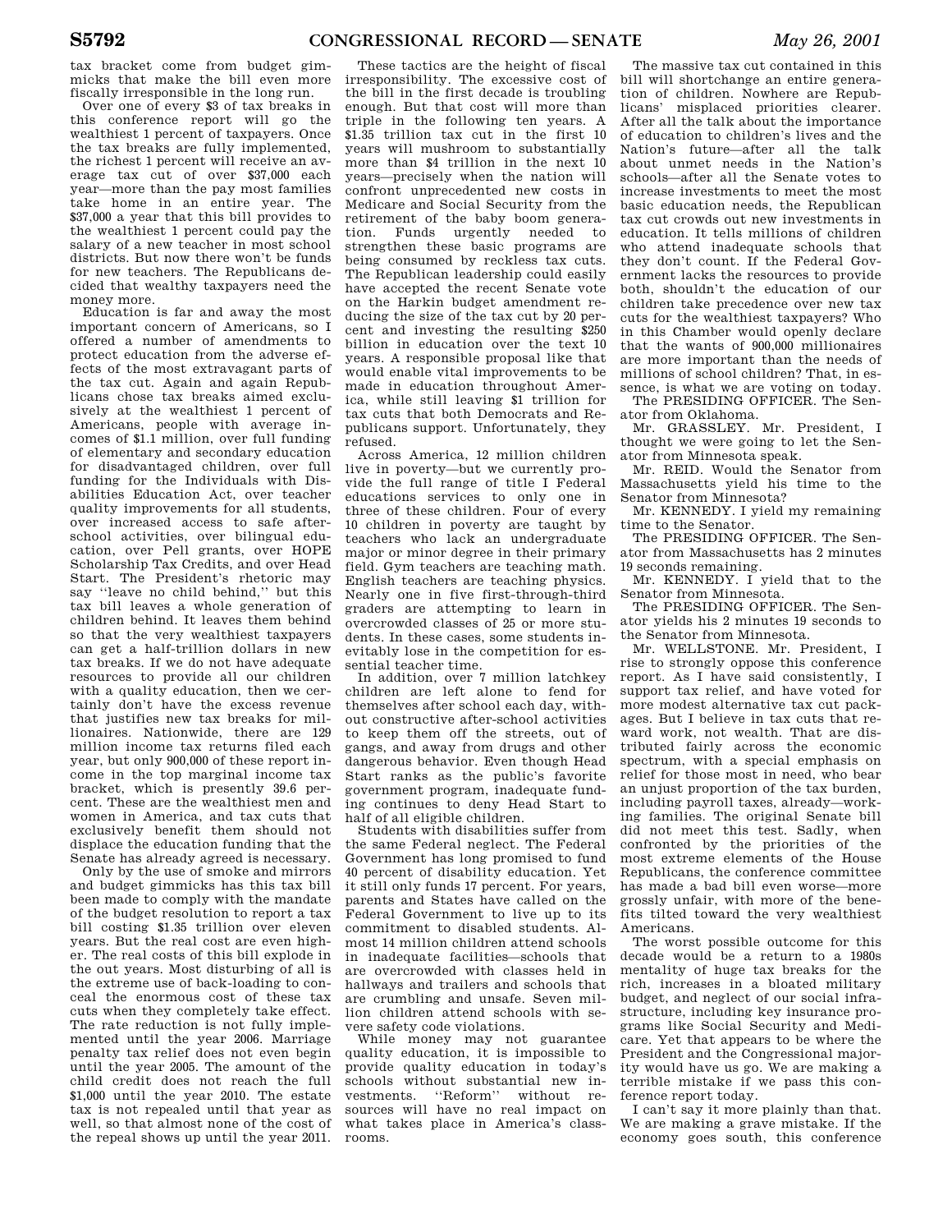tax bracket come from budget gimmicks that make the bill even more fiscally irresponsible in the long run.

Over one of every \$3 of tax breaks in this conference report will go the wealthiest 1 percent of taxpayers. Once the tax breaks are fully implemented, the richest 1 percent will receive an average tax cut of over \$37,000 each year—more than the pay most families take home in an entire year. The \$37,000 a year that this bill provides to the wealthiest 1 percent could pay the salary of a new teacher in most school districts. But now there won't be funds for new teachers. The Republicans decided that wealthy taxpayers need the money more.

Education is far and away the most important concern of Americans, so I offered a number of amendments to protect education from the adverse effects of the most extravagant parts of the tax cut. Again and again Republicans chose tax breaks aimed exclusively at the wealthiest 1 percent of Americans, people with average incomes of \$1.1 million, over full funding of elementary and secondary education for disadvantaged children, over full funding for the Individuals with Disabilities Education Act, over teacher quality improvements for all students, over increased access to safe afterschool activities, over bilingual education, over Pell grants, over HOPE Scholarship Tax Credits, and over Head Start. The President's rhetoric may say ''leave no child behind,'' but this tax bill leaves a whole generation of children behind. It leaves them behind so that the very wealthiest taxpayers can get a half-trillion dollars in new tax breaks. If we do not have adequate resources to provide all our children with a quality education, then we certainly don't have the excess revenue that justifies new tax breaks for millionaires. Nationwide, there are 129 million income tax returns filed each year, but only 900,000 of these report income in the top marginal income tax bracket, which is presently 39.6 percent. These are the wealthiest men and women in America, and tax cuts that exclusively benefit them should not displace the education funding that the Senate has already agreed is necessary.

Only by the use of smoke and mirrors and budget gimmicks has this tax bill been made to comply with the mandate of the budget resolution to report a tax bill costing \$1.35 trillion over eleven years. But the real cost are even higher. The real costs of this bill explode in the out years. Most disturbing of all is the extreme use of back-loading to conceal the enormous cost of these tax cuts when they completely take effect. The rate reduction is not fully implemented until the year 2006. Marriage penalty tax relief does not even begin until the year 2005. The amount of the child credit does not reach the full \$1,000 until the year 2010. The estate tax is not repealed until that year as well, so that almost none of the cost of the repeal shows up until the year 2011.

These tactics are the height of fiscal irresponsibility. The excessive cost of the bill in the first decade is troubling enough. But that cost will more than triple in the following ten years. A \$1.35 trillion tax cut in the first 10 years will mushroom to substantially more than \$4 trillion in the next 10 years—precisely when the nation will confront unprecedented new costs in Medicare and Social Security from the retirement of the baby boom generation. Funds urgently needed to strengthen these basic programs are being consumed by reckless tax cuts. The Republican leadership could easily have accepted the recent Senate vote on the Harkin budget amendment reducing the size of the tax cut by 20 percent and investing the resulting \$250 billion in education over the text 10 years. A responsible proposal like that would enable vital improvements to be made in education throughout America, while still leaving \$1 trillion for tax cuts that both Democrats and Republicans support. Unfortunately, they refused.

Across America, 12 million children live in poverty—but we currently provide the full range of title I Federal educations services to only one in three of these children. Four of every 10 children in poverty are taught by teachers who lack an undergraduate major or minor degree in their primary field. Gym teachers are teaching math. English teachers are teaching physics. Nearly one in five first-through-third graders are attempting to learn in overcrowded classes of 25 or more students. In these cases, some students inevitably lose in the competition for essential teacher time.

In addition, over 7 million latchkey children are left alone to fend for themselves after school each day, without constructive after-school activities to keep them off the streets, out of gangs, and away from drugs and other dangerous behavior. Even though Head Start ranks as the public's favorite government program, inadequate funding continues to deny Head Start to half of all eligible children.

Students with disabilities suffer from the same Federal neglect. The Federal Government has long promised to fund 40 percent of disability education. Yet it still only funds 17 percent. For years, parents and States have called on the Federal Government to live up to its commitment to disabled students. Almost 14 million children attend schools in inadequate facilities—schools that are overcrowded with classes held in hallways and trailers and schools that are crumbling and unsafe. Seven million children attend schools with severe safety code violations.

While money may not guarantee quality education, it is impossible to provide quality education in today's schools without substantial new investments. ''Reform'' without resources will have no real impact on what takes place in America's classrooms.

The massive tax cut contained in this bill will shortchange an entire generation of children. Nowhere are Republicans' misplaced priorities clearer. After all the talk about the importance of education to children's lives and the Nation's future—after all the talk about unmet needs in the Nation's schools—after all the Senate votes to increase investments to meet the most basic education needs, the Republican tax cut crowds out new investments in education. It tells millions of children who attend inadequate schools that they don't count. If the Federal Government lacks the resources to provide both, shouldn't the education of our children take precedence over new tax cuts for the wealthiest taxpayers? Who in this Chamber would openly declare that the wants of 900,000 millionaires are more important than the needs of millions of school children? That, in essence, is what we are voting on today.

The PRESIDING OFFICER. The Senator from Oklahoma.

Mr. GRASSLEY. Mr. President, I thought we were going to let the Senator from Minnesota speak.

Mr. REID. Would the Senator from Massachusetts yield his time to the Senator from Minnesota?

Mr. KENNEDY. I yield my remaining time to the Senator.

The PRESIDING OFFICER. The Senator from Massachusetts has 2 minutes 19 seconds remaining.

Mr. KENNEDY. I yield that to the Senator from Minnesota.

The PRESIDING OFFICER. The Senator yields his 2 minutes 19 seconds to the Senator from Minnesota.

Mr. WELLSTONE. Mr. President, I rise to strongly oppose this conference report. As I have said consistently, I support tax relief, and have voted for more modest alternative tax cut packages. But I believe in tax cuts that reward work, not wealth. That are distributed fairly across the economic spectrum, with a special emphasis on relief for those most in need, who bear an unjust proportion of the tax burden, including payroll taxes, already—working families. The original Senate bill did not meet this test. Sadly, when confronted by the priorities of the most extreme elements of the House Republicans, the conference committee has made a bad bill even worse—more grossly unfair, with more of the benefits tilted toward the very wealthiest Americans.

The worst possible outcome for this decade would be a return to a 1980s mentality of huge tax breaks for the rich, increases in a bloated military budget, and neglect of our social infrastructure, including key insurance programs like Social Security and Medicare. Yet that appears to be where the President and the Congressional majority would have us go. We are making a terrible mistake if we pass this conference report today.

I can't say it more plainly than that. We are making a grave mistake. If the economy goes south, this conference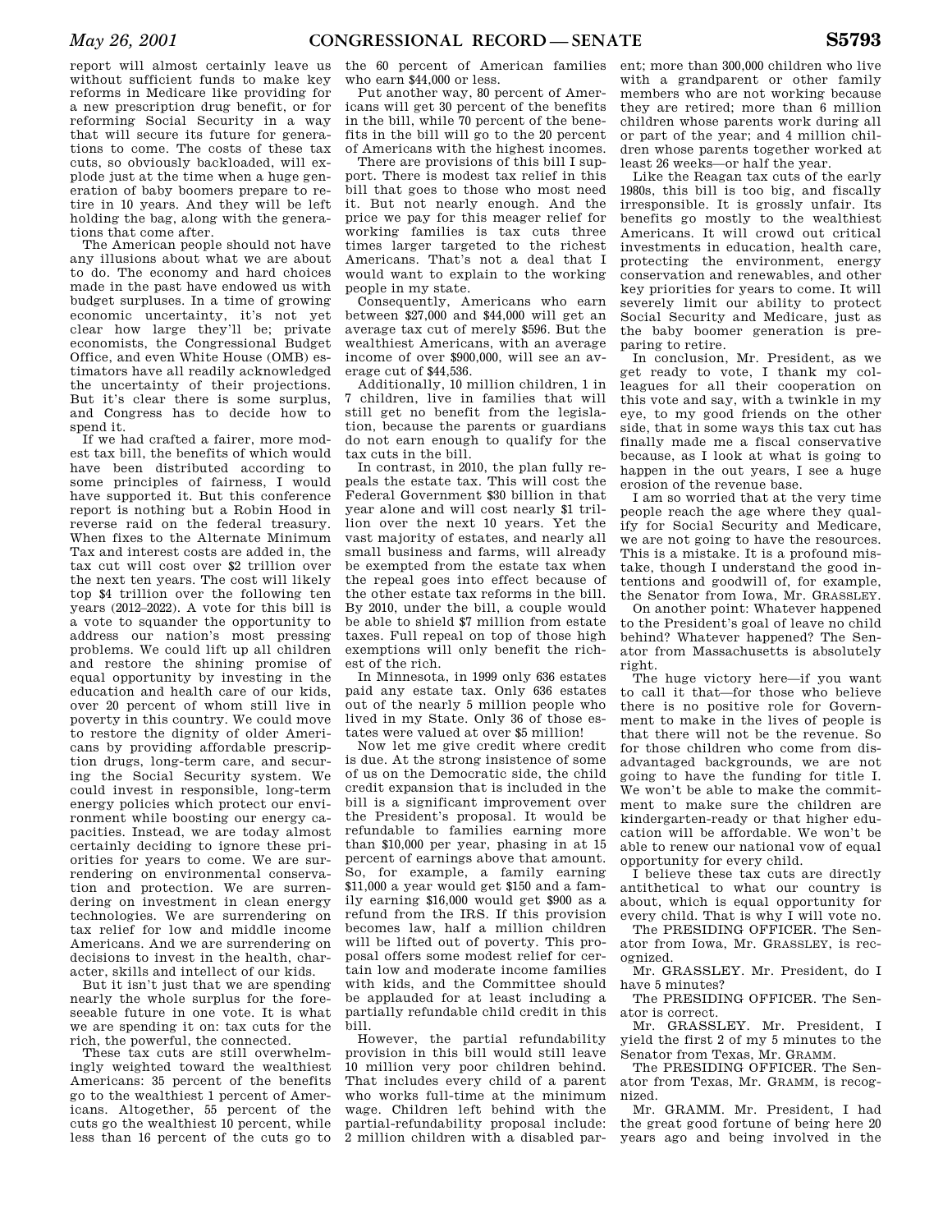report will almost certainly leave us without sufficient funds to make key reforms in Medicare like providing for a new prescription drug benefit, or for reforming Social Security in a way that will secure its future for generations to come. The costs of these tax cuts, so obviously backloaded, will explode just at the time when a huge generation of baby boomers prepare to retire in 10 years. And they will be left holding the bag, along with the generations that come after.

The American people should not have any illusions about what we are about to do. The economy and hard choices made in the past have endowed us with budget surpluses. In a time of growing economic uncertainty, it's not yet clear how large they'll be; private economists, the Congressional Budget Office, and even White House (OMB) estimators have all readily acknowledged the uncertainty of their projections. But it's clear there is some surplus, and Congress has to decide how to spend it.

If we had crafted a fairer, more modest tax bill, the benefits of which would have been distributed according to some principles of fairness, I would have supported it. But this conference report is nothing but a Robin Hood in reverse raid on the federal treasury. When fixes to the Alternate Minimum Tax and interest costs are added in, the tax cut will cost over \$2 trillion over the next ten years. The cost will likely top \$4 trillion over the following ten years (2012–2022). A vote for this bill is a vote to squander the opportunity to address our nation's most pressing problems. We could lift up all children and restore the shining promise of equal opportunity by investing in the education and health care of our kids, over 20 percent of whom still live in poverty in this country. We could move to restore the dignity of older Americans by providing affordable prescription drugs, long-term care, and securing the Social Security system. We could invest in responsible, long-term energy policies which protect our environment while boosting our energy capacities. Instead, we are today almost certainly deciding to ignore these priorities for years to come. We are surrendering on environmental conservation and protection. We are surrendering on investment in clean energy technologies. We are surrendering on tax relief for low and middle income Americans. And we are surrendering on decisions to invest in the health, character, skills and intellect of our kids.

But it isn't just that we are spending nearly the whole surplus for the foreseeable future in one vote. It is what we are spending it on: tax cuts for the rich, the powerful, the connected.

These tax cuts are still overwhelmingly weighted toward the wealthiest Americans: 35 percent of the benefits go to the wealthiest 1 percent of Americans. Altogether, 55 percent of the cuts go the wealthiest 10 percent, while less than 16 percent of the cuts go to

the 60 percent of American families who earn \$44,000 or less.

Put another way, 80 percent of Americans will get 30 percent of the benefits in the bill, while 70 percent of the benefits in the bill will go to the 20 percent of Americans with the highest incomes.

There are provisions of this bill I support. There is modest tax relief in this bill that goes to those who most need it. But not nearly enough. And the price we pay for this meager relief for working families is tax cuts three times larger targeted to the richest Americans. That's not a deal that I would want to explain to the working people in my state.

Consequently, Americans who earn between \$27,000 and \$44,000 will get an average tax cut of merely \$596. But the wealthiest Americans, with an average income of over \$900,000, will see an average cut of \$44,536.

Additionally, 10 million children, 1 in 7 children, live in families that will still get no benefit from the legislation, because the parents or guardians do not earn enough to qualify for the tax cuts in the bill.

In contrast, in 2010, the plan fully repeals the estate tax. This will cost the Federal Government \$30 billion in that year alone and will cost nearly \$1 trillion over the next 10 years. Yet the vast majority of estates, and nearly all small business and farms, will already be exempted from the estate tax when the repeal goes into effect because of the other estate tax reforms in the bill. By 2010, under the bill, a couple would be able to shield \$7 million from estate taxes. Full repeal on top of those high exemptions will only benefit the richest of the rich.

In Minnesota, in 1999 only 636 estates paid any estate tax. Only 636 estates out of the nearly 5 million people who lived in my State. Only 36 of those estates were valued at over \$5 million!

Now let me give credit where credit is due. At the strong insistence of some of us on the Democratic side, the child credit expansion that is included in the bill is a significant improvement over the President's proposal. It would be refundable to families earning more than \$10,000 per year, phasing in at 15 percent of earnings above that amount. So, for example, a family earning \$11,000 a year would get \$150 and a family earning \$16,000 would get \$900 as a refund from the IRS. If this provision becomes law, half a million children will be lifted out of poverty. This proposal offers some modest relief for certain low and moderate income families with kids, and the Committee should be applauded for at least including a partially refundable child credit in this bill.

However, the partial refundability provision in this bill would still leave 10 million very poor children behind. That includes every child of a parent who works full-time at the minimum wage. Children left behind with the partial-refundability proposal include: 2 million children with a disabled par-

ent; more than 300,000 children who live with a grandparent or other family members who are not working because they are retired; more than 6 million children whose parents work during all or part of the year; and 4 million children whose parents together worked at least 26 weeks—or half the year.

Like the Reagan tax cuts of the early 1980s, this bill is too big, and fiscally irresponsible. It is grossly unfair. Its benefits go mostly to the wealthiest Americans. It will crowd out critical investments in education, health care, protecting the environment, energy conservation and renewables, and other key priorities for years to come. It will severely limit our ability to protect Social Security and Medicare, just as the baby boomer generation is preparing to retire.

In conclusion, Mr. President, as we get ready to vote, I thank my colleagues for all their cooperation on this vote and say, with a twinkle in my eye, to my good friends on the other side, that in some ways this tax cut has finally made me a fiscal conservative because, as I look at what is going to happen in the out years, I see a huge erosion of the revenue base.

I am so worried that at the very time people reach the age where they qualify for Social Security and Medicare, we are not going to have the resources. This is a mistake. It is a profound mistake, though I understand the good intentions and goodwill of, for example, the Senator from Iowa, Mr. GRASSLEY.

On another point: Whatever happened to the President's goal of leave no child behind? Whatever happened? The Senator from Massachusetts is absolutely right.

The huge victory here—if you want to call it that—for those who believe there is no positive role for Government to make in the lives of people is that there will not be the revenue. So for those children who come from disadvantaged backgrounds, we are not going to have the funding for title I. We won't be able to make the commitment to make sure the children are kindergarten-ready or that higher education will be affordable. We won't be able to renew our national vow of equal opportunity for every child.

I believe these tax cuts are directly antithetical to what our country is about, which is equal opportunity for every child. That is why I will vote no.

The PRESIDING OFFICER. The Senator from Iowa, Mr. GRASSLEY, is recognized.

Mr. GRASSLEY. Mr. President, do I have 5 minutes?

The PRESIDING OFFICER. The Senator is correct.

Mr. GRASSLEY. Mr. President, I yield the first 2 of my 5 minutes to the Senator from Texas, Mr. GRAMM.

The PRESIDING OFFICER. The Senator from Texas, Mr. GRAMM, is recognized.

Mr. GRAMM. Mr. President, I had the great good fortune of being here 20 years ago and being involved in the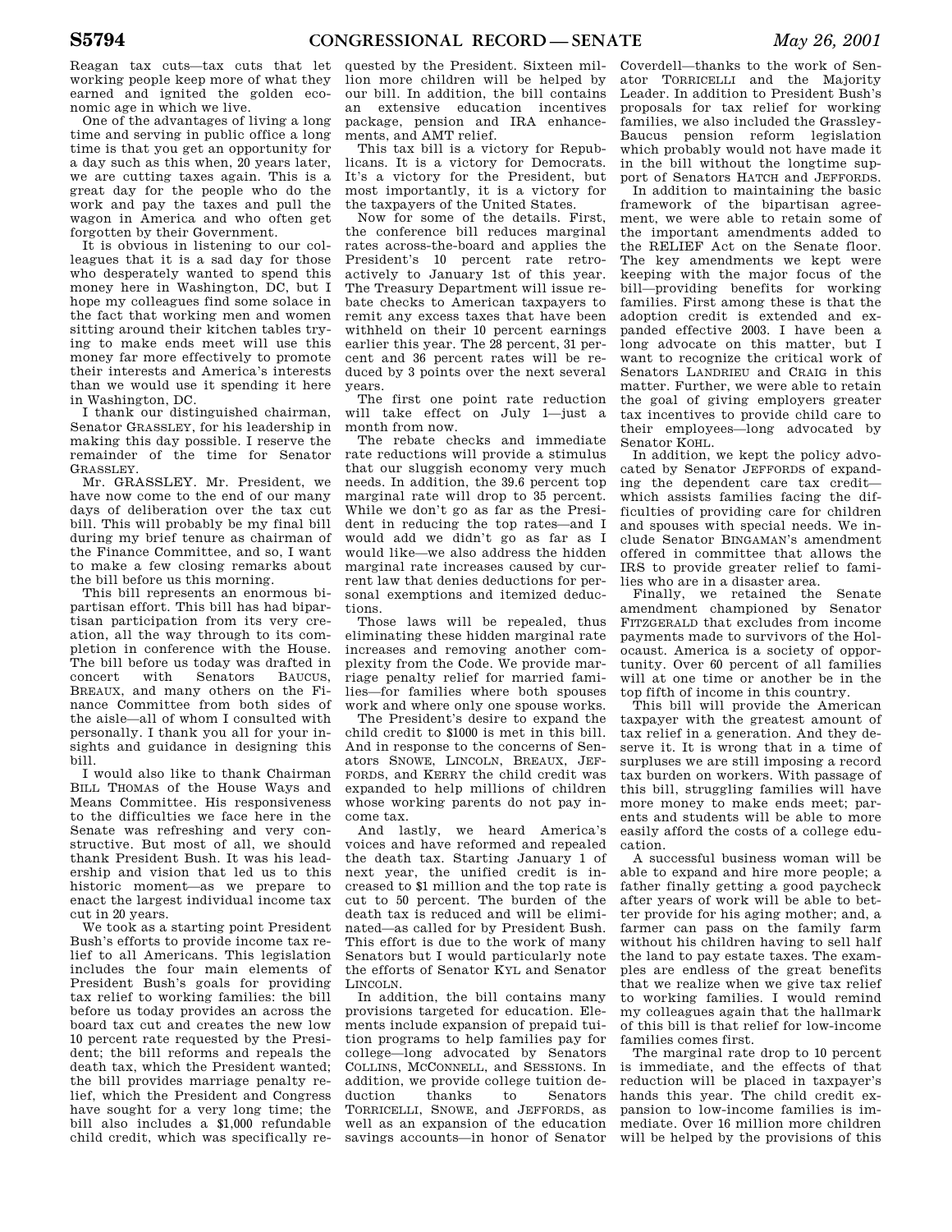Reagan tax cuts—tax cuts that let working people keep more of what they earned and ignited the golden economic age in which we live.

One of the advantages of living a long time and serving in public office a long time is that you get an opportunity for a day such as this when, 20 years later, we are cutting taxes again. This is a great day for the people who do the work and pay the taxes and pull the wagon in America and who often get forgotten by their Government.

It is obvious in listening to our colleagues that it is a sad day for those who desperately wanted to spend this money here in Washington, DC, but I hope my colleagues find some solace in the fact that working men and women sitting around their kitchen tables trying to make ends meet will use this money far more effectively to promote their interests and America's interests than we would use it spending it here in Washington, DC.

I thank our distinguished chairman, Senator GRASSLEY, for his leadership in making this day possible. I reserve the remainder of the time for Senator GRASSLEY.

Mr. GRASSLEY. Mr. President, we have now come to the end of our many days of deliberation over the tax cut bill. This will probably be my final bill during my brief tenure as chairman of the Finance Committee, and so, I want to make a few closing remarks about the bill before us this morning.

This bill represents an enormous bipartisan effort. This bill has had bipartisan participation from its very creation, all the way through to its completion in conference with the House. The bill before us today was drafted in concert with Senators BAUCUS, BREAUX, and many others on the Finance Committee from both sides of the aisle—all of whom I consulted with personally. I thank you all for your insights and guidance in designing this bill.

I would also like to thank Chairman BILL THOMAS of the House Ways and Means Committee. His responsiveness to the difficulties we face here in the Senate was refreshing and very constructive. But most of all, we should thank President Bush. It was his leadership and vision that led us to this historic moment—as we prepare to enact the largest individual income tax cut in 20 years.

We took as a starting point President Bush's efforts to provide income tax relief to all Americans. This legislation includes the four main elements of President Bush's goals for providing tax relief to working families: the bill before us today provides an across the board tax cut and creates the new low 10 percent rate requested by the President; the bill reforms and repeals the death tax, which the President wanted; the bill provides marriage penalty relief, which the President and Congress have sought for a very long time; the bill also includes a \$1,000 refundable child credit, which was specifically re-

quested by the President. Sixteen million more children will be helped by our bill. In addition, the bill contains an extensive education incentives package, pension and IRA enhancements, and AMT relief.

This tax bill is a victory for Republicans. It is a victory for Democrats. It's a victory for the President, but most importantly, it is a victory for the taxpayers of the United States.

Now for some of the details. First, the conference bill reduces marginal rates across-the-board and applies the President's 10 percent rate retroactively to January 1st of this year. The Treasury Department will issue rebate checks to American taxpayers to remit any excess taxes that have been withheld on their 10 percent earnings earlier this year. The 28 percent, 31 percent and 36 percent rates will be reduced by 3 points over the next several years.

The first one point rate reduction will take effect on July 1—just a month from now.

The rebate checks and immediate rate reductions will provide a stimulus that our sluggish economy very much needs. In addition, the 39.6 percent top marginal rate will drop to 35 percent. While we don't go as far as the President in reducing the top rates—and I would add we didn't go as far as I would like—we also address the hidden marginal rate increases caused by current law that denies deductions for personal exemptions and itemized deductions.

Those laws will be repealed, thus eliminating these hidden marginal rate increases and removing another complexity from the Code. We provide marriage penalty relief for married families—for families where both spouses work and where only one spouse works.

The President's desire to expand the child credit to \$1000 is met in this bill. And in response to the concerns of Senators SNOWE, LINCOLN, BREAUX, JEF-FORDS, and KERRY the child credit was expanded to help millions of children whose working parents do not pay income tax.

And lastly, we heard America's voices and have reformed and repealed the death tax. Starting January 1 of next year, the unified credit is increased to \$1 million and the top rate is cut to 50 percent. The burden of the death tax is reduced and will be eliminated—as called for by President Bush. This effort is due to the work of many Senators but I would particularly note the efforts of Senator KYL and Senator LINCOLN.

In addition, the bill contains many provisions targeted for education. Elements include expansion of prepaid tuition programs to help families pay for college—long advocated by Senators COLLINS, MCCONNELL, and SESSIONS. In addition, we provide college tuition deduction thanks to Senators TORRICELLI, SNOWE, and JEFFORDS, as well as an expansion of the education savings accounts—in honor of Senator

Coverdell—thanks to the work of Senator TORRICELLI and the Majority Leader. In addition to President Bush's proposals for tax relief for working families, we also included the Grassley-Baucus pension reform legislation which probably would not have made it in the bill without the longtime support of Senators HATCH and JEFFORDS.

In addition to maintaining the basic framework of the bipartisan agreement, we were able to retain some of the important amendments added to the RELIEF Act on the Senate floor. The key amendments we kept were keeping with the major focus of the bill—providing benefits for working families. First among these is that the adoption credit is extended and expanded effective 2003. I have been a long advocate on this matter, but I want to recognize the critical work of Senators LANDRIEU and CRAIG in this matter. Further, we were able to retain the goal of giving employers greater tax incentives to provide child care to their employees—long advocated by Senator KOHL.

In addition, we kept the policy advocated by Senator JEFFORDS of expanding the dependent care tax credit which assists families facing the difficulties of providing care for children and spouses with special needs. We include Senator BINGAMAN's amendment offered in committee that allows the IRS to provide greater relief to families who are in a disaster area.

Finally, we retained the Senate amendment championed by Senator FITZGERALD that excludes from income payments made to survivors of the Holocaust. America is a society of opportunity. Over 60 percent of all families will at one time or another be in the top fifth of income in this country.

This bill will provide the American taxpayer with the greatest amount of tax relief in a generation. And they deserve it. It is wrong that in a time of surpluses we are still imposing a record tax burden on workers. With passage of this bill, struggling families will have more money to make ends meet; parents and students will be able to more easily afford the costs of a college education.

A successful business woman will be able to expand and hire more people; a father finally getting a good paycheck after years of work will be able to better provide for his aging mother; and, a farmer can pass on the family farm without his children having to sell half the land to pay estate taxes. The examples are endless of the great benefits that we realize when we give tax relief to working families. I would remind my colleagues again that the hallmark of this bill is that relief for low-income families comes first.

The marginal rate drop to 10 percent is immediate, and the effects of that reduction will be placed in taxpayer's hands this year. The child credit expansion to low-income families is immediate. Over 16 million more children will be helped by the provisions of this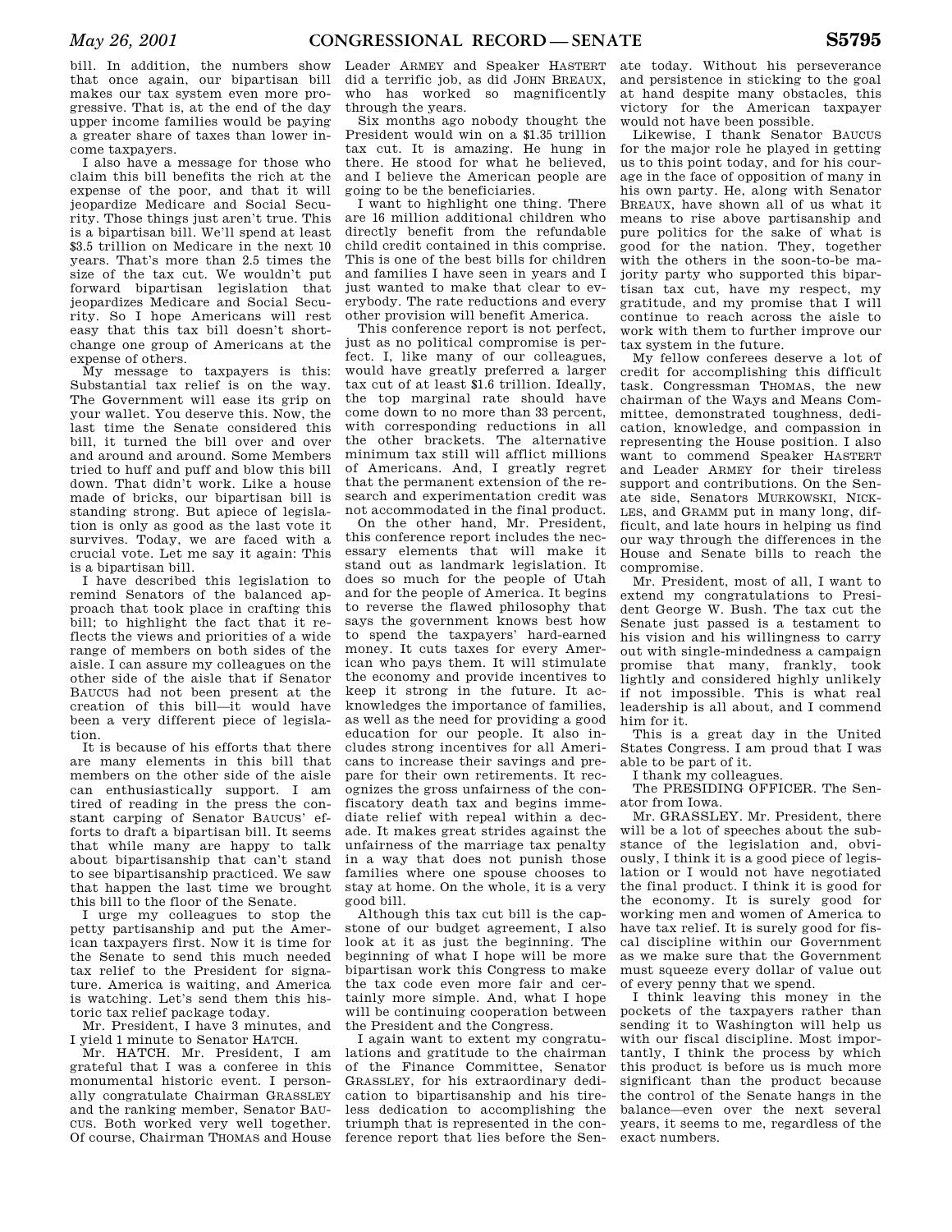bill. In addition, the numbers show that once again, our bipartisan bill makes our tax system even more progressive. That is, at the end of the day upper income families would be paying a greater share of taxes than lower income taxpayers.

I also have a message for those who claim this bill benefits the rich at the expense of the poor, and that it will jeopardize Medicare and Social Security. Those things just aren't true. This is a bipartisan bill. We'll spend at least \$3.5 trillion on Medicare in the next 10 years. That's more than 2.5 times the size of the tax cut. We wouldn't put forward bipartisan legislation that jeopardizes Medicare and Social Security. So I hope Americans will rest easy that this tax bill doesn't shortchange one group of Americans at the expense of others.

My message to taxpayers is this: Substantial tax relief is on the way. The Government will ease its grip on your wallet. You deserve this. Now, the last time the Senate considered this bill, it turned the bill over and over and around and around. Some Members tried to huff and puff and blow this bill down. That didn't work. Like a house made of bricks, our bipartisan bill is standing strong. But apiece of legislation is only as good as the last vote it survives. Today, we are faced with a crucial vote. Let me say it again: This is a bipartisan bill.

I have described this legislation to remind Senators of the balanced approach that took place in crafting this bill; to highlight the fact that it reflects the views and priorities of a wide range of members on both sides of the aisle. I can assure my colleagues on the other side of the aisle that if Senator BAUCUS had not been present at the creation of this bill—it would have been a very different piece of legislation.

It is because of his efforts that there are many elements in this bill that members on the other side of the aisle can enthusiastically support. I am tired of reading in the press the constant carping of Senator BAUCUS' efforts to draft a bipartisan bill. It seems that while many are happy to talk about bipartisanship that can't stand to see bipartisanship practiced. We saw that happen the last time we brought this bill to the floor of the Senate.

I urge my colleagues to stop the petty partisanship and put the American taxpayers first. Now it is time for the Senate to send this much needed tax relief to the President for signature. America is waiting, and America is watching. Let's send them this historic tax relief package today.

Mr. President, I have 3 minutes, and I yield 1 minute to Senator HATCH.

Mr. HATCH. Mr. President, I am grateful that I was a conferee in this monumental historic event. I personally congratulate Chairman GRASSLEY and the ranking member, Senator BAU-CUS. Both worked very well together. Of course, Chairman THOMAS and House

Leader ARMEY and Speaker HASTERT did a terrific job, as did JOHN BREAUX, who has worked so magnificently through the years.

Six months ago nobody thought the President would win on a \$1.35 trillion tax cut. It is amazing. He hung in there. He stood for what he believed, and I believe the American people are going to be the beneficiaries.

I want to highlight one thing. There are 16 million additional children who directly benefit from the refundable child credit contained in this comprise. This is one of the best bills for children and families I have seen in years and I just wanted to make that clear to everybody. The rate reductions and every other provision will benefit America.

This conference report is not perfect, just as no political compromise is perfect. I, like many of our colleagues, would have greatly preferred a larger tax cut of at least \$1.6 trillion. Ideally, the top marginal rate should have come down to no more than 33 percent, with corresponding reductions in all the other brackets. The alternative minimum tax still will afflict millions of Americans. And, I greatly regret that the permanent extension of the research and experimentation credit was not accommodated in the final product.

On the other hand, Mr. President, this conference report includes the necessary elements that will make it stand out as landmark legislation. It does so much for the people of Utah and for the people of America. It begins to reverse the flawed philosophy that says the government knows best how to spend the taxpayers' hard-earned money. It cuts taxes for every American who pays them. It will stimulate the economy and provide incentives to keep it strong in the future. It acknowledges the importance of families, as well as the need for providing a good education for our people. It also includes strong incentives for all Americans to increase their savings and prepare for their own retirements. It recognizes the gross unfairness of the confiscatory death tax and begins immediate relief with repeal within a decade. It makes great strides against the unfairness of the marriage tax penalty in a way that does not punish those families where one spouse chooses to stay at home. On the whole, it is a very good bill.

Although this tax cut bill is the capstone of our budget agreement, I also look at it as just the beginning. The beginning of what I hope will be more bipartisan work this Congress to make the tax code even more fair and certainly more simple. And, what I hope will be continuing cooperation between the President and the Congress.

I again want to extent my congratulations and gratitude to the chairman of the Finance Committee, Senator GRASSLEY, for his extraordinary dedication to bipartisanship and his tireless dedication to accomplishing the triumph that is represented in the conference report that lies before the Sen-

ate today. Without his perseverance and persistence in sticking to the goal at hand despite many obstacles, this victory for the American taxpayer would not have been possible.

Likewise, I thank Senator BAUCUS for the major role he played in getting us to this point today, and for his courage in the face of opposition of many in his own party. He, along with Senator BREAUX, have shown all of us what it means to rise above partisanship and pure politics for the sake of what is good for the nation. They, together with the others in the soon-to-be majority party who supported this bipartisan tax cut, have my respect, my gratitude, and my promise that I will continue to reach across the aisle to work with them to further improve our tax system in the future.

My fellow conferees deserve a lot of credit for accomplishing this difficult task. Congressman THOMAS, the new chairman of the Ways and Means Committee, demonstrated toughness, dedication, knowledge, and compassion in representing the House position. I also want to commend Speaker HASTERT and Leader ARMEY for their tireless support and contributions. On the Senate side, Senators MURKOWSKI, NICK-LES, and GRAMM put in many long, difficult, and late hours in helping us find our way through the differences in the House and Senate bills to reach the compromise.

Mr. President, most of all, I want to extend my congratulations to President George W. Bush. The tax cut the Senate just passed is a testament to his vision and his willingness to carry out with single-mindedness a campaign promise that many, frankly, took lightly and considered highly unlikely if not impossible. This is what real leadership is all about, and I commend him for it.

This is a great day in the United States Congress. I am proud that I was able to be part of it.

I thank my colleagues.

The PRESIDING OFFICER. The Senator from Iowa.

Mr. GRASSLEY. Mr. President, there will be a lot of speeches about the substance of the legislation and, obviously, I think it is a good piece of legislation or I would not have negotiated the final product. I think it is good for the economy. It is surely good for working men and women of America to have tax relief. It is surely good for fiscal discipline within our Government as we make sure that the Government must squeeze every dollar of value out of every penny that we spend.

I think leaving this money in the pockets of the taxpayers rather than sending it to Washington will help us with our fiscal discipline. Most importantly, I think the process by which this product is before us is much more significant than the product because the control of the Senate hangs in the balance—even over the next several years, it seems to me, regardless of the exact numbers.